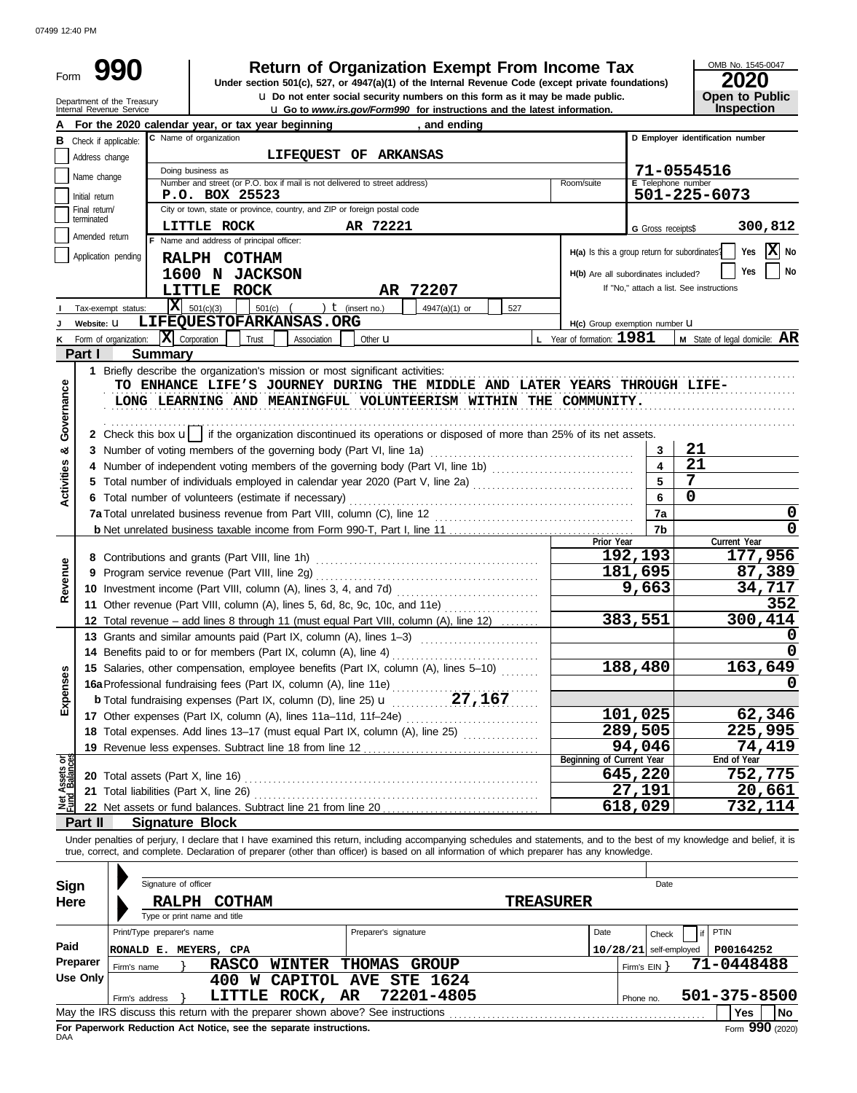| Form                    |                               |                                                                                                                    |                                                                                                 |                 |             |                      | <b>Return of Organization Exempt From Income Tax</b><br>Under section 501(c), 527, or 4947(a)(1) of the Internal Revenue Code (except private foundations)<br><b>u</b> Do not enter social security numbers on this form as it may be made public.                            |                  |                                               |                                          |              | OMB No. 1545-0047<br><b>2020</b><br>Open to Public |
|-------------------------|-------------------------------|--------------------------------------------------------------------------------------------------------------------|-------------------------------------------------------------------------------------------------|-----------------|-------------|----------------------|-------------------------------------------------------------------------------------------------------------------------------------------------------------------------------------------------------------------------------------------------------------------------------|------------------|-----------------------------------------------|------------------------------------------|--------------|----------------------------------------------------|
|                         |                               | Department of the Treasury<br>Internal Revenue Service                                                             |                                                                                                 |                 |             |                      | <b>u</b> Go to www.irs.gov/Form990 for instructions and the latest information.                                                                                                                                                                                               |                  |                                               |                                          |              | Inspection                                         |
| А                       |                               | For the 2020 calendar year, or tax year beginning                                                                  |                                                                                                 |                 |             |                      | , and ending                                                                                                                                                                                                                                                                  |                  |                                               |                                          |              |                                                    |
|                         | <b>B</b> Check if applicable: |                                                                                                                    | C Name of organization                                                                          |                 |             |                      |                                                                                                                                                                                                                                                                               |                  |                                               |                                          |              | D Employer identification number                   |
|                         | Address change                |                                                                                                                    |                                                                                                 |                 |             |                      | LIFEQUEST OF ARKANSAS                                                                                                                                                                                                                                                         |                  |                                               |                                          |              |                                                    |
|                         | Name change                   |                                                                                                                    | Doing business as<br>Number and street (or P.O. box if mail is not delivered to street address) |                 |             |                      |                                                                                                                                                                                                                                                                               |                  | Room/suite                                    | <b>E</b> Telephone number                | 71-0554516   |                                                    |
|                         | Initial return                |                                                                                                                    | P.O. BOX 25523                                                                                  |                 |             |                      |                                                                                                                                                                                                                                                                               |                  |                                               |                                          | 501-225-6073 |                                                    |
|                         | Final return/                 |                                                                                                                    | City or town, state or province, country, and ZIP or foreign postal code                        |                 |             |                      |                                                                                                                                                                                                                                                                               |                  |                                               |                                          |              |                                                    |
|                         | terminated                    |                                                                                                                    | LITTLE ROCK                                                                                     |                 |             | AR 72221             |                                                                                                                                                                                                                                                                               |                  |                                               | <b>G</b> Gross receipts\$                |              | 300,812                                            |
|                         | Amended return                |                                                                                                                    | F Name and address of principal officer:                                                        |                 |             |                      |                                                                                                                                                                                                                                                                               |                  | H(a) Is this a group return for subordinates? |                                          |              | ΙXΙ<br>Yes<br>No                                   |
|                         |                               | Application pending                                                                                                | RALPH COTHAM                                                                                    |                 |             |                      |                                                                                                                                                                                                                                                                               |                  |                                               |                                          |              |                                                    |
|                         |                               |                                                                                                                    | 1600 N JACKSON                                                                                  |                 |             |                      |                                                                                                                                                                                                                                                                               |                  | H(b) Are all subordinates included?           |                                          |              | Yes<br>No                                          |
|                         |                               |                                                                                                                    | LITTLE ROCK                                                                                     |                 |             |                      | AR 72207                                                                                                                                                                                                                                                                      |                  |                                               | If "No," attach a list. See instructions |              |                                                    |
|                         |                               | Tax-exempt status:                                                                                                 | $X = 501(c)(3)$                                                                                 | 501(c)          |             | ) $t$ (insert no.)   | 4947(a)(1) or                                                                                                                                                                                                                                                                 | 527              |                                               |                                          |              |                                                    |
|                         | Website: U                    |                                                                                                                    | LIFEQUESTOFARKANSAS.ORG                                                                         |                 |             |                      |                                                                                                                                                                                                                                                                               |                  | H(c) Group exemption number LI                |                                          |              |                                                    |
|                         |                               | <b>K</b> Form of organization: $ \mathbf{X} $ Corporation                                                          |                                                                                                 | Trust           | Association | Other <b>u</b>       |                                                                                                                                                                                                                                                                               |                  | L Year of formation: 1981                     |                                          |              | <b>M</b> State of legal domicile: $AR$             |
|                         | Part I                        | <b>Summary</b><br>1 Briefly describe the organization's mission or most significant activities:                    |                                                                                                 |                 |             |                      |                                                                                                                                                                                                                                                                               |                  |                                               |                                          |              |                                                    |
| Governance              |                               |                                                                                                                    |                                                                                                 |                 |             |                      | TO ENHANCE LIFE'S JOURNEY DURING THE MIDDLE AND LATER YEARS THROUGH LIFE-<br>LONG LEARNING AND MEANINGFUL VOLUNTEERISM WITHIN THE COMMUNITY.<br>2 Check this box $\mathbf{u}$ if the organization discontinued its operations or disposed of more than 25% of its net assets. |                  |                                               |                                          |              |                                                    |
| ೲ                       |                               |                                                                                                                    |                                                                                                 |                 |             |                      |                                                                                                                                                                                                                                                                               |                  |                                               | 3                                        | 21           |                                                    |
|                         |                               |                                                                                                                    |                                                                                                 |                 |             |                      | 4 Number of independent voting members of the governing body (Part VI, line 1b)                                                                                                                                                                                               |                  |                                               |                                          | 21           |                                                    |
|                         |                               |                                                                                                                    |                                                                                                 |                 |             |                      | 5 Total number of individuals employed in calendar year 2020 (Part V, line 2a) [[[[[[[[[[[[[[[[[[[[[[[[[[[[[[[                                                                                                                                                                |                  |                                               | 5                                        | 7            |                                                    |
| <b>Activities</b>       |                               | 6 Total number of volunteers (estimate if necessary)                                                               |                                                                                                 |                 |             |                      |                                                                                                                                                                                                                                                                               |                  |                                               | 6                                        | $\mathbf 0$  |                                                    |
|                         |                               |                                                                                                                    |                                                                                                 |                 |             |                      |                                                                                                                                                                                                                                                                               |                  |                                               | 7a                                       |              | 0                                                  |
|                         |                               |                                                                                                                    |                                                                                                 |                 |             |                      |                                                                                                                                                                                                                                                                               |                  |                                               | 7b                                       |              | 0                                                  |
|                         |                               |                                                                                                                    |                                                                                                 |                 |             |                      |                                                                                                                                                                                                                                                                               |                  | Prior Year                                    |                                          |              | Current Year                                       |
|                         |                               | 8 Contributions and grants (Part VIII, line 1h)                                                                    |                                                                                                 |                 |             |                      |                                                                                                                                                                                                                                                                               |                  |                                               | 192,193                                  |              | 177,956<br>87,389                                  |
| Revenue                 |                               | 9 Program service revenue (Part VIII, line 2g)<br>10 Investment income (Part VIII, column (A), lines 3, 4, and 7d) |                                                                                                 |                 |             |                      |                                                                                                                                                                                                                                                                               |                  |                                               | 181,695<br>9,663                         |              | 34,717                                             |
|                         |                               |                                                                                                                    |                                                                                                 |                 |             |                      | 11 Other revenue (Part VIII, column (A), lines 5, 6d, 8c, 9c, 10c, and 11e)                                                                                                                                                                                                   |                  |                                               |                                          |              | 352                                                |
|                         |                               |                                                                                                                    |                                                                                                 |                 |             |                      | 12 Total revenue – add lines 8 through 11 (must equal Part VIII, column (A), line 12)                                                                                                                                                                                         |                  |                                               | 383,551                                  |              | 300,414                                            |
|                         |                               | 13 Grants and similar amounts paid (Part IX, column (A), lines 1-3)                                                |                                                                                                 |                 |             |                      |                                                                                                                                                                                                                                                                               |                  |                                               |                                          |              | 0                                                  |
|                         |                               | 14 Benefits paid to or for members (Part IX, column (A), line 4)                                                   |                                                                                                 |                 |             |                      |                                                                                                                                                                                                                                                                               |                  |                                               |                                          |              | 0                                                  |
|                         |                               |                                                                                                                    |                                                                                                 |                 |             |                      | 15 Salaries, other compensation, employee benefits (Part IX, column (A), lines 5-10)                                                                                                                                                                                          |                  |                                               | 188,480                                  |              | 163,649                                            |
| Expenses                |                               |                                                                                                                    |                                                                                                 |                 |             |                      |                                                                                                                                                                                                                                                                               |                  |                                               |                                          |              |                                                    |
|                         |                               |                                                                                                                    |                                                                                                 |                 |             |                      |                                                                                                                                                                                                                                                                               |                  |                                               |                                          |              |                                                    |
|                         |                               | 17 Other expenses (Part IX, column (A), lines 11a-11d, 11f-24e)                                                    |                                                                                                 |                 |             |                      |                                                                                                                                                                                                                                                                               |                  |                                               | 101,025                                  |              | 62,346                                             |
|                         |                               |                                                                                                                    |                                                                                                 |                 |             |                      | 18 Total expenses. Add lines 13-17 (must equal Part IX, column (A), line 25)                                                                                                                                                                                                  |                  |                                               | 289,505                                  |              | 225,995                                            |
|                         |                               |                                                                                                                    |                                                                                                 |                 |             |                      |                                                                                                                                                                                                                                                                               |                  |                                               | 94,046                                   |              | 74,419                                             |
| Assets or<br>1 Balances |                               |                                                                                                                    |                                                                                                 |                 |             |                      |                                                                                                                                                                                                                                                                               |                  | Beginning of Current Year                     | 645,220                                  |              | End of Year<br>752,775                             |
|                         |                               |                                                                                                                    |                                                                                                 |                 |             |                      |                                                                                                                                                                                                                                                                               |                  |                                               | 27,191                                   |              | 20,661                                             |
| ⊽                       |                               | 21 Total liabilities (Part X, line 26)                                                                             |                                                                                                 |                 |             |                      | 22 Net assets or fund balances. Subtract line 21 from line 20                                                                                                                                                                                                                 |                  |                                               | 618,029                                  |              | 732,114                                            |
|                         | Part II                       | <b>Signature Block</b>                                                                                             |                                                                                                 |                 |             |                      |                                                                                                                                                                                                                                                                               |                  |                                               |                                          |              |                                                    |
|                         |                               |                                                                                                                    |                                                                                                 |                 |             |                      | Under penalties of perjury, I declare that I have examined this return, including accompanying schedules and statements, and to the best of my knowledge and belief, it is                                                                                                    |                  |                                               |                                          |              |                                                    |
|                         |                               |                                                                                                                    |                                                                                                 |                 |             |                      | true, correct, and complete. Declaration of preparer (other than officer) is based on all information of which preparer has any knowledge.                                                                                                                                    |                  |                                               |                                          |              |                                                    |
| <b>Sign</b>             |                               | Signature of officer                                                                                               |                                                                                                 |                 |             |                      |                                                                                                                                                                                                                                                                               |                  |                                               | Date                                     |              |                                                    |
| <b>Here</b>             |                               |                                                                                                                    | RALPH COTHAM                                                                                    |                 |             |                      |                                                                                                                                                                                                                                                                               | <b>TREASURER</b> |                                               |                                          |              |                                                    |
|                         |                               |                                                                                                                    | Type or print name and title                                                                    |                 |             |                      |                                                                                                                                                                                                                                                                               |                  |                                               |                                          |              |                                                    |
| Paid                    |                               | Print/Type preparer's name                                                                                         |                                                                                                 |                 |             | Preparer's signature |                                                                                                                                                                                                                                                                               |                  | Date                                          | Check                                    | if           | PTIN                                               |
|                         | Preparer                      | RONALD E. MEYERS, CPA                                                                                              |                                                                                                 |                 |             |                      |                                                                                                                                                                                                                                                                               |                  |                                               | $10/28/21$ self-employed                 |              | P00164252                                          |
|                         | <b>Use Only</b>               | Firm's name                                                                                                        | <b>RASCO</b>                                                                                    |                 |             |                      | WINTER THOMAS GROUP<br>400 W CAPITOL AVE STE 1624                                                                                                                                                                                                                             |                  |                                               | Firm's $EIN$ }                           |              | 71-0448488                                         |
|                         |                               |                                                                                                                    |                                                                                                 | LITTLE ROCK, AR |             |                      | 72201-4805                                                                                                                                                                                                                                                                    |                  |                                               |                                          |              | 501-375-8500                                       |
|                         |                               | Firm's address<br>May the IRS discuss this return with the preparer shown above? See instructions                  |                                                                                                 |                 |             |                      |                                                                                                                                                                                                                                                                               |                  |                                               | Phone no.                                |              | <b>Yes</b><br>No                                   |

|     |  | THE REPORT OF THE PERSON CONTINUES.                                |  |  |  |  |  |
|-----|--|--------------------------------------------------------------------|--|--|--|--|--|
| DAA |  | For Paperwork Reduction Act Notice, see the separate instructions. |  |  |  |  |  |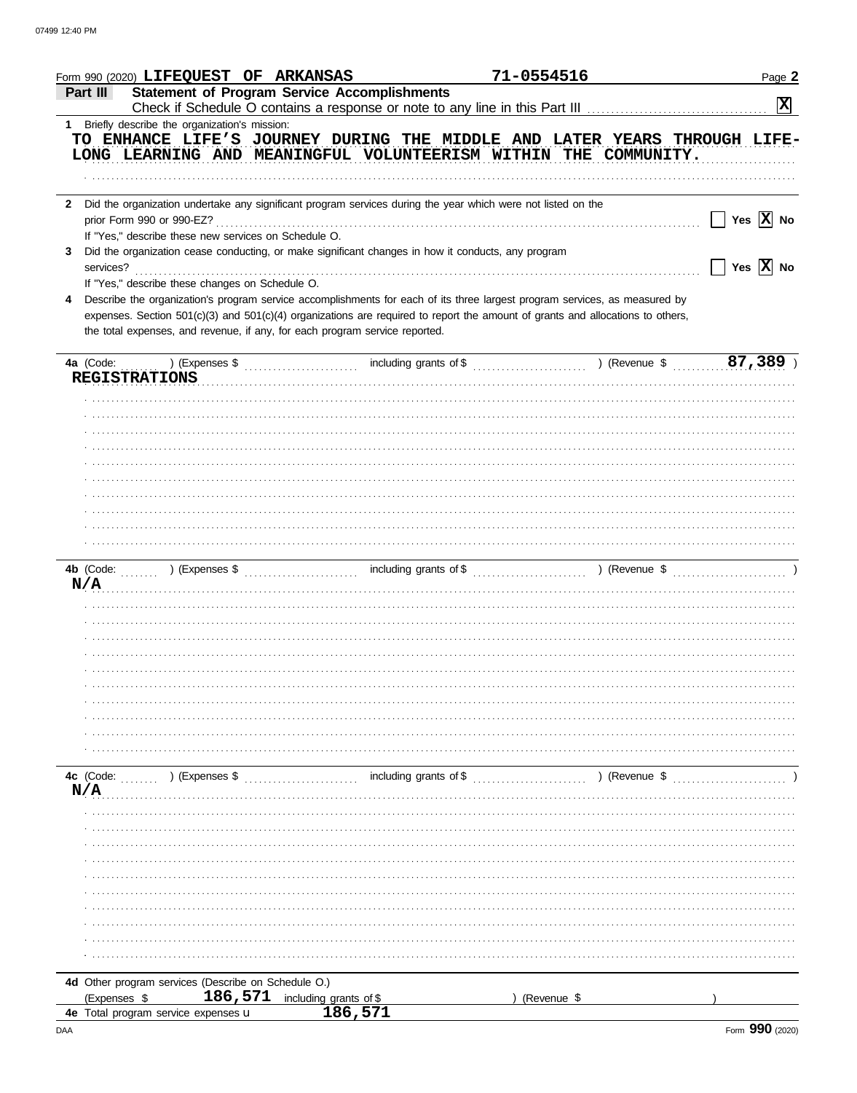| Form 990 (2020) LIFEQUEST OF ARKANSAS                                  |                                                                                                                                                                                                               | 71-0554516                                                                         |               | Page 2                |
|------------------------------------------------------------------------|---------------------------------------------------------------------------------------------------------------------------------------------------------------------------------------------------------------|------------------------------------------------------------------------------------|---------------|-----------------------|
| Part III                                                               | <b>Statement of Program Service Accomplishments</b>                                                                                                                                                           |                                                                                    |               | $\mathbf{x}$          |
| 1 Briefly describe the organization's mission:                         |                                                                                                                                                                                                               |                                                                                    |               |                       |
|                                                                        | TO ENHANCE LIFE'S JOURNEY DURING THE MIDDLE AND LATER YEARS THROUGH LIFE-<br>LONG LEARNING AND MEANINGFUL VOLUNTEERISM WITHIN THE COMMUNITY.                                                                  |                                                                                    |               |                       |
|                                                                        |                                                                                                                                                                                                               |                                                                                    |               |                       |
| $\mathbf{2}$<br>prior Form 990 or 990-EZ?                              | Did the organization undertake any significant program services during the year which were not listed on the                                                                                                  |                                                                                    |               | Yes $\overline{X}$ No |
| If "Yes," describe these new services on Schedule O.<br>3<br>services? | Did the organization cease conducting, or make significant changes in how it conducts, any program                                                                                                            |                                                                                    |               | Yes $\overline{X}$ No |
| If "Yes," describe these changes on Schedule O.<br>4                   | Describe the organization's program service accomplishments for each of its three largest program services, as measured by                                                                                    |                                                                                    |               |                       |
|                                                                        | expenses. Section 501(c)(3) and 501(c)(4) organizations are required to report the amount of grants and allocations to others,<br>the total expenses, and revenue, if any, for each program service reported. |                                                                                    |               |                       |
| 4a (Code:                                                              |                                                                                                                                                                                                               | including grants of \$ (1, 1, 289) (Revenue \$ (1, 1, 289) (Revenue \$ (1, 1, 289) |               |                       |
| <b>REGISTRATIONS</b>                                                   |                                                                                                                                                                                                               |                                                                                    |               |                       |
|                                                                        |                                                                                                                                                                                                               |                                                                                    |               |                       |
|                                                                        |                                                                                                                                                                                                               |                                                                                    |               |                       |
|                                                                        |                                                                                                                                                                                                               |                                                                                    |               |                       |
|                                                                        |                                                                                                                                                                                                               |                                                                                    |               |                       |
|                                                                        |                                                                                                                                                                                                               |                                                                                    |               |                       |
|                                                                        |                                                                                                                                                                                                               |                                                                                    |               |                       |
|                                                                        |                                                                                                                                                                                                               |                                                                                    |               |                       |
| N/A                                                                    |                                                                                                                                                                                                               |                                                                                    |               |                       |
|                                                                        |                                                                                                                                                                                                               |                                                                                    |               |                       |
|                                                                        |                                                                                                                                                                                                               |                                                                                    |               |                       |
|                                                                        |                                                                                                                                                                                                               |                                                                                    |               |                       |
|                                                                        |                                                                                                                                                                                                               |                                                                                    |               |                       |
|                                                                        |                                                                                                                                                                                                               |                                                                                    |               |                       |
|                                                                        |                                                                                                                                                                                                               |                                                                                    |               |                       |
|                                                                        |                                                                                                                                                                                                               |                                                                                    |               |                       |
|                                                                        |                                                                                                                                                                                                               |                                                                                    |               |                       |
| $\ldots$ ) (Expenses \$<br>4c (Code:<br>N/A                            |                                                                                                                                                                                                               | including grants of \$                                                             | ) (Revenue \$ |                       |
|                                                                        |                                                                                                                                                                                                               |                                                                                    |               |                       |
|                                                                        |                                                                                                                                                                                                               |                                                                                    |               |                       |
|                                                                        |                                                                                                                                                                                                               |                                                                                    |               |                       |
|                                                                        |                                                                                                                                                                                                               |                                                                                    |               |                       |
|                                                                        |                                                                                                                                                                                                               |                                                                                    |               |                       |
|                                                                        |                                                                                                                                                                                                               |                                                                                    |               |                       |
|                                                                        |                                                                                                                                                                                                               |                                                                                    |               |                       |
|                                                                        |                                                                                                                                                                                                               |                                                                                    |               |                       |
| 4d Other program services (Describe on Schedule O.)                    |                                                                                                                                                                                                               |                                                                                    |               |                       |
| (Expenses \$<br>4e Total program service expenses u                    | 186,571<br>including grants of \$<br>186,571                                                                                                                                                                  |                                                                                    | (Revenue \$   |                       |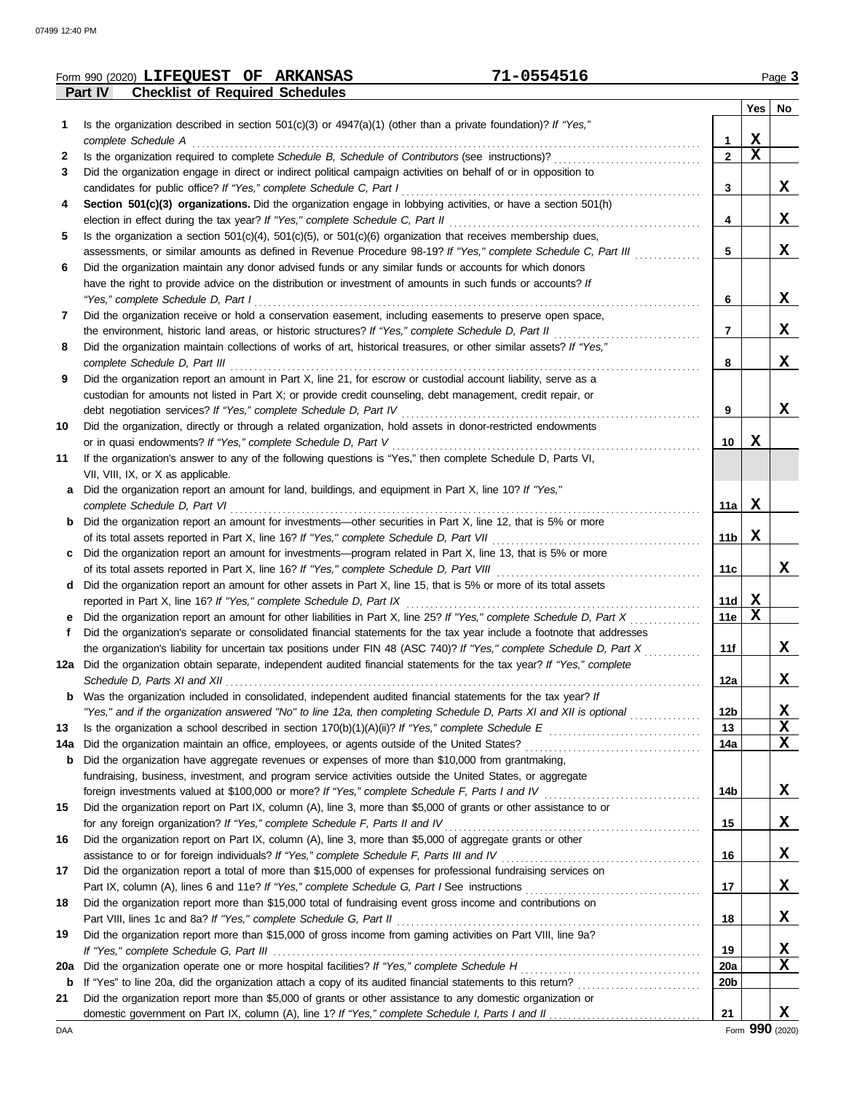|          | Form 990 (2020) LIFEQUEST OF ARKANSAS                                                                                                                                                           | 71-0554516      |             | Page 3 |
|----------|-------------------------------------------------------------------------------------------------------------------------------------------------------------------------------------------------|-----------------|-------------|--------|
|          | Part IV<br><b>Checklist of Required Schedules</b>                                                                                                                                               |                 |             |        |
|          |                                                                                                                                                                                                 |                 |             | Yes No |
| 1.       | Is the organization described in section $501(c)(3)$ or $4947(a)(1)$ (other than a private foundation)? If "Yes,"                                                                               |                 |             |        |
|          | complete Schedule A                                                                                                                                                                             | 1               | $\mathbf X$ |        |
| 2        | Is the organization required to complete Schedule B, Schedule of Contributors (see instructions)?                                                                                               | $\mathbf{2}$    | $\mathbf x$ |        |
| 3        | Did the organization engage in direct or indirect political campaign activities on behalf of or in opposition to                                                                                |                 |             | X      |
| 4        | candidates for public office? If "Yes," complete Schedule C, Part I<br>Section 501(c)(3) organizations. Did the organization engage in lobbying activities, or have a section 501(h)            | 3               |             |        |
|          | election in effect during the tax year? If "Yes," complete Schedule C, Part II                                                                                                                  | 4               |             | X      |
| 5        | Is the organization a section $501(c)(4)$ , $501(c)(5)$ , or $501(c)(6)$ organization that receives membership dues,                                                                            |                 |             |        |
|          | assessments, or similar amounts as defined in Revenue Procedure 98-19? If "Yes," complete Schedule C, Part III                                                                                  | 5               |             | X      |
| 6        | Did the organization maintain any donor advised funds or any similar funds or accounts for which donors                                                                                         |                 |             |        |
|          | have the right to provide advice on the distribution or investment of amounts in such funds or accounts? If                                                                                     |                 |             |        |
|          | "Yes," complete Schedule D, Part I                                                                                                                                                              | 6               |             | X      |
| 7        | Did the organization receive or hold a conservation easement, including easements to preserve open space,                                                                                       |                 |             |        |
|          | the environment, historic land areas, or historic structures? If "Yes," complete Schedule D, Part II                                                                                            | 7               |             | X      |
| 8        | Did the organization maintain collections of works of art, historical treasures, or other similar assets? If "Yes,"                                                                             |                 |             |        |
|          | complete Schedule D, Part III                                                                                                                                                                   | 8               |             | X      |
| 9        | Did the organization report an amount in Part X, line 21, for escrow or custodial account liability, serve as a                                                                                 |                 |             |        |
|          | custodian for amounts not listed in Part X; or provide credit counseling, debt management, credit repair, or                                                                                    |                 |             |        |
|          | debt negotiation services? If "Yes," complete Schedule D, Part IV                                                                                                                               | 9               |             | X      |
| 10       | Did the organization, directly or through a related organization, hold assets in donor-restricted endowments                                                                                    |                 |             |        |
|          | or in quasi endowments? If "Yes," complete Schedule D, Part V                                                                                                                                   | 10              | x           |        |
| 11       | If the organization's answer to any of the following questions is "Yes," then complete Schedule D, Parts VI,                                                                                    |                 |             |        |
|          | VII, VIII, IX, or X as applicable.                                                                                                                                                              |                 |             |        |
| a        | Did the organization report an amount for land, buildings, and equipment in Part X, line 10? If "Yes,"                                                                                          |                 |             |        |
|          | complete Schedule D, Part VI                                                                                                                                                                    | 11a             | X           |        |
| b        | Did the organization report an amount for investments—other securities in Part X, line 12, that is 5% or more                                                                                   |                 |             |        |
|          | of its total assets reported in Part X, line 16? If "Yes," complete Schedule D, Part VII                                                                                                        | 11b             | X           |        |
| c        | Did the organization report an amount for investments—program related in Part X, line 13, that is 5% or more                                                                                    |                 |             |        |
|          | of its total assets reported in Part X, line 16? If "Yes," complete Schedule D, Part VIII                                                                                                       | 11c             |             | X      |
| d        | Did the organization report an amount for other assets in Part X, line 15, that is 5% or more of its total assets                                                                               |                 |             |        |
|          | reported in Part X, line 16? If "Yes," complete Schedule D, Part IX                                                                                                                             | 11d             | $\mathbf x$ |        |
| е        | Did the organization report an amount for other liabilities in Part X, line 25? If "Yes," complete Schedule D, Part X                                                                           | 11e             | $\mathbf X$ |        |
|          | Did the organization's separate or consolidated financial statements for the tax year include a footnote that addresses                                                                         |                 |             |        |
|          | the organization's liability for uncertain tax positions under FIN 48 (ASC 740)? If "Yes," complete Schedule D, Part X                                                                          | 11f             |             | x      |
|          | 12a Did the organization obtain separate, independent audited financial statements for the tax year? If "Yes," complete                                                                         |                 |             |        |
|          |                                                                                                                                                                                                 | 12a             |             | X      |
|          | <b>b</b> Was the organization included in consolidated, independent audited financial statements for the tax year? If                                                                           |                 |             |        |
|          | "Yes," and if the organization answered "No" to line 12a, then completing Schedule D, Parts XI and XII is optional                                                                              | 12 <sub>b</sub> |             | х<br>X |
| 13       |                                                                                                                                                                                                 | 13<br>14a       |             | X      |
| 14a<br>b | Did the organization maintain an office, employees, or agents outside of the United States?<br>Did the organization have aggregate revenues or expenses of more than \$10,000 from grantmaking, |                 |             |        |
|          | fundraising, business, investment, and program service activities outside the United States, or aggregate                                                                                       |                 |             |        |
|          |                                                                                                                                                                                                 | 14b             |             | X      |
| 15       | Did the organization report on Part IX, column (A), line 3, more than \$5,000 of grants or other assistance to or                                                                               |                 |             |        |
|          | for any foreign organization? If "Yes," complete Schedule F, Parts II and IV                                                                                                                    | 15              |             | X      |
| 16       | Did the organization report on Part IX, column (A), line 3, more than \$5,000 of aggregate grants or other                                                                                      |                 |             |        |
|          | assistance to or for foreign individuals? If "Yes," complete Schedule F, Parts III and IV                                                                                                       | 16              |             | X      |
| 17       | Did the organization report a total of more than \$15,000 of expenses for professional fundraising services on                                                                                  |                 |             |        |
|          |                                                                                                                                                                                                 | 17              |             | X      |
| 18       | Did the organization report more than \$15,000 total of fundraising event gross income and contributions on                                                                                     |                 |             |        |
|          | Part VIII, lines 1c and 8a? If "Yes," complete Schedule G, Part II                                                                                                                              | 18              |             | X      |
| 19       | Did the organization report more than \$15,000 of gross income from gaming activities on Part VIII, line 9a?                                                                                    |                 |             |        |
|          |                                                                                                                                                                                                 | 19              |             | X      |
| 20a      |                                                                                                                                                                                                 | <b>20a</b>      |             | X      |
| b        | If "Yes" to line 20a, did the organization attach a copy of its audited financial statements to this return?                                                                                    | 20 <sub>b</sub> |             |        |
| 21       | Did the organization report more than \$5,000 of grants or other assistance to any domestic organization or                                                                                     |                 |             |        |
|          |                                                                                                                                                                                                 | 21              |             | X      |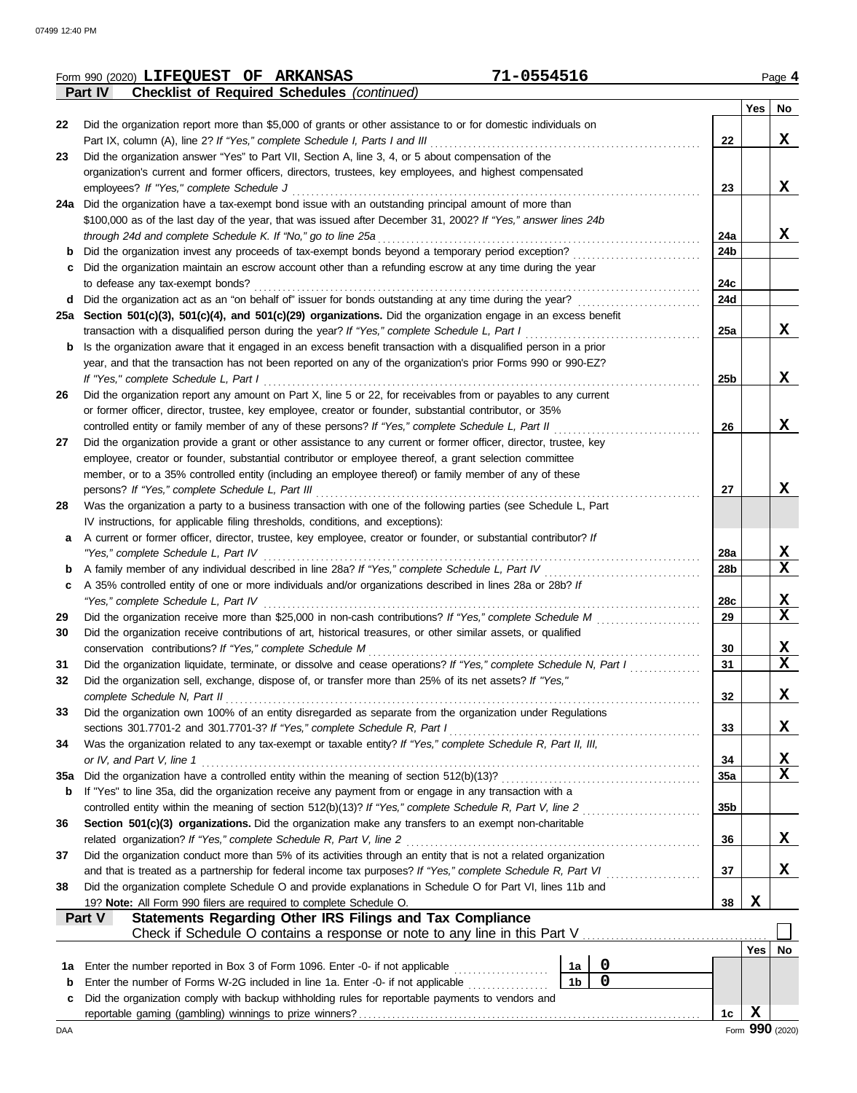|     | 71-0554516<br>Form 990 (2020) LIFEQUEST OF ARKANSAS                                                                                                                                                                           |                 |     | Page 4 |
|-----|-------------------------------------------------------------------------------------------------------------------------------------------------------------------------------------------------------------------------------|-----------------|-----|--------|
|     | <b>Checklist of Required Schedules (continued)</b><br><b>Part IV</b>                                                                                                                                                          |                 |     |        |
|     |                                                                                                                                                                                                                               |                 | Yes | No     |
| 22  | Did the organization report more than \$5,000 of grants or other assistance to or for domestic individuals on                                                                                                                 |                 |     |        |
|     | Part IX, column (A), line 2? If "Yes," complete Schedule I, Parts I and III                                                                                                                                                   | 22              |     | X      |
| 23  | Did the organization answer "Yes" to Part VII, Section A, line 3, 4, or 5 about compensation of the                                                                                                                           |                 |     |        |
|     | organization's current and former officers, directors, trustees, key employees, and highest compensated                                                                                                                       |                 |     | X      |
|     | employees? If "Yes," complete Schedule J<br>24a Did the organization have a tax-exempt bond issue with an outstanding principal amount of more than                                                                           | 23              |     |        |
|     | \$100,000 as of the last day of the year, that was issued after December 31, 2002? If "Yes," answer lines 24b                                                                                                                 |                 |     |        |
|     | through 24d and complete Schedule K. If "No," go to line 25a                                                                                                                                                                  | 24a             |     | X      |
| b   | Did the organization invest any proceeds of tax-exempt bonds beyond a temporary period exception?                                                                                                                             | 24b             |     |        |
| C   | Did the organization maintain an escrow account other than a refunding escrow at any time during the year                                                                                                                     |                 |     |        |
|     | to defease any tax-exempt bonds?                                                                                                                                                                                              | 24c             |     |        |
| d   | Did the organization act as an "on behalf of" issuer for bonds outstanding at any time during the year?                                                                                                                       | 24d             |     |        |
|     | 25a Section 501(c)(3), 501(c)(4), and 501(c)(29) organizations. Did the organization engage in an excess benefit                                                                                                              |                 |     |        |
|     | transaction with a disqualified person during the year? If "Yes," complete Schedule L, Part I                                                                                                                                 | 25a             |     | X      |
| b   | Is the organization aware that it engaged in an excess benefit transaction with a disqualified person in a prior                                                                                                              |                 |     |        |
|     | year, and that the transaction has not been reported on any of the organization's prior Forms 990 or 990-EZ?                                                                                                                  |                 |     |        |
|     | If "Yes," complete Schedule L, Part I                                                                                                                                                                                         | 25b             |     | X      |
| 26  | Did the organization report any amount on Part X, line 5 or 22, for receivables from or payables to any current                                                                                                               |                 |     |        |
|     | or former officer, director, trustee, key employee, creator or founder, substantial contributor, or 35%                                                                                                                       |                 |     |        |
|     | controlled entity or family member of any of these persons? If "Yes," complete Schedule L, Part II                                                                                                                            | 26              |     | X      |
| 27  | Did the organization provide a grant or other assistance to any current or former officer, director, trustee, key                                                                                                             |                 |     |        |
|     | employee, creator or founder, substantial contributor or employee thereof, a grant selection committee                                                                                                                        |                 |     |        |
|     | member, or to a 35% controlled entity (including an employee thereof) or family member of any of these                                                                                                                        |                 |     |        |
|     | persons? If "Yes," complete Schedule L, Part III                                                                                                                                                                              | 27              |     | X      |
| 28  | Was the organization a party to a business transaction with one of the following parties (see Schedule L, Part                                                                                                                |                 |     |        |
|     | IV instructions, for applicable filing thresholds, conditions, and exceptions):                                                                                                                                               |                 |     |        |
| a   | A current or former officer, director, trustee, key employee, creator or founder, or substantial contributor? If                                                                                                              |                 |     |        |
|     | "Yes," complete Schedule L, Part IV                                                                                                                                                                                           | 28a             |     | X      |
| b   | A family member of any individual described in line 28a? If "Yes," complete Schedule L, Part IV [[[[[[[[[[[[[                                                                                                                 | 28b             |     | X      |
| c   | A 35% controlled entity of one or more individuals and/or organizations described in lines 28a or 28b? If                                                                                                                     |                 |     |        |
|     |                                                                                                                                                                                                                               | 28c             |     | X      |
| 29  | Did the organization receive more than \$25,000 in non-cash contributions? If "Yes," complete Schedule M                                                                                                                      | 29              |     | X      |
| 30  | Did the organization receive contributions of art, historical treasures, or other similar assets, or qualified                                                                                                                |                 |     | X      |
|     | conservation contributions? If "Yes," complete Schedule M                                                                                                                                                                     | 30              |     | X      |
| 31  | Did the organization liquidate, terminate, or dissolve and cease operations? If "Yes," complete Schedule N, Part I<br>Did the organization sell, exchange, dispose of, or transfer more than 25% of its net assets? If "Yes," | 31              |     |        |
| 32  | complete Schedule N, Part II                                                                                                                                                                                                  | 32              |     | X      |
| 33  | Did the organization own 100% of an entity disregarded as separate from the organization under Regulations                                                                                                                    |                 |     |        |
|     | sections 301.7701-2 and 301.7701-3? If "Yes," complete Schedule R, Part I                                                                                                                                                     | 33              |     | X      |
| 34  | Was the organization related to any tax-exempt or taxable entity? If "Yes," complete Schedule R, Part II, III,                                                                                                                |                 |     |        |
|     | or IV, and Part V, line 1                                                                                                                                                                                                     | 34              |     | X      |
| 35a |                                                                                                                                                                                                                               | 35a             |     | X      |
| b   | If "Yes" to line 35a, did the organization receive any payment from or engage in any transaction with a                                                                                                                       |                 |     |        |
|     |                                                                                                                                                                                                                               | 35 <sub>b</sub> |     |        |
| 36  | Section 501(c)(3) organizations. Did the organization make any transfers to an exempt non-charitable                                                                                                                          |                 |     |        |
|     | related organization? If "Yes," complete Schedule R, Part V, line 2                                                                                                                                                           | 36              |     | X      |
| 37  | Did the organization conduct more than 5% of its activities through an entity that is not a related organization                                                                                                              |                 |     |        |
|     | and that is treated as a partnership for federal income tax purposes? If "Yes," complete Schedule R, Part VI                                                                                                                  | 37              |     | X      |
| 38  | Did the organization complete Schedule O and provide explanations in Schedule O for Part VI, lines 11b and                                                                                                                    |                 |     |        |
|     | 19? Note: All Form 990 filers are required to complete Schedule O.                                                                                                                                                            | 38              | Х   |        |
|     | Statements Regarding Other IRS Filings and Tax Compliance<br><b>Part V</b>                                                                                                                                                    |                 |     |        |
|     | Check if Schedule O contains a response or note to any line in this Part V                                                                                                                                                    |                 |     |        |
|     |                                                                                                                                                                                                                               |                 | Yes | No     |
| 1a  | $\mathbf 0$<br>Enter the number reported in Box 3 of Form 1096. Enter -0- if not applicable [[[[[[[[[[[[[[[[[[[[[[[[[[[[[[[[<br>1a                                                                                            |                 |     |        |
| b   | $\mathbf 0$<br>1 <sub>b</sub><br>Enter the number of Forms W-2G included in line 1a. Enter -0- if not applicable                                                                                                              |                 |     |        |
| c   | Did the organization comply with backup withholding rules for reportable payments to vendors and                                                                                                                              |                 |     |        |
|     |                                                                                                                                                                                                                               | 1 <sub>c</sub>  | X   |        |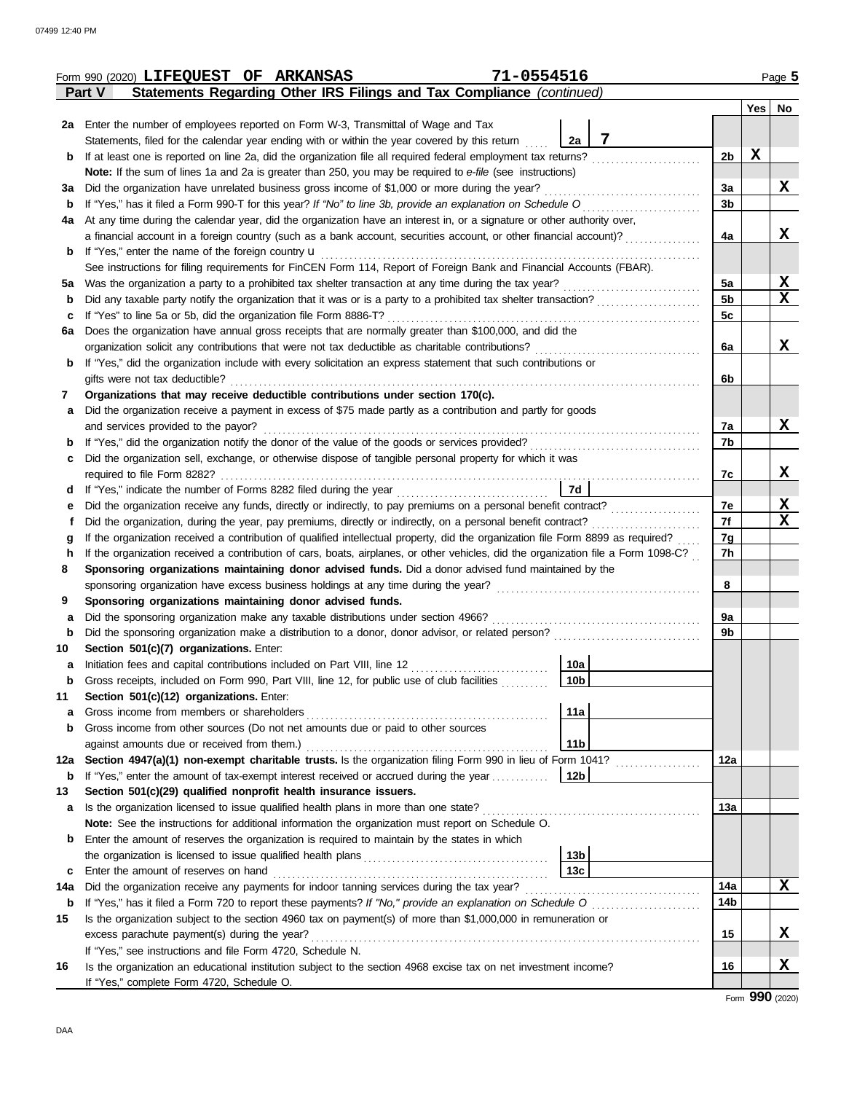|        | Form 990 (2020) LIFEQUEST OF ARKANSAS                                                                                                                                                                                                                                  | 71-0554516      |                |     | Page 5           |
|--------|------------------------------------------------------------------------------------------------------------------------------------------------------------------------------------------------------------------------------------------------------------------------|-----------------|----------------|-----|------------------|
|        | Statements Regarding Other IRS Filings and Tax Compliance (continued)<br>Part V                                                                                                                                                                                        |                 |                |     |                  |
|        |                                                                                                                                                                                                                                                                        |                 |                | Yes | No               |
|        | 2a Enter the number of employees reported on Form W-3, Transmittal of Wage and Tax                                                                                                                                                                                     |                 |                |     |                  |
|        | Statements, filed for the calendar year ending with or within the year covered by this return                                                                                                                                                                          | 7<br>2a         |                |     |                  |
| b      | If at least one is reported on line 2a, did the organization file all required federal employment tax returns?                                                                                                                                                         |                 | 2b             | X   |                  |
|        | Note: If the sum of lines 1a and 2a is greater than 250, you may be required to e-file (see instructions)                                                                                                                                                              |                 |                |     |                  |
| За     | Did the organization have unrelated business gross income of \$1,000 or more during the year?                                                                                                                                                                          |                 | За             |     | X                |
| b      | If "Yes," has it filed a Form 990-T for this year? If "No" to line 3b, provide an explanation on Schedule O                                                                                                                                                            |                 | 3 <sub>b</sub> |     |                  |
| 4a     | At any time during the calendar year, did the organization have an interest in, or a signature or other authority over,                                                                                                                                                |                 |                |     |                  |
|        | a financial account in a foreign country (such as a bank account, securities account, or other financial account)?                                                                                                                                                     |                 | 4a             |     | x                |
| b      | If "Yes," enter the name of the foreign country <b>u</b>                                                                                                                                                                                                               |                 |                |     |                  |
|        | See instructions for filing requirements for FinCEN Form 114, Report of Foreign Bank and Financial Accounts (FBAR).                                                                                                                                                    |                 |                |     |                  |
| 5а     | Was the organization a party to a prohibited tax shelter transaction at any time during the tax year?                                                                                                                                                                  |                 | 5a             |     | X                |
| b      | Did any taxable party notify the organization that it was or is a party to a prohibited tax shelter transaction?                                                                                                                                                       |                 | <b>5b</b>      |     | X                |
| c      | If "Yes" to line 5a or 5b, did the organization file Form 8886-T?                                                                                                                                                                                                      |                 | 5c             |     |                  |
| 6a     | Does the organization have annual gross receipts that are normally greater than \$100,000, and did the                                                                                                                                                                 |                 |                |     |                  |
|        | organization solicit any contributions that were not tax deductible as charitable contributions?                                                                                                                                                                       |                 | 6a             |     | x                |
| b      | If "Yes," did the organization include with every solicitation an express statement that such contributions or                                                                                                                                                         |                 |                |     |                  |
|        | gifts were not tax deductible?                                                                                                                                                                                                                                         |                 | 6b             |     |                  |
| 7      | Organizations that may receive deductible contributions under section 170(c).                                                                                                                                                                                          |                 |                |     |                  |
| a      | Did the organization receive a payment in excess of \$75 made partly as a contribution and partly for goods                                                                                                                                                            |                 |                |     |                  |
|        | and services provided to the payor?                                                                                                                                                                                                                                    |                 | 7a             |     | x                |
| b      |                                                                                                                                                                                                                                                                        |                 | 7b             |     |                  |
| c      | Did the organization sell, exchange, or otherwise dispose of tangible personal property for which it was                                                                                                                                                               |                 |                |     |                  |
|        | required to file Form 8282?                                                                                                                                                                                                                                            |                 | 7c             |     | X                |
| d      |                                                                                                                                                                                                                                                                        | 7d              |                |     |                  |
| е      | Did the organization receive any funds, directly or indirectly, to pay premiums on a personal benefit contract?                                                                                                                                                        |                 | 7e<br>7f       |     | X<br>$\mathbf x$ |
| t      | Did the organization, during the year, pay premiums, directly or indirectly, on a personal benefit contract?                                                                                                                                                           |                 |                |     |                  |
| g      | If the organization received a contribution of qualified intellectual property, did the organization file Form 8899 as required?<br>If the organization received a contribution of cars, boats, airplanes, or other vehicles, did the organization file a Form 1098-C? |                 | 7g<br>7h       |     |                  |
| h<br>8 | Sponsoring organizations maintaining donor advised funds. Did a donor advised fund maintained by the                                                                                                                                                                   |                 |                |     |                  |
|        |                                                                                                                                                                                                                                                                        |                 | 8              |     |                  |
| 9      | Sponsoring organizations maintaining donor advised funds.                                                                                                                                                                                                              |                 |                |     |                  |
| а      | Did the sponsoring organization make any taxable distributions under section 4966?                                                                                                                                                                                     |                 | 9a             |     |                  |
| b      | Did the sponsoring organization make a distribution to a donor, donor advisor, or related person?                                                                                                                                                                      |                 | 9b             |     |                  |
| 10     | Section 501(c)(7) organizations. Enter:                                                                                                                                                                                                                                |                 |                |     |                  |
|        |                                                                                                                                                                                                                                                                        | 10a             |                |     |                  |
| b      | Gross receipts, included on Form 990, Part VIII, line 12, for public use of club facilities                                                                                                                                                                            | 10 <sub>b</sub> |                |     |                  |
| 11     | Section 501(c)(12) organizations. Enter:                                                                                                                                                                                                                               |                 |                |     |                  |
| a      | Gross income from members or shareholders                                                                                                                                                                                                                              | 11a             |                |     |                  |
| b      | Gross income from other sources (Do not net amounts due or paid to other sources                                                                                                                                                                                       |                 |                |     |                  |
|        | against amounts due or received from them.)                                                                                                                                                                                                                            | 11 <sub>b</sub> |                |     |                  |
| 12a    | Section 4947(a)(1) non-exempt charitable trusts. Is the organization filing Form 990 in lieu of Form 1041?                                                                                                                                                             |                 | 12a            |     |                  |
| b      | If "Yes," enter the amount of tax-exempt interest received or accrued during the year                                                                                                                                                                                  | 12b             |                |     |                  |
| 13     | Section 501(c)(29) qualified nonprofit health insurance issuers.                                                                                                                                                                                                       |                 |                |     |                  |
| a      | Is the organization licensed to issue qualified health plans in more than one state?                                                                                                                                                                                   |                 | 13a            |     |                  |
|        | Note: See the instructions for additional information the organization must report on Schedule O.                                                                                                                                                                      |                 |                |     |                  |
| b      | Enter the amount of reserves the organization is required to maintain by the states in which                                                                                                                                                                           |                 |                |     |                  |
|        |                                                                                                                                                                                                                                                                        | 13 <sub>b</sub> |                |     |                  |
| c      | Enter the amount of reserves on hand                                                                                                                                                                                                                                   | 13 <sub>c</sub> |                |     |                  |
| 14a    | Did the organization receive any payments for indoor tanning services during the tax year?                                                                                                                                                                             |                 | 14a            |     | x                |
| b      |                                                                                                                                                                                                                                                                        |                 | 14b            |     |                  |
| 15     | Is the organization subject to the section 4960 tax on payment(s) of more than \$1,000,000 in remuneration or                                                                                                                                                          |                 |                |     |                  |
|        | excess parachute payment(s) during the year?                                                                                                                                                                                                                           |                 | 15             |     | X                |
|        | If "Yes," see instructions and file Form 4720, Schedule N.                                                                                                                                                                                                             |                 |                |     |                  |
| 16     | Is the organization an educational institution subject to the section 4968 excise tax on net investment income?                                                                                                                                                        |                 | 16             |     | X                |
|        | If "Yes," complete Form 4720, Schedule O.                                                                                                                                                                                                                              |                 |                |     |                  |

Form **990** (2020)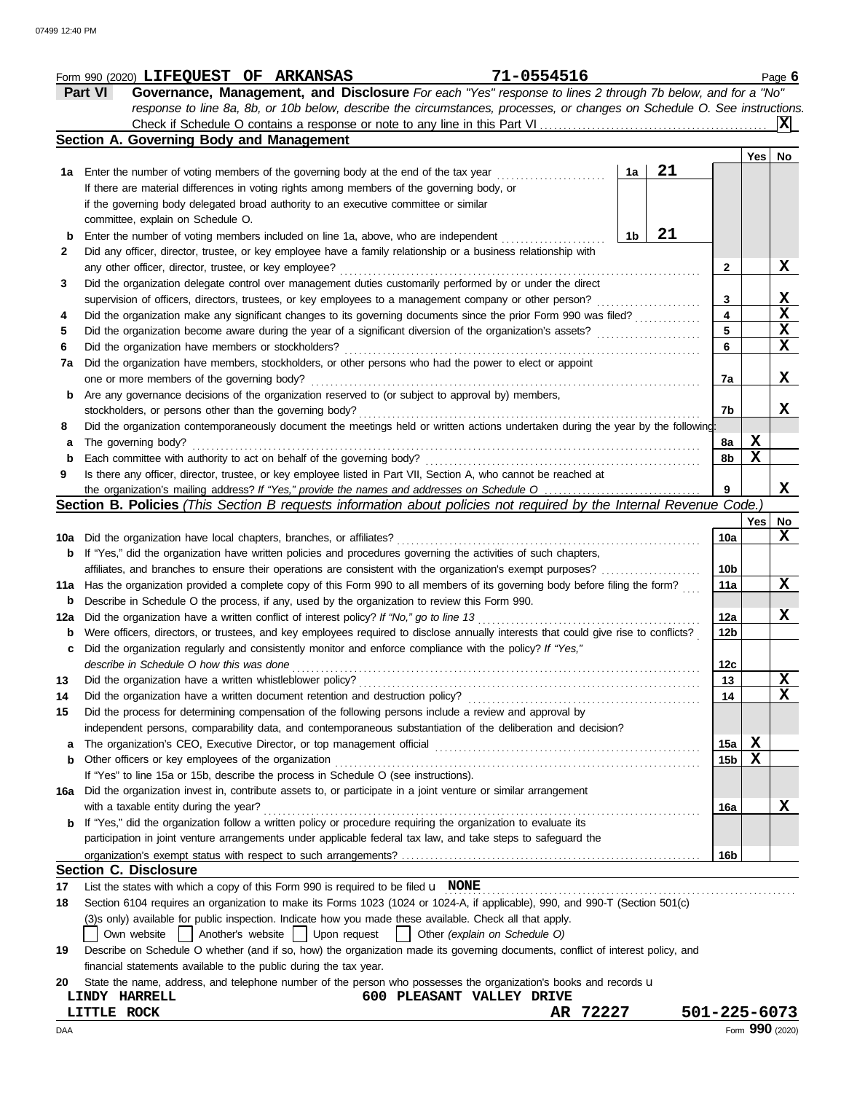|     | 71-0554516<br>Form 990 (2020) LIFEQUEST OF ARKANSAS                                                                                                            |                 |             | Page $6$        |
|-----|----------------------------------------------------------------------------------------------------------------------------------------------------------------|-----------------|-------------|-----------------|
|     | Governance, Management, and Disclosure For each "Yes" response to lines 2 through 7b below, and for a "No"<br><b>Part VI</b>                                   |                 |             |                 |
|     | response to line 8a, 8b, or 10b below, describe the circumstances, processes, or changes on Schedule O. See instructions.                                      |                 |             |                 |
|     | Check if Schedule O contains a response or note to any line in this Part VI                                                                                    |                 |             | ΙXΙ             |
|     | Section A. Governing Body and Management                                                                                                                       |                 |             |                 |
|     |                                                                                                                                                                |                 | Yes No      |                 |
|     | 21<br>1a Enter the number of voting members of the governing body at the end of the tax year<br>1a                                                             |                 |             |                 |
|     | If there are material differences in voting rights among members of the governing body, or                                                                     |                 |             |                 |
|     | if the governing body delegated broad authority to an executive committee or similar                                                                           |                 |             |                 |
|     | committee, explain on Schedule O.                                                                                                                              |                 |             |                 |
| b   | 21<br>1b<br>Enter the number of voting members included on line 1a, above, who are independent                                                                 |                 |             |                 |
| 2   | Did any officer, director, trustee, or key employee have a family relationship or a business relationship with                                                 |                 |             |                 |
|     | any other officer, director, trustee, or key employee?                                                                                                         | 2               |             | X               |
| 3   | Did the organization delegate control over management duties customarily performed by or under the direct                                                      |                 |             |                 |
|     | supervision of officers, directors, trustees, or key employees to a management company or other person?                                                        | 3               |             | X               |
|     | Did the organization make any significant changes to its governing documents since the prior Form 990 was filed?                                               | 4               |             | $\mathbf X$     |
| 4   | Did the organization become aware during the year of a significant diversion of the organization's assets?                                                     | 5               |             | X               |
| 5   |                                                                                                                                                                | 6               |             | $\mathbf{x}$    |
| 6   | Did the organization have members or stockholders?                                                                                                             |                 |             |                 |
| 7a  | Did the organization have members, stockholders, or other persons who had the power to elect or appoint                                                        |                 |             |                 |
|     | one or more members of the governing body?                                                                                                                     | 7a              |             | X               |
| b   | Are any governance decisions of the organization reserved to (or subject to approval by) members,                                                              |                 |             |                 |
|     | stockholders, or persons other than the governing body?                                                                                                        | 7b              |             | x               |
| 8   | Did the organization contemporaneously document the meetings held or written actions undertaken during the year by the following:                              |                 |             |                 |
| а   | The governing body?                                                                                                                                            | 8a              | х           |                 |
| b   | Each committee with authority to act on behalf of the governing body?                                                                                          | 8b              | $\mathbf x$ |                 |
| 9   | Is there any officer, director, trustee, or key employee listed in Part VII, Section A, who cannot be reached at                                               |                 |             |                 |
|     |                                                                                                                                                                | 9               |             | X               |
|     | <b>Section B. Policies</b> (This Section B requests information about policies not required by the Internal Revenue Code.                                      |                 |             |                 |
|     |                                                                                                                                                                |                 | Yes         | No              |
| 10a | Did the organization have local chapters, branches, or affiliates?                                                                                             | 10a             |             | X               |
| b   | If "Yes," did the organization have written policies and procedures governing the activities of such chapters,                                                 |                 |             |                 |
|     | affiliates, and branches to ensure their operations are consistent with the organization's exempt purposes?                                                    | 10 <sub>b</sub> |             |                 |
| 11a | Has the organization provided a complete copy of this Form 990 to all members of its governing body before filing the form?                                    | 11a             |             | X               |
| b   | Describe in Schedule O the process, if any, used by the organization to review this Form 990.                                                                  |                 |             |                 |
| 12a | Did the organization have a written conflict of interest policy? If "No," go to line 13                                                                        | 12a             |             | X               |
| b   | Were officers, directors, or trustees, and key employees required to disclose annually interests that could give rise to conflicts?                            | 12 <sub>b</sub> |             |                 |
|     | Did the organization regularly and consistently monitor and enforce compliance with the policy? If "Yes,"                                                      |                 |             |                 |
|     | describe in Schedule O how this was done                                                                                                                       | 12c             |             |                 |
| 13  | Did the organization have a written whistleblower policy?                                                                                                      | 13              |             | X               |
| 14  | Did the organization have a written document retention and destruction policy?                                                                                 | 14              |             | X               |
| 15  | Did the process for determining compensation of the following persons include a review and approval by                                                         |                 |             |                 |
|     | independent persons, comparability data, and contemporaneous substantiation of the deliberation and decision?                                                  |                 |             |                 |
| a   | The organization's CEO, Executive Director, or top management official                                                                                         | 15a             | X           |                 |
| b   | Other officers or key employees of the organization                                                                                                            | 15 <sub>b</sub> | $\mathbf x$ |                 |
|     | If "Yes" to line 15a or 15b, describe the process in Schedule O (see instructions).                                                                            |                 |             |                 |
| 16a | Did the organization invest in, contribute assets to, or participate in a joint venture or similar arrangement                                                 |                 |             |                 |
|     | with a taxable entity during the year?                                                                                                                         | 16a             |             | x               |
| b   | If "Yes," did the organization follow a written policy or procedure requiring the organization to evaluate its                                                 |                 |             |                 |
|     | participation in joint venture arrangements under applicable federal tax law, and take steps to safeguard the                                                  |                 |             |                 |
|     |                                                                                                                                                                | 16b             |             |                 |
|     | <b>Section C. Disclosure</b>                                                                                                                                   |                 |             |                 |
| 17  | List the states with which a copy of this Form 990 is required to be filed $\mathbf u$ NONE                                                                    |                 |             |                 |
| 18  | Section 6104 requires an organization to make its Forms 1023 (1024 or 1024-A, if applicable), 990, and 990-T (Section 501(c)                                   |                 |             |                 |
|     | (3) s only) available for public inspection. Indicate how you made these available. Check all that apply.                                                      |                 |             |                 |
|     | Another's website     Upon request<br>Own website<br>Other (explain on Schedule O)                                                                             |                 |             |                 |
| 19  |                                                                                                                                                                |                 |             |                 |
|     | Describe on Schedule O whether (and if so, how) the organization made its governing documents, conflict of interest policy, and                                |                 |             |                 |
|     | financial statements available to the public during the tax year.                                                                                              |                 |             |                 |
| 20  | State the name, address, and telephone number of the person who possesses the organization's books and records u<br>600 PLEASANT VALLEY DRIVE<br>LINDY HARRELL |                 |             |                 |
|     | AR 72227<br>LITTLE ROCK                                                                                                                                        | 501-225-6073    |             |                 |
|     |                                                                                                                                                                |                 |             |                 |
| DAA |                                                                                                                                                                |                 |             | Form 990 (2020) |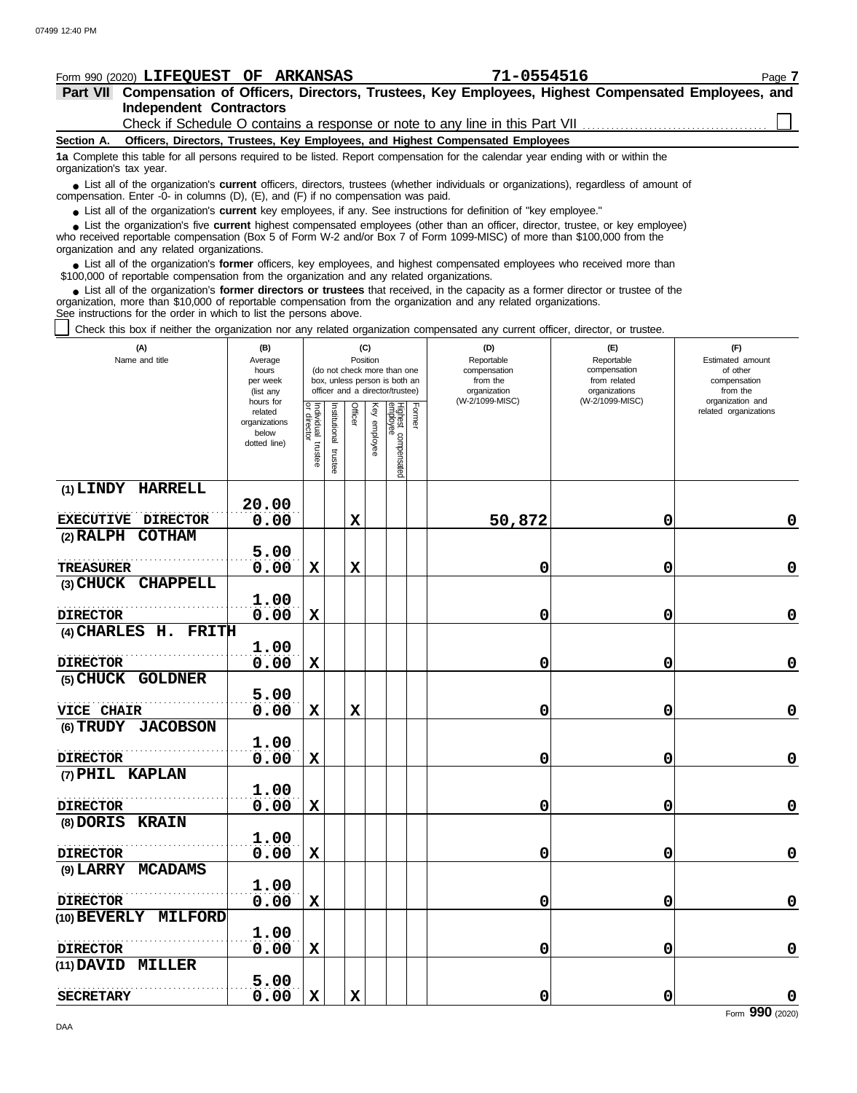| <b>Independent Contractors</b>                                                                                                                                                                                                                                                                                                |                        |                    |               |                                                              |          |                                 |        | Check if Schedule O contains a response or note to any line in this Part VII    |                                  |                              |             |
|-------------------------------------------------------------------------------------------------------------------------------------------------------------------------------------------------------------------------------------------------------------------------------------------------------------------------------|------------------------|--------------------|---------------|--------------------------------------------------------------|----------|---------------------------------|--------|---------------------------------------------------------------------------------|----------------------------------|------------------------------|-------------|
| Section A.                                                                                                                                                                                                                                                                                                                    |                        |                    |               |                                                              |          |                                 |        | Officers, Directors, Trustees, Key Employees, and Highest Compensated Employees |                                  |                              |             |
| 1a Complete this table for all persons required to be listed. Report compensation for the calendar year ending with or within the<br>organization's tax year.                                                                                                                                                                 |                        |                    |               |                                                              |          |                                 |        |                                                                                 |                                  |                              |             |
| • List all of the organization's current officers, directors, trustees (whether individuals or organizations), regardless of amount of<br>compensation. Enter -0- in columns (D), (E), and (F) if no compensation was paid.                                                                                                   |                        |                    |               |                                                              |          |                                 |        |                                                                                 |                                  |                              |             |
| • List all of the organization's current key employees, if any. See instructions for definition of "key employee."                                                                                                                                                                                                            |                        |                    |               |                                                              |          |                                 |        |                                                                                 |                                  |                              |             |
| • List the organization's five current highest compensated employees (other than an officer, director, trustee, or key employee)<br>who received reportable compensation (Box 5 of Form W-2 and/or Box 7 of Form 1099-MISC) of more than \$100,000 from the<br>organization and any related organizations.                    |                        |                    |               |                                                              |          |                                 |        |                                                                                 |                                  |                              |             |
| • List all of the organization's former officers, key employees, and highest compensated employees who received more than<br>\$100,000 of reportable compensation from the organization and any related organizations.                                                                                                        |                        |                    |               |                                                              |          |                                 |        |                                                                                 |                                  |                              |             |
| • List all of the organization's former directors or trustees that received, in the capacity as a former director or trustee of the<br>organization, more than \$10,000 of reportable compensation from the organization and any related organizations.<br>See instructions for the order in which to list the persons above. |                        |                    |               |                                                              |          |                                 |        |                                                                                 |                                  |                              |             |
| Check this box if neither the organization nor any related organization compensated any current officer, director, or trustee.                                                                                                                                                                                                |                        |                    |               |                                                              |          |                                 |        |                                                                                 |                                  |                              |             |
| (A)                                                                                                                                                                                                                                                                                                                           | (B)                    |                    |               |                                                              | (C)      |                                 |        | (D)                                                                             | (E)                              | (F)                          |             |
| Name and title                                                                                                                                                                                                                                                                                                                | Average                |                    |               |                                                              | Position |                                 |        | Reportable                                                                      | Reportable                       | Estimated amount             |             |
|                                                                                                                                                                                                                                                                                                                               | hours<br>per week      |                    |               | (do not check more than one<br>box, unless person is both an |          |                                 |        | compensation<br>from the                                                        | compensation<br>from related     | of other<br>compensation     |             |
|                                                                                                                                                                                                                                                                                                                               | (list any<br>hours for |                    |               |                                                              |          | officer and a director/trustee) |        | organization<br>(W-2/1099-MISC)                                                 | organizations<br>(W-2/1099-MISC) | from the<br>organization and |             |
|                                                                                                                                                                                                                                                                                                                               | related                | ₽                  |               | Officer                                                      | Key      |                                 | Former |                                                                                 |                                  | related organizations        |             |
|                                                                                                                                                                                                                                                                                                                               | organizations<br>below | director           | Institutional |                                                              |          |                                 |        |                                                                                 |                                  |                              |             |
|                                                                                                                                                                                                                                                                                                                               | dotted line)           |                    |               |                                                              | employee |                                 |        |                                                                                 |                                  |                              |             |
|                                                                                                                                                                                                                                                                                                                               |                        | Individual trustee | trustee       |                                                              |          | Highest compensated<br>employee |        |                                                                                 |                                  |                              |             |
| (1) LINDY HARRELL                                                                                                                                                                                                                                                                                                             |                        |                    |               |                                                              |          |                                 |        |                                                                                 |                                  |                              |             |
|                                                                                                                                                                                                                                                                                                                               | 20.00                  |                    |               |                                                              |          |                                 |        |                                                                                 |                                  |                              |             |
| EXECUTIVE DIRECTOR                                                                                                                                                                                                                                                                                                            | 0.00                   |                    |               | X                                                            |          |                                 |        | 50,872                                                                          | 0                                |                              | 0           |
| (2) RALPH COTHAM                                                                                                                                                                                                                                                                                                              |                        |                    |               |                                                              |          |                                 |        |                                                                                 |                                  |                              |             |
|                                                                                                                                                                                                                                                                                                                               | 5.00                   |                    |               |                                                              |          |                                 |        |                                                                                 |                                  |                              |             |
| <b>TREASURER</b>                                                                                                                                                                                                                                                                                                              | 0.00                   | X                  |               | X                                                            |          |                                 |        | 0                                                                               | 0                                |                              | 0           |
| (3) CHUCK CHAPPELL                                                                                                                                                                                                                                                                                                            |                        |                    |               |                                                              |          |                                 |        |                                                                                 |                                  |                              |             |
|                                                                                                                                                                                                                                                                                                                               | 1.00                   |                    |               |                                                              |          |                                 |        |                                                                                 |                                  |                              |             |
| <b>DIRECTOR</b><br>(4) CHARLES H. FRITH                                                                                                                                                                                                                                                                                       | 0.00                   | X                  |               |                                                              |          |                                 |        | 0                                                                               | 0                                |                              | 0           |
|                                                                                                                                                                                                                                                                                                                               | 1.00                   |                    |               |                                                              |          |                                 |        |                                                                                 |                                  |                              |             |
| <b>DIRECTOR</b>                                                                                                                                                                                                                                                                                                               | 0.00                   | X                  |               |                                                              |          |                                 |        | 0                                                                               | 0                                |                              | 0           |
| (5) CHUCK GOLDNER                                                                                                                                                                                                                                                                                                             |                        |                    |               |                                                              |          |                                 |        |                                                                                 |                                  |                              |             |
| .                                                                                                                                                                                                                                                                                                                             | 5.00                   |                    |               |                                                              |          |                                 |        |                                                                                 |                                  |                              |             |
| VICE CHAIR                                                                                                                                                                                                                                                                                                                    | 0.00                   | X                  |               | $\mathbf x$                                                  |          |                                 |        | 0                                                                               | 0                                |                              | $\pmb{0}$   |
| (6) TRUDY JACOBSON                                                                                                                                                                                                                                                                                                            |                        |                    |               |                                                              |          |                                 |        |                                                                                 |                                  |                              |             |
|                                                                                                                                                                                                                                                                                                                               | 1.00                   |                    |               |                                                              |          |                                 |        |                                                                                 |                                  |                              |             |
| <b>DIRECTOR</b>                                                                                                                                                                                                                                                                                                               | 0.00                   | $\mathbf x$        |               |                                                              |          |                                 |        | $\mathbf 0$                                                                     | 0                                |                              | $\mathbf 0$ |
| (7) PHIL KAPLAN                                                                                                                                                                                                                                                                                                               |                        |                    |               |                                                              |          |                                 |        |                                                                                 |                                  |                              |             |
| <b>DIRECTOR</b>                                                                                                                                                                                                                                                                                                               | 1.00<br>0.00           | $\mathbf x$        |               |                                                              |          |                                 |        | $\mathbf 0$                                                                     | 0                                |                              | $\mathbf 0$ |
| (8) DORIS KRAIN                                                                                                                                                                                                                                                                                                               |                        |                    |               |                                                              |          |                                 |        |                                                                                 |                                  |                              |             |
|                                                                                                                                                                                                                                                                                                                               | 1.00                   |                    |               |                                                              |          |                                 |        |                                                                                 |                                  |                              |             |
| <b>DIRECTOR</b>                                                                                                                                                                                                                                                                                                               | 0.00                   | $\mathbf x$        |               |                                                              |          |                                 |        | $\mathbf 0$                                                                     | 0                                |                              | $\mathbf 0$ |
| (9) LARRY MCADAMS                                                                                                                                                                                                                                                                                                             |                        |                    |               |                                                              |          |                                 |        |                                                                                 |                                  |                              |             |
|                                                                                                                                                                                                                                                                                                                               | 1.00                   |                    |               |                                                              |          |                                 |        |                                                                                 |                                  |                              |             |
| <b>DIRECTOR</b>                                                                                                                                                                                                                                                                                                               | 0.00                   | $\mathbf x$        |               |                                                              |          |                                 |        | $\mathbf 0$                                                                     | 0                                |                              | $\mathbf 0$ |
| (10) BEVERLY MILFORD                                                                                                                                                                                                                                                                                                          |                        |                    |               |                                                              |          |                                 |        |                                                                                 |                                  |                              |             |
|                                                                                                                                                                                                                                                                                                                               | 1.00                   |                    |               |                                                              |          |                                 |        |                                                                                 |                                  |                              |             |
| <b>DIRECTOR</b>                                                                                                                                                                                                                                                                                                               | 0.00                   | $\mathbf x$        |               |                                                              |          |                                 |        | $\mathbf 0$                                                                     | 0                                |                              | $\mathbf 0$ |
| (11) DAVID MILLER                                                                                                                                                                                                                                                                                                             |                        |                    |               |                                                              |          |                                 |        |                                                                                 |                                  |                              |             |

**Part VII Compensation of Officers, Directors, Trustees, Key Employees, Highest Compensated Employees, and Form 990 (2020) LIFEQUEST OF ARKANSAS 71-0554516** Page **7** 

**SECRETARY**

. . . . . . . . . . . . . . . . . . . . . . . . . . . . . . . . . . . . . . . . . . . . . . . . . . . **5.00**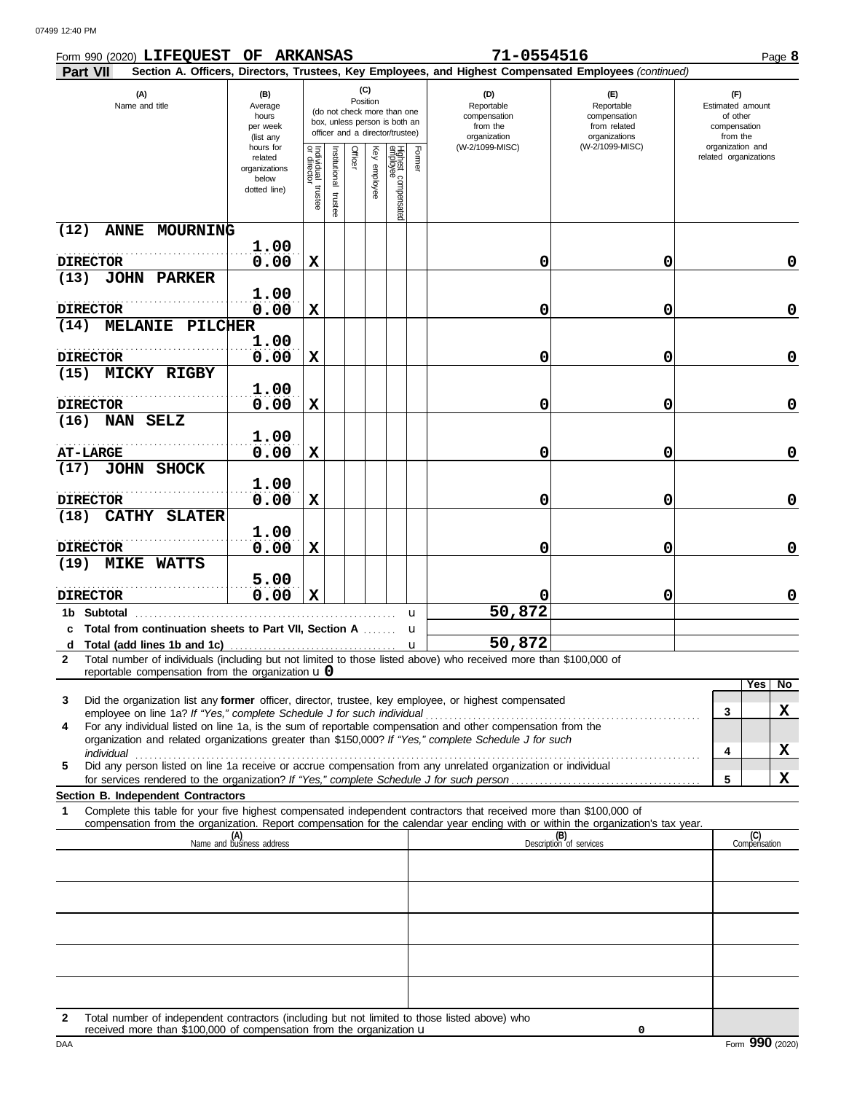| Form 990 (2020) LIFEQUEST OF ARKANSAS                                                                                                                                                                                                                       |                                                                |                                        |                          |                 |              |                                                                                                 |        | 71-0554516                                                    |                                                                                                        | Page 8                                                          |
|-------------------------------------------------------------------------------------------------------------------------------------------------------------------------------------------------------------------------------------------------------------|----------------------------------------------------------------|----------------------------------------|--------------------------|-----------------|--------------|-------------------------------------------------------------------------------------------------|--------|---------------------------------------------------------------|--------------------------------------------------------------------------------------------------------|-----------------------------------------------------------------|
| Part VII                                                                                                                                                                                                                                                    |                                                                |                                        |                          |                 |              |                                                                                                 |        |                                                               | Section A. Officers, Directors, Trustees, Key Employees, and Highest Compensated Employees (continued) |                                                                 |
| (A)<br>Name and title                                                                                                                                                                                                                                       | (B)<br>Average<br>hours<br>per week<br>(list any               |                                        |                          | (C)<br>Position |              | (do not check more than one<br>box, unless person is both an<br>officer and a director/trustee) |        | (D)<br>Reportable<br>compensation<br>from the<br>organization | (E)<br>Reportable<br>compensation<br>from related<br>organizations                                     | (F)<br>Estimated amount<br>of other<br>compensation<br>from the |
|                                                                                                                                                                                                                                                             | hours for<br>related<br>organizations<br>below<br>dotted line) | Individual 1<br>or director<br>trustee | Institutional<br>trustee | Officer         | Key employee | Highest compensated<br>employee                                                                 | Former | (W-2/1099-MISC)                                               | (W-2/1099-MISC)                                                                                        | organization and<br>related organizations                       |
| (12)<br>ANNE MOURNING                                                                                                                                                                                                                                       |                                                                |                                        |                          |                 |              |                                                                                                 |        |                                                               |                                                                                                        |                                                                 |
| <b>DIRECTOR</b>                                                                                                                                                                                                                                             | 1.00<br>0.00                                                   | X                                      |                          |                 |              |                                                                                                 |        | 0                                                             | 0                                                                                                      | 0                                                               |
| <b>JOHN PARKER</b><br>(13)                                                                                                                                                                                                                                  | 1.00                                                           |                                        |                          |                 |              |                                                                                                 |        |                                                               |                                                                                                        |                                                                 |
| <b>DIRECTOR</b><br>(14)<br><b>MELANIE</b><br>PILCHER                                                                                                                                                                                                        | 0.00                                                           | X                                      |                          |                 |              |                                                                                                 |        | 0                                                             | 0                                                                                                      | 0                                                               |
| <b>DIRECTOR</b>                                                                                                                                                                                                                                             | 1.00<br>0.00                                                   | X                                      |                          |                 |              |                                                                                                 |        | 0                                                             | 0                                                                                                      | 0                                                               |
| <b>MICKY RIGBY</b><br>(15)<br><b>DIRECTOR</b>                                                                                                                                                                                                               | 1.00<br>0.00                                                   | X                                      |                          |                 |              |                                                                                                 |        | 0                                                             | 0                                                                                                      | 0                                                               |
| NAN SELZ<br>(16)                                                                                                                                                                                                                                            |                                                                |                                        |                          |                 |              |                                                                                                 |        |                                                               |                                                                                                        |                                                                 |
| <b>AT-LARGE</b>                                                                                                                                                                                                                                             | 1.00<br>0.00                                                   | X                                      |                          |                 |              |                                                                                                 |        | 0                                                             | 0                                                                                                      | 0                                                               |
| (17)<br>JOHN SHOCK                                                                                                                                                                                                                                          |                                                                |                                        |                          |                 |              |                                                                                                 |        |                                                               |                                                                                                        |                                                                 |
| <b>DIRECTOR</b>                                                                                                                                                                                                                                             | 1.00<br>0.00                                                   | X                                      |                          |                 |              |                                                                                                 |        | 0                                                             | 0                                                                                                      | 0                                                               |
| <b>CATHY</b><br>(18)<br><b>SLATER</b><br><b>DIRECTOR</b>                                                                                                                                                                                                    | 1.00<br>0.00                                                   | X                                      |                          |                 |              |                                                                                                 |        | 0                                                             | 0                                                                                                      | 0                                                               |
| (19)<br><b>MIKE WATTS</b>                                                                                                                                                                                                                                   | 5.00                                                           |                                        |                          |                 |              |                                                                                                 |        |                                                               |                                                                                                        |                                                                 |
| <b>DIRECTOR</b>                                                                                                                                                                                                                                             | 0.00                                                           | X                                      |                          |                 |              |                                                                                                 |        | 0<br>50,872                                                   | 0                                                                                                      | 0                                                               |
| 1b Subtotal<br>c Total from continuation sheets to Part VII, Section A                                                                                                                                                                                      |                                                                |                                        |                          |                 |              |                                                                                                 | u<br>u |                                                               |                                                                                                        |                                                                 |
| d<br>Total number of individuals (including but not limited to those listed above) who received more than \$100,000 of<br>$\mathbf{2}$                                                                                                                      |                                                                |                                        |                          |                 |              |                                                                                                 | u      | <u>50,872</u>                                                 |                                                                                                        |                                                                 |
| reportable compensation from the organization $\bf{u}$ 0                                                                                                                                                                                                    |                                                                |                                        |                          |                 |              |                                                                                                 |        |                                                               |                                                                                                        | Yes<br>No                                                       |
| Did the organization list any <b>former</b> officer, director, trustee, key employee, or highest compensated<br>3<br>employee on line 1a? If "Yes," complete Schedule J for such individual                                                                 |                                                                |                                        |                          |                 |              |                                                                                                 |        |                                                               |                                                                                                        | X<br>3                                                          |
| For any individual listed on line 1a, is the sum of reportable compensation and other compensation from the<br>4<br>organization and related organizations greater than \$150,000? If "Yes," complete Schedule J for such                                   |                                                                |                                        |                          |                 |              |                                                                                                 |        |                                                               |                                                                                                        | X<br>4                                                          |
| individual<br>Did any person listed on line 1a receive or accrue compensation from any unrelated organization or individual<br>5                                                                                                                            |                                                                |                                        |                          |                 |              |                                                                                                 |        |                                                               |                                                                                                        | X<br>5                                                          |
| Section B. Independent Contractors                                                                                                                                                                                                                          |                                                                |                                        |                          |                 |              |                                                                                                 |        |                                                               |                                                                                                        |                                                                 |
| Complete this table for your five highest compensated independent contractors that received more than \$100,000 of<br>1<br>compensation from the organization. Report compensation for the calendar year ending with or within the organization's tax year. |                                                                |                                        |                          |                 |              |                                                                                                 |        |                                                               |                                                                                                        |                                                                 |
|                                                                                                                                                                                                                                                             | (A)<br>Name and business address                               |                                        |                          |                 |              |                                                                                                 |        |                                                               | (B)<br>Description of services                                                                         | (C)<br>Compensation                                             |
|                                                                                                                                                                                                                                                             |                                                                |                                        |                          |                 |              |                                                                                                 |        |                                                               |                                                                                                        |                                                                 |
|                                                                                                                                                                                                                                                             |                                                                |                                        |                          |                 |              |                                                                                                 |        |                                                               |                                                                                                        |                                                                 |
|                                                                                                                                                                                                                                                             |                                                                |                                        |                          |                 |              |                                                                                                 |        |                                                               |                                                                                                        |                                                                 |
|                                                                                                                                                                                                                                                             |                                                                |                                        |                          |                 |              |                                                                                                 |        |                                                               |                                                                                                        |                                                                 |
|                                                                                                                                                                                                                                                             |                                                                |                                        |                          |                 |              |                                                                                                 |        |                                                               |                                                                                                        |                                                                 |

**2** Total number of independent contractors (including but not limited to those listed above) who received more than \$100,000 of compensation from the organization u

**0**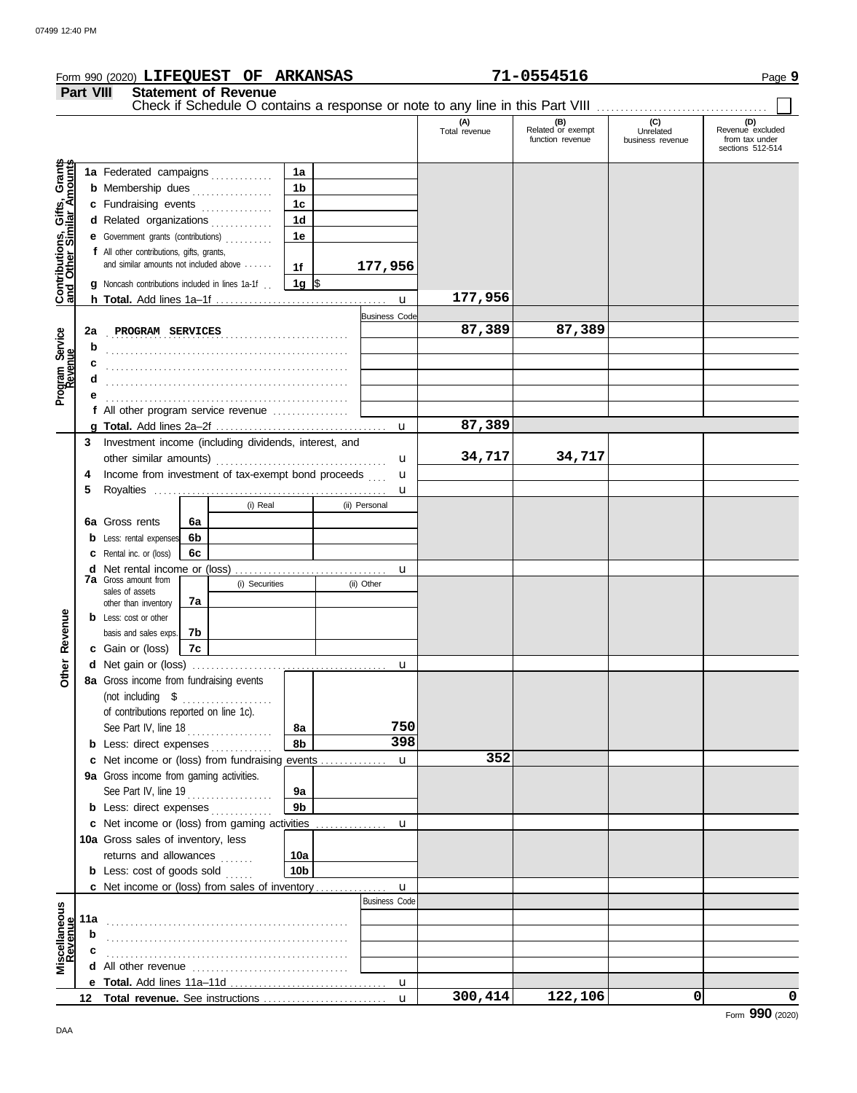|                                                           |                  | Form 990 (2020) LIFEQUEST OF ARKANSAS                                                      |          |                             |                        |                      |                                                                               | 71-0554516                                   |                                                 | Page 9                                                        |
|-----------------------------------------------------------|------------------|--------------------------------------------------------------------------------------------|----------|-----------------------------|------------------------|----------------------|-------------------------------------------------------------------------------|----------------------------------------------|-------------------------------------------------|---------------------------------------------------------------|
|                                                           | <b>Part VIII</b> |                                                                                            |          | <b>Statement of Revenue</b> |                        |                      |                                                                               |                                              |                                                 |                                                               |
|                                                           |                  |                                                                                            |          |                             |                        |                      | Check if Schedule O contains a response or note to any line in this Part VIII |                                              |                                                 |                                                               |
|                                                           |                  |                                                                                            |          |                             |                        |                      | (A)<br>Total revenue                                                          | (B)<br>Related or exempt<br>function revenue | $\overline{C}$<br>Unrelated<br>business revenue | (D)<br>Revenue excluded<br>from tax under<br>sections 512-514 |
| Contributions, Gifts, Grants<br>and Other Similar Amounts |                  | 1a Federated campaigns                                                                     |          |                             | 1a                     |                      |                                                                               |                                              |                                                 |                                                               |
|                                                           |                  | <b>b</b> Membership dues <i>[[[[[[[[[[[[[[[[[[[[[[[[[[[[[]]</i> ]]]]                       |          |                             | 1 <sub>b</sub>         |                      |                                                                               |                                              |                                                 |                                                               |
|                                                           |                  | c Fundraising events                                                                       |          |                             | 1 <sub>c</sub>         |                      |                                                                               |                                              |                                                 |                                                               |
|                                                           |                  | d Related organizations                                                                    |          | .                           | 1 <sub>d</sub>         |                      |                                                                               |                                              |                                                 |                                                               |
|                                                           |                  | e Government grants (contributions)                                                        |          |                             | 1e                     |                      |                                                                               |                                              |                                                 |                                                               |
|                                                           |                  | f All other contributions, gifts, grants,                                                  |          |                             |                        |                      |                                                                               |                                              |                                                 |                                                               |
|                                                           |                  | and similar amounts not included above                                                     |          |                             | 1f                     | 177,956              |                                                                               |                                              |                                                 |                                                               |
|                                                           |                  | <b>g</b> Noncash contributions included in lines 1a-1f.                                    |          |                             | 1g $\vert$ \$          |                      |                                                                               |                                              |                                                 |                                                               |
|                                                           |                  |                                                                                            |          |                             |                        | $\mathbf{u}$         | 177,956                                                                       |                                              |                                                 |                                                               |
|                                                           |                  |                                                                                            |          |                             |                        | <b>Business Code</b> |                                                                               | 87,389                                       |                                                 |                                                               |
|                                                           | 2a               | PROGRAM SERVICES                                                                           |          |                             |                        |                      | 87,389                                                                        |                                              |                                                 |                                                               |
|                                                           | b                |                                                                                            |          |                             |                        |                      |                                                                               |                                              |                                                 |                                                               |
|                                                           | c<br>d           |                                                                                            |          |                             |                        |                      |                                                                               |                                              |                                                 |                                                               |
| Program Service<br>Revenue                                |                  |                                                                                            |          |                             |                        |                      |                                                                               |                                              |                                                 |                                                               |
|                                                           |                  | f All other program service revenue                                                        |          |                             |                        |                      |                                                                               |                                              |                                                 |                                                               |
|                                                           |                  |                                                                                            |          |                             |                        | $\mathbf{u}$         | 87,389                                                                        |                                              |                                                 |                                                               |
|                                                           |                  | 3 Investment income (including dividends, interest, and                                    |          |                             |                        |                      |                                                                               |                                              |                                                 |                                                               |
|                                                           |                  | other similar amounts)                                                                     |          |                             |                        | u                    | 34,717                                                                        | 34,717                                       |                                                 |                                                               |
|                                                           | 4                | Income from investment of tax-exempt bond proceeds                                         |          |                             |                        | u                    |                                                                               |                                              |                                                 |                                                               |
|                                                           | 5                |                                                                                            |          |                             |                        | u                    |                                                                               |                                              |                                                 |                                                               |
|                                                           |                  |                                                                                            |          | (i) Real                    |                        | (ii) Personal        |                                                                               |                                              |                                                 |                                                               |
|                                                           |                  | <b>6a</b> Gross rents                                                                      | 6a       |                             |                        |                      |                                                                               |                                              |                                                 |                                                               |
|                                                           |                  | <b>b</b> Less: rental expenses                                                             | 6b       |                             |                        |                      |                                                                               |                                              |                                                 |                                                               |
|                                                           |                  | <b>c</b> Rental inc. or (loss)                                                             | 6c       |                             |                        |                      |                                                                               |                                              |                                                 |                                                               |
|                                                           |                  | <b>7a</b> Gross amount from                                                                |          |                             |                        | u                    |                                                                               |                                              |                                                 |                                                               |
|                                                           |                  | sales of assets                                                                            |          | (i) Securities              |                        | (ii) Other           |                                                                               |                                              |                                                 |                                                               |
|                                                           |                  | other than inventory                                                                       | 7a       |                             |                        |                      |                                                                               |                                              |                                                 |                                                               |
| Revenue                                                   |                  | <b>b</b> Less: cost or other                                                               |          |                             |                        |                      |                                                                               |                                              |                                                 |                                                               |
|                                                           |                  | basis and sales exps.<br>c Gain or (loss)                                                  | 7b<br>7c |                             |                        |                      |                                                                               |                                              |                                                 |                                                               |
|                                                           |                  |                                                                                            |          |                             |                        |                      |                                                                               |                                              |                                                 |                                                               |
| <b>Other</b>                                              |                  | 8a Gross income from fundraising events                                                    |          |                             |                        |                      |                                                                               |                                              |                                                 |                                                               |
|                                                           |                  | (not including \$                                                                          |          | .                           |                        |                      |                                                                               |                                              |                                                 |                                                               |
|                                                           |                  | of contributions reported on line 1c).                                                     |          |                             |                        |                      |                                                                               |                                              |                                                 |                                                               |
|                                                           |                  | See Part IV, line $18$                                                                     |          |                             | 8a                     | 750                  |                                                                               |                                              |                                                 |                                                               |
|                                                           |                  | <b>b</b> Less: direct expenses                                                             |          |                             | 8b                     | 398                  |                                                                               |                                              |                                                 |                                                               |
|                                                           |                  | c Net income or (loss) from fundraising events                                             |          |                             |                        | $\mathbf{u}$         | 352                                                                           |                                              |                                                 |                                                               |
|                                                           |                  | 9a Gross income from gaming activities.                                                    |          |                             |                        |                      |                                                                               |                                              |                                                 |                                                               |
|                                                           |                  | See Part IV, line 19                                                                       |          |                             | 9а                     |                      |                                                                               |                                              |                                                 |                                                               |
|                                                           |                  | <b>b</b> Less: direct expenses                                                             |          |                             | 9 <sub>b</sub>         |                      |                                                                               |                                              |                                                 |                                                               |
|                                                           |                  |                                                                                            |          |                             |                        |                      |                                                                               |                                              |                                                 |                                                               |
|                                                           |                  | 10a Gross sales of inventory, less                                                         |          |                             |                        |                      |                                                                               |                                              |                                                 |                                                               |
|                                                           |                  | returns and allowances                                                                     |          | <u>.</u>                    | 10a<br>10 <sub>b</sub> |                      |                                                                               |                                              |                                                 |                                                               |
|                                                           |                  | <b>b</b> Less: cost of goods sold<br><b>c</b> Net income or (loss) from sales of inventory |          |                             |                        | $\mathbf{u}$         |                                                                               |                                              |                                                 |                                                               |
|                                                           |                  |                                                                                            |          |                             |                        | <b>Business Code</b> |                                                                               |                                              |                                                 |                                                               |
| Miscellaneous<br>Revenue                                  | 11a              |                                                                                            |          |                             |                        |                      |                                                                               |                                              |                                                 |                                                               |
|                                                           | b                |                                                                                            |          |                             |                        |                      |                                                                               |                                              |                                                 |                                                               |
|                                                           | с                |                                                                                            |          |                             |                        |                      |                                                                               |                                              |                                                 |                                                               |
|                                                           |                  |                                                                                            |          |                             |                        |                      |                                                                               |                                              |                                                 |                                                               |
|                                                           |                  |                                                                                            |          |                             |                        |                      |                                                                               |                                              |                                                 |                                                               |
|                                                           |                  |                                                                                            |          |                             |                        | $\mathbf{u}$         | 300,414                                                                       | 122,106                                      | 0                                               | $\mathbf 0$                                                   |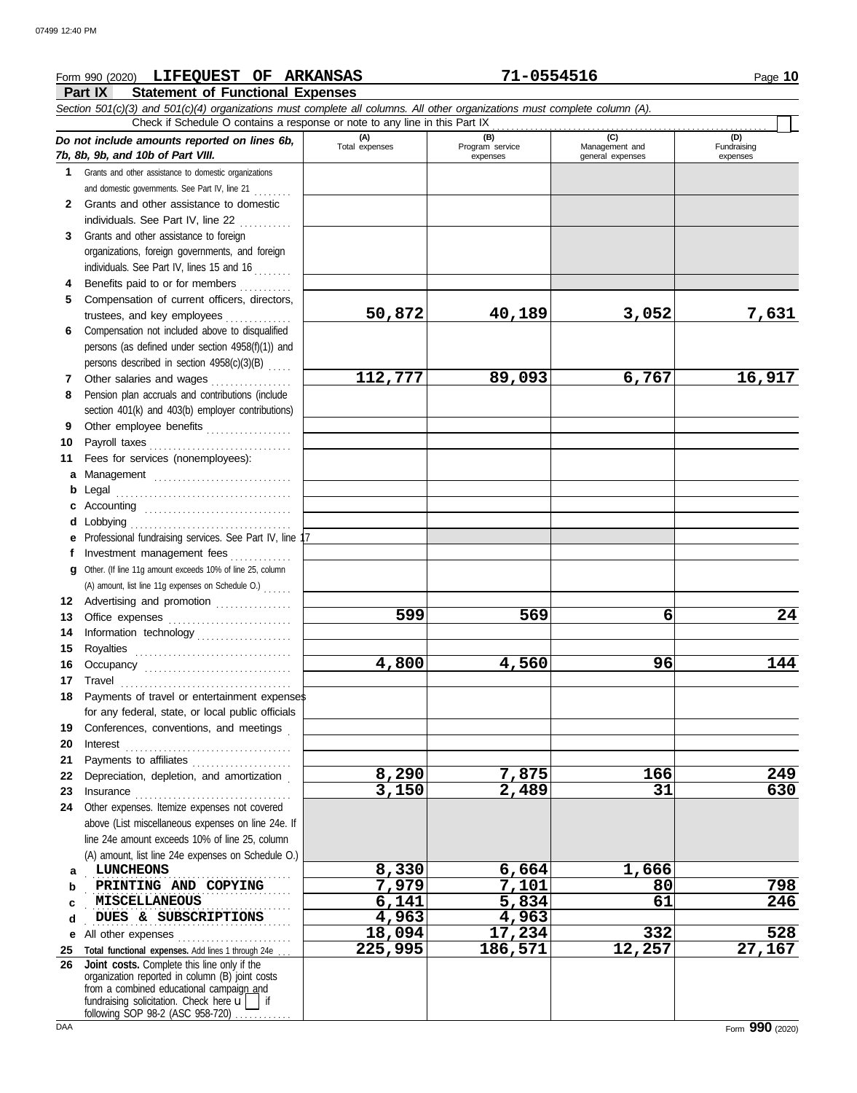### **Part IX Statement of Functional Expenses Form 990 (2020) LIFEQUEST OF ARKANSAS 71-0554516 Page 10** Page 10 *Section 501(c)(3) and 501(c)(4) organizations must complete all columns. All other organizations must complete column (A). Do not include amounts reported on lines 6b, 7b, 8b, 9b, and 10b of Part VIII.* **1 2 3 4 5 6** Compensation not included above to disqualified **7 8 9 10** Payroll taxes . . . . . . . . . . . . . . . . . . . . . . . . . . . . . . **11 a** Management ............................. **b** Legal . . . . . . . . . . . . . . . . . . . . . . . . . . . . . . . . . . . . . **c** Accounting . . . . . . . . . . . . . . . . . . . . . . . . . . . . . . . **d** Lobbying . . . . . . . . . . . . . . . . . . . . . . . . . . . . . . . . . . **e** Professional fundraising services. See Part IV, line 17 **f g** Other. (If line 11g amount exceeds 10% of line 25, column **12** Advertising and promotion ................ **13** Office expenses **.......................**... **14 15 16 17** Travel . . . . . . . . . . . . . . . . . . . . . . . . . . . . . . . . . . . . **18 19 20 21 22** Depreciation, depletion, and amortization . **23** Insurance . . . . . . . . . . . . . . . . . . . . . . . . . . . . . . . . . **24** Other expenses. Itemize expenses not covered **a** . . . . . . . . . . . . . . . . . . . . . . . . . . . . . . . . . . . . . . . . . . . **b c d e** All other expenses . . . . . . . . . . . . . . . . . . . . . . . . **25 Total functional expenses.** Add lines 1 through 24e . . . **26 Joint costs.** Complete this line only if the Grants and other assistance to domestic organizations and domestic governments. See Part IV, line 21 . . . . . . . . Grants and other assistance to domestic individuals. See Part IV, line 22 Grants and other assistance to foreign organizations, foreign governments, and foreign individuals. See Part IV, lines 15 and 16 Benefits paid to or for members ............ Compensation of current officers, directors, trustees, and key employees . . . . . . . . . . . . . persons (as defined under section 4958(f)(1)) and persons described in section  $4958(c)(3)(B)$  .... Other salaries and wages . . . . . . . . . . . . . . . . Pension plan accruals and contributions (include section 401(k) and 403(b) employer contributions) Other employee benefits .................. Fees for services (nonemployees): Investment management fees . . . . . . . . . . . . Information technology . . . . . . . . . . . . . . . . . . . . Royalties . . . . . . . . . . . . . . . . . . . . . . . . . . . . . . . . . Occupancy . . . . . . . . . . . . . . . . . . . . . . . . . . . . . . . Payments of travel or entertainment expenses for any federal, state, or local public officials Conferences, conventions, and meetings . Interest . . . . . . . . . . . . . . . . . . . . . . . . . . . . . . . . . . . Payments to affiliates ...................... above (List miscellaneous expenses on line 24e. If line 24e amount exceeds 10% of line 25, column (A) amount, list line 24e expenses on Schedule O.) organization reported in column (B) joint costs from a combined educational campaign and **(A) (B) (C) (D)** Total expenses Program service Management and expenses and general expenses (D)<br>Fundraising expenses . . . . . . . . . . . . . . . . . . . . . . . . . . . . . . . . . . . . . . . . . . . **PRINTING AND COPYING 7,979 7,101 80 798** . . . . . . . . . . . . . . . . . . . . . . . . . . . . . . . . . . . . . . . . . . . **MISCELLANEOUS 6,141 5,834 61 246** . . . . . . . . . . . . . . . . . . . . . . . . . . . . . . . . . . . . . . . . . . . Check if Schedule O contains a response or note to any line in this Part IX (A) amount, list line 11g expenses on Schedule O.) . . . . . . **50,872 40,189 3,052 7,631 112,777 89,093 6,767 16,917 599 569 6 24 4,800 4,560 96 144 8,290 7,875 166 249 3,150 2,489 31 630 LUNCHEONS 8,330 6,664 1,666 DUES & SUBSCRIPTIONS 4,963 4,963**<br> **d** other expenses **18,094 17,234 18,094 17,234 332 528 225,995 186,571 12,257 27,167**

fundraising solicitation. Check here  $\mathbf{u}$  if

following SOP 98-2 (ASC 958-720)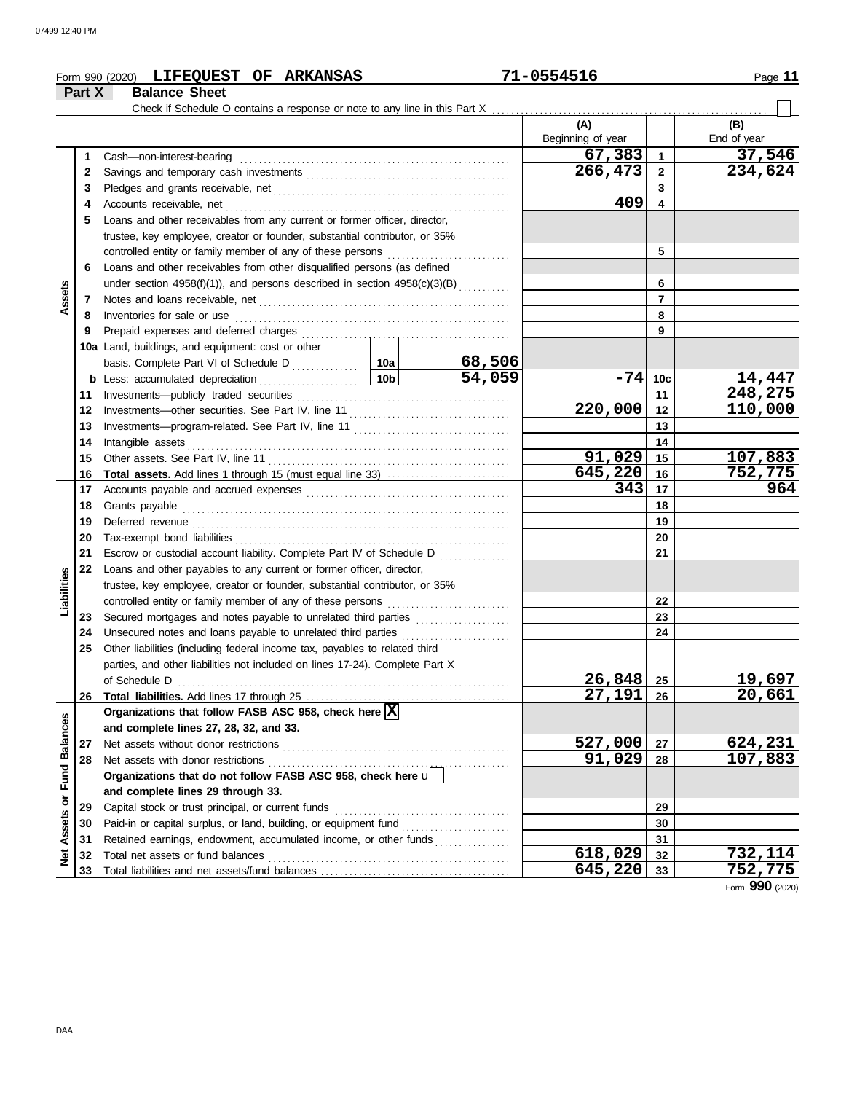|                         |        | Form 990 (2020) LIFEQUEST OF ARKANSAS                                        |                                                                  |        | 71-0554516        |                               | Page 11           |  |  |  |  |
|-------------------------|--------|------------------------------------------------------------------------------|------------------------------------------------------------------|--------|-------------------|-------------------------------|-------------------|--|--|--|--|
|                         | Part X | <b>Balance Sheet</b>                                                         |                                                                  |        |                   |                               |                   |  |  |  |  |
|                         |        | Check if Schedule O contains a response or note to any line in this Part X   |                                                                  |        |                   |                               |                   |  |  |  |  |
|                         |        |                                                                              |                                                                  |        | (A)               |                               | (B)               |  |  |  |  |
|                         |        |                                                                              |                                                                  |        | Beginning of year |                               | End of year       |  |  |  |  |
|                         | 1      | Cash-non-interest-bearing                                                    |                                                                  |        | 67,383<br>266,473 | $\mathbf 1$<br>$\overline{2}$ | 37,546<br>234,624 |  |  |  |  |
|                         | 2<br>3 |                                                                              |                                                                  |        |                   | 3                             |                   |  |  |  |  |
|                         | 4      | Accounts receivable, net                                                     |                                                                  |        | 409               | $\overline{\mathbf{4}}$       |                   |  |  |  |  |
|                         | 5      | Loans and other receivables from any current or former officer, director,    |                                                                  |        |                   |                               |                   |  |  |  |  |
|                         |        | trustee, key employee, creator or founder, substantial contributor, or 35%   |                                                                  |        |                   |                               |                   |  |  |  |  |
|                         |        | controlled entity or family member of any of these persons                   |                                                                  |        |                   | 5                             |                   |  |  |  |  |
|                         | 6      | Loans and other receivables from other disqualified persons (as defined      |                                                                  |        |                   |                               |                   |  |  |  |  |
|                         |        | under section 4958(f)(1)), and persons described in section 4958(c)(3)(B)    |                                                                  |        |                   | 6                             |                   |  |  |  |  |
| Assets                  | 7      |                                                                              |                                                                  |        |                   | $\overline{7}$                |                   |  |  |  |  |
|                         | 8      | Inventories for sale or use                                                  |                                                                  |        |                   | 8                             |                   |  |  |  |  |
|                         | 9      | Prepaid expenses and deferred charges                                        |                                                                  |        |                   | 9                             |                   |  |  |  |  |
|                         |        | 10a Land, buildings, and equipment: cost or other                            |                                                                  |        |                   |                               |                   |  |  |  |  |
|                         |        |                                                                              |                                                                  | 68,506 |                   |                               |                   |  |  |  |  |
|                         |        | <b>b</b> Less: accumulated depreciation                                      | 10 <sub>b</sub>                                                  | 54,059 | $-74$ 10c         |                               | 14,447            |  |  |  |  |
|                         | 11     | Investments--publicly traded securities                                      |                                                                  |        |                   | 11                            | 248,275           |  |  |  |  |
|                         | 12     |                                                                              | 220,000                                                          | 12     | 110,000           |                               |                   |  |  |  |  |
|                         | 13     |                                                                              |                                                                  | 13     |                   |                               |                   |  |  |  |  |
|                         | 14     | Intangible assets                                                            |                                                                  | 14     |                   |                               |                   |  |  |  |  |
|                         | 15     |                                                                              |                                                                  |        | 91,029            | 15                            | 107,883           |  |  |  |  |
|                         | 16     | <b>Total assets.</b> Add lines 1 through 15 (must equal line 33)             |                                                                  |        | 645,220           | 16                            | 752,775           |  |  |  |  |
|                         | 17     |                                                                              |                                                                  |        | 343               | 17                            | 964               |  |  |  |  |
|                         | 18     | Grants payable                                                               |                                                                  |        |                   | 18                            |                   |  |  |  |  |
|                         | 19     |                                                                              |                                                                  | 19     |                   |                               |                   |  |  |  |  |
|                         | 20     | Tax-exempt bond liabilities                                                  |                                                                  |        |                   | 20                            |                   |  |  |  |  |
|                         | 21     | Escrow or custodial account liability. Complete Part IV of Schedule D        |                                                                  |        |                   | 21                            |                   |  |  |  |  |
|                         | 22     | Loans and other payables to any current or former officer, director,         |                                                                  |        |                   |                               |                   |  |  |  |  |
| Liabilities             |        | trustee, key employee, creator or founder, substantial contributor, or 35%   |                                                                  |        |                   |                               |                   |  |  |  |  |
|                         |        |                                                                              |                                                                  |        |                   | 22                            |                   |  |  |  |  |
|                         | 23     |                                                                              |                                                                  |        |                   | 23                            |                   |  |  |  |  |
|                         | 24     | Unsecured notes and loans payable to unrelated third parties                 |                                                                  |        |                   | 24                            |                   |  |  |  |  |
|                         | 25     | Other liabilities (including federal income tax, payables to related third   |                                                                  |        |                   |                               |                   |  |  |  |  |
|                         |        | parties, and other liabilities not included on lines 17-24). Complete Part X |                                                                  |        |                   |                               |                   |  |  |  |  |
|                         |        | of Schedule D                                                                |                                                                  |        | 26,848            | 25                            | 19,697            |  |  |  |  |
|                         | 26     |                                                                              |                                                                  |        | 27,191            | 26                            | 20,661            |  |  |  |  |
|                         |        | Organizations that follow FASB ASC 958, check here  X                        |                                                                  |        |                   |                               |                   |  |  |  |  |
|                         |        | and complete lines 27, 28, 32, and 33.                                       |                                                                  |        |                   |                               |                   |  |  |  |  |
|                         | 27     | Net assets without donor restrictions                                        |                                                                  |        | 527,000           | 27                            | 624,231           |  |  |  |  |
|                         | 28     | Net assets with donor restrictions                                           |                                                                  |        | 91,029            | 28                            | 107,883           |  |  |  |  |
|                         |        | Organizations that do not follow FASB ASC 958, check here u                  |                                                                  |        |                   |                               |                   |  |  |  |  |
| Assets or Fund Balances |        | and complete lines 29 through 33.                                            |                                                                  |        |                   |                               |                   |  |  |  |  |
|                         | 29     | Capital stock or trust principal, or current funds                           |                                                                  | 29     |                   |                               |                   |  |  |  |  |
|                         | 30     |                                                                              |                                                                  |        |                   | 30<br>31                      |                   |  |  |  |  |
|                         | 31     |                                                                              | Retained earnings, endowment, accumulated income, or other funds |        |                   |                               |                   |  |  |  |  |
| <b>Net</b>              | 32     |                                                                              |                                                                  |        | 618,029           | 32                            | 732,114           |  |  |  |  |
|                         | 33     |                                                                              |                                                                  |        | 645,220           | 33                            | 752,775           |  |  |  |  |

Form **990** (2020)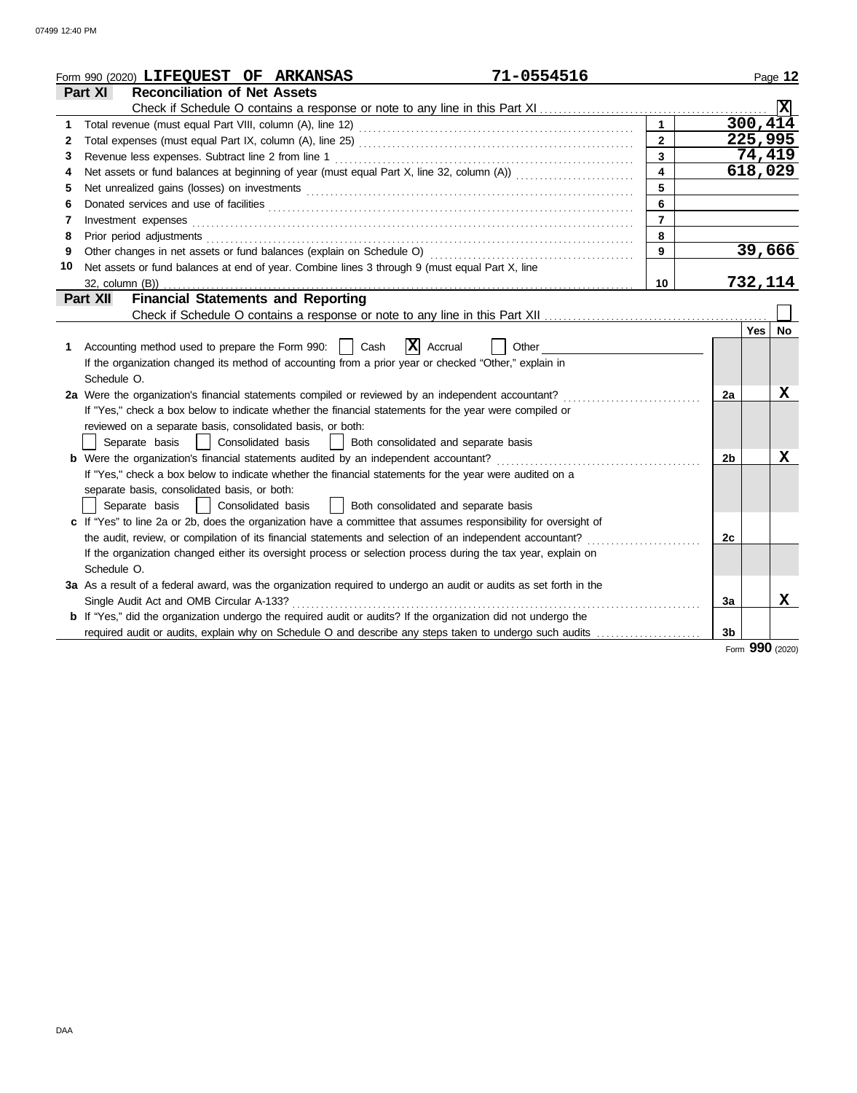| <b>Reconciliation of Net Assets</b><br>Part XI<br>ΙXΙ<br>300, 414<br>1.<br>$\overline{225,995}$<br>$\overline{2}$<br>$\mathbf{2}$<br>74,419<br>$\mathbf{3}$<br>3<br>618,029<br>4<br>Net assets or fund balances at beginning of year (must equal Part X, line 32, column (A))<br>4<br>5<br>5.<br>6<br>6<br>$\overline{7}$<br>Investment expenses<br>7<br>8<br>Prior period adjustments<br>8<br>39,666<br>Other changes in net assets or fund balances (explain on Schedule O)<br>9<br>9<br>10<br>Net assets or fund balances at end of year. Combine lines 3 through 9 (must equal Part X, line<br>732,114<br>10<br>32, column (B))<br><b>Financial Statements and Reporting</b><br>Part XII<br>Yes   No<br>X Accrual<br>Cash<br>Accounting method used to prepare the Form 990:  <br>Other<br>1.<br>If the organization changed its method of accounting from a prior year or checked "Other," explain in<br>Schedule O.<br>X<br>2a Were the organization's financial statements compiled or reviewed by an independent accountant?<br>2a<br>If "Yes," check a box below to indicate whether the financial statements for the year were compiled or<br>reviewed on a separate basis, consolidated basis, or both:<br>Separate basis<br>  Consolidated basis<br>Both consolidated and separate basis<br>$\mathbf{1}$<br><b>b</b> Were the organization's financial statements audited by an independent accountant?<br>X<br>2 <sub>b</sub><br>If "Yes," check a box below to indicate whether the financial statements for the year were audited on a<br>separate basis, consolidated basis, or both:<br>Consolidated basis<br>  Both consolidated and separate basis<br>Separate basis<br>c If "Yes" to line 2a or 2b, does the organization have a committee that assumes responsibility for oversight of<br>the audit, review, or compilation of its financial statements and selection of an independent accountant?<br>2с<br>If the organization changed either its oversight process or selection process during the tax year, explain on<br>Schedule O.<br>3a As a result of a federal award, was the organization required to undergo an audit or audits as set forth in the<br>X<br>Single Audit Act and OMB Circular A-133?<br>3a<br><b>b</b> If "Yes," did the organization undergo the required audit or audits? If the organization did not undergo the<br>3 <sub>b</sub> | 71-0554516<br>Form 990 (2020) LIFEQUEST OF ARKANSAS |  | Page 12 |
|----------------------------------------------------------------------------------------------------------------------------------------------------------------------------------------------------------------------------------------------------------------------------------------------------------------------------------------------------------------------------------------------------------------------------------------------------------------------------------------------------------------------------------------------------------------------------------------------------------------------------------------------------------------------------------------------------------------------------------------------------------------------------------------------------------------------------------------------------------------------------------------------------------------------------------------------------------------------------------------------------------------------------------------------------------------------------------------------------------------------------------------------------------------------------------------------------------------------------------------------------------------------------------------------------------------------------------------------------------------------------------------------------------------------------------------------------------------------------------------------------------------------------------------------------------------------------------------------------------------------------------------------------------------------------------------------------------------------------------------------------------------------------------------------------------------------------------------------------------------------------------------------------------------------------------------------------------------------------------------------------------------------------------------------------------------------------------------------------------------------------------------------------------------------------------------------------------------------------------------------------------------------------------------------------------------------------------------------------------------------------------------|-----------------------------------------------------|--|---------|
|                                                                                                                                                                                                                                                                                                                                                                                                                                                                                                                                                                                                                                                                                                                                                                                                                                                                                                                                                                                                                                                                                                                                                                                                                                                                                                                                                                                                                                                                                                                                                                                                                                                                                                                                                                                                                                                                                                                                                                                                                                                                                                                                                                                                                                                                                                                                                                                        |                                                     |  |         |
|                                                                                                                                                                                                                                                                                                                                                                                                                                                                                                                                                                                                                                                                                                                                                                                                                                                                                                                                                                                                                                                                                                                                                                                                                                                                                                                                                                                                                                                                                                                                                                                                                                                                                                                                                                                                                                                                                                                                                                                                                                                                                                                                                                                                                                                                                                                                                                                        |                                                     |  |         |
|                                                                                                                                                                                                                                                                                                                                                                                                                                                                                                                                                                                                                                                                                                                                                                                                                                                                                                                                                                                                                                                                                                                                                                                                                                                                                                                                                                                                                                                                                                                                                                                                                                                                                                                                                                                                                                                                                                                                                                                                                                                                                                                                                                                                                                                                                                                                                                                        |                                                     |  |         |
|                                                                                                                                                                                                                                                                                                                                                                                                                                                                                                                                                                                                                                                                                                                                                                                                                                                                                                                                                                                                                                                                                                                                                                                                                                                                                                                                                                                                                                                                                                                                                                                                                                                                                                                                                                                                                                                                                                                                                                                                                                                                                                                                                                                                                                                                                                                                                                                        |                                                     |  |         |
|                                                                                                                                                                                                                                                                                                                                                                                                                                                                                                                                                                                                                                                                                                                                                                                                                                                                                                                                                                                                                                                                                                                                                                                                                                                                                                                                                                                                                                                                                                                                                                                                                                                                                                                                                                                                                                                                                                                                                                                                                                                                                                                                                                                                                                                                                                                                                                                        |                                                     |  |         |
|                                                                                                                                                                                                                                                                                                                                                                                                                                                                                                                                                                                                                                                                                                                                                                                                                                                                                                                                                                                                                                                                                                                                                                                                                                                                                                                                                                                                                                                                                                                                                                                                                                                                                                                                                                                                                                                                                                                                                                                                                                                                                                                                                                                                                                                                                                                                                                                        |                                                     |  |         |
|                                                                                                                                                                                                                                                                                                                                                                                                                                                                                                                                                                                                                                                                                                                                                                                                                                                                                                                                                                                                                                                                                                                                                                                                                                                                                                                                                                                                                                                                                                                                                                                                                                                                                                                                                                                                                                                                                                                                                                                                                                                                                                                                                                                                                                                                                                                                                                                        |                                                     |  |         |
|                                                                                                                                                                                                                                                                                                                                                                                                                                                                                                                                                                                                                                                                                                                                                                                                                                                                                                                                                                                                                                                                                                                                                                                                                                                                                                                                                                                                                                                                                                                                                                                                                                                                                                                                                                                                                                                                                                                                                                                                                                                                                                                                                                                                                                                                                                                                                                                        |                                                     |  |         |
|                                                                                                                                                                                                                                                                                                                                                                                                                                                                                                                                                                                                                                                                                                                                                                                                                                                                                                                                                                                                                                                                                                                                                                                                                                                                                                                                                                                                                                                                                                                                                                                                                                                                                                                                                                                                                                                                                                                                                                                                                                                                                                                                                                                                                                                                                                                                                                                        |                                                     |  |         |
|                                                                                                                                                                                                                                                                                                                                                                                                                                                                                                                                                                                                                                                                                                                                                                                                                                                                                                                                                                                                                                                                                                                                                                                                                                                                                                                                                                                                                                                                                                                                                                                                                                                                                                                                                                                                                                                                                                                                                                                                                                                                                                                                                                                                                                                                                                                                                                                        |                                                     |  |         |
|                                                                                                                                                                                                                                                                                                                                                                                                                                                                                                                                                                                                                                                                                                                                                                                                                                                                                                                                                                                                                                                                                                                                                                                                                                                                                                                                                                                                                                                                                                                                                                                                                                                                                                                                                                                                                                                                                                                                                                                                                                                                                                                                                                                                                                                                                                                                                                                        |                                                     |  |         |
|                                                                                                                                                                                                                                                                                                                                                                                                                                                                                                                                                                                                                                                                                                                                                                                                                                                                                                                                                                                                                                                                                                                                                                                                                                                                                                                                                                                                                                                                                                                                                                                                                                                                                                                                                                                                                                                                                                                                                                                                                                                                                                                                                                                                                                                                                                                                                                                        |                                                     |  |         |
|                                                                                                                                                                                                                                                                                                                                                                                                                                                                                                                                                                                                                                                                                                                                                                                                                                                                                                                                                                                                                                                                                                                                                                                                                                                                                                                                                                                                                                                                                                                                                                                                                                                                                                                                                                                                                                                                                                                                                                                                                                                                                                                                                                                                                                                                                                                                                                                        |                                                     |  |         |
|                                                                                                                                                                                                                                                                                                                                                                                                                                                                                                                                                                                                                                                                                                                                                                                                                                                                                                                                                                                                                                                                                                                                                                                                                                                                                                                                                                                                                                                                                                                                                                                                                                                                                                                                                                                                                                                                                                                                                                                                                                                                                                                                                                                                                                                                                                                                                                                        |                                                     |  |         |
|                                                                                                                                                                                                                                                                                                                                                                                                                                                                                                                                                                                                                                                                                                                                                                                                                                                                                                                                                                                                                                                                                                                                                                                                                                                                                                                                                                                                                                                                                                                                                                                                                                                                                                                                                                                                                                                                                                                                                                                                                                                                                                                                                                                                                                                                                                                                                                                        |                                                     |  |         |
|                                                                                                                                                                                                                                                                                                                                                                                                                                                                                                                                                                                                                                                                                                                                                                                                                                                                                                                                                                                                                                                                                                                                                                                                                                                                                                                                                                                                                                                                                                                                                                                                                                                                                                                                                                                                                                                                                                                                                                                                                                                                                                                                                                                                                                                                                                                                                                                        |                                                     |  |         |
|                                                                                                                                                                                                                                                                                                                                                                                                                                                                                                                                                                                                                                                                                                                                                                                                                                                                                                                                                                                                                                                                                                                                                                                                                                                                                                                                                                                                                                                                                                                                                                                                                                                                                                                                                                                                                                                                                                                                                                                                                                                                                                                                                                                                                                                                                                                                                                                        |                                                     |  |         |
|                                                                                                                                                                                                                                                                                                                                                                                                                                                                                                                                                                                                                                                                                                                                                                                                                                                                                                                                                                                                                                                                                                                                                                                                                                                                                                                                                                                                                                                                                                                                                                                                                                                                                                                                                                                                                                                                                                                                                                                                                                                                                                                                                                                                                                                                                                                                                                                        |                                                     |  |         |
|                                                                                                                                                                                                                                                                                                                                                                                                                                                                                                                                                                                                                                                                                                                                                                                                                                                                                                                                                                                                                                                                                                                                                                                                                                                                                                                                                                                                                                                                                                                                                                                                                                                                                                                                                                                                                                                                                                                                                                                                                                                                                                                                                                                                                                                                                                                                                                                        |                                                     |  |         |
|                                                                                                                                                                                                                                                                                                                                                                                                                                                                                                                                                                                                                                                                                                                                                                                                                                                                                                                                                                                                                                                                                                                                                                                                                                                                                                                                                                                                                                                                                                                                                                                                                                                                                                                                                                                                                                                                                                                                                                                                                                                                                                                                                                                                                                                                                                                                                                                        |                                                     |  |         |
|                                                                                                                                                                                                                                                                                                                                                                                                                                                                                                                                                                                                                                                                                                                                                                                                                                                                                                                                                                                                                                                                                                                                                                                                                                                                                                                                                                                                                                                                                                                                                                                                                                                                                                                                                                                                                                                                                                                                                                                                                                                                                                                                                                                                                                                                                                                                                                                        |                                                     |  |         |
|                                                                                                                                                                                                                                                                                                                                                                                                                                                                                                                                                                                                                                                                                                                                                                                                                                                                                                                                                                                                                                                                                                                                                                                                                                                                                                                                                                                                                                                                                                                                                                                                                                                                                                                                                                                                                                                                                                                                                                                                                                                                                                                                                                                                                                                                                                                                                                                        |                                                     |  |         |
|                                                                                                                                                                                                                                                                                                                                                                                                                                                                                                                                                                                                                                                                                                                                                                                                                                                                                                                                                                                                                                                                                                                                                                                                                                                                                                                                                                                                                                                                                                                                                                                                                                                                                                                                                                                                                                                                                                                                                                                                                                                                                                                                                                                                                                                                                                                                                                                        |                                                     |  |         |
|                                                                                                                                                                                                                                                                                                                                                                                                                                                                                                                                                                                                                                                                                                                                                                                                                                                                                                                                                                                                                                                                                                                                                                                                                                                                                                                                                                                                                                                                                                                                                                                                                                                                                                                                                                                                                                                                                                                                                                                                                                                                                                                                                                                                                                                                                                                                                                                        |                                                     |  |         |
|                                                                                                                                                                                                                                                                                                                                                                                                                                                                                                                                                                                                                                                                                                                                                                                                                                                                                                                                                                                                                                                                                                                                                                                                                                                                                                                                                                                                                                                                                                                                                                                                                                                                                                                                                                                                                                                                                                                                                                                                                                                                                                                                                                                                                                                                                                                                                                                        |                                                     |  |         |
|                                                                                                                                                                                                                                                                                                                                                                                                                                                                                                                                                                                                                                                                                                                                                                                                                                                                                                                                                                                                                                                                                                                                                                                                                                                                                                                                                                                                                                                                                                                                                                                                                                                                                                                                                                                                                                                                                                                                                                                                                                                                                                                                                                                                                                                                                                                                                                                        |                                                     |  |         |
|                                                                                                                                                                                                                                                                                                                                                                                                                                                                                                                                                                                                                                                                                                                                                                                                                                                                                                                                                                                                                                                                                                                                                                                                                                                                                                                                                                                                                                                                                                                                                                                                                                                                                                                                                                                                                                                                                                                                                                                                                                                                                                                                                                                                                                                                                                                                                                                        |                                                     |  |         |
|                                                                                                                                                                                                                                                                                                                                                                                                                                                                                                                                                                                                                                                                                                                                                                                                                                                                                                                                                                                                                                                                                                                                                                                                                                                                                                                                                                                                                                                                                                                                                                                                                                                                                                                                                                                                                                                                                                                                                                                                                                                                                                                                                                                                                                                                                                                                                                                        |                                                     |  |         |
|                                                                                                                                                                                                                                                                                                                                                                                                                                                                                                                                                                                                                                                                                                                                                                                                                                                                                                                                                                                                                                                                                                                                                                                                                                                                                                                                                                                                                                                                                                                                                                                                                                                                                                                                                                                                                                                                                                                                                                                                                                                                                                                                                                                                                                                                                                                                                                                        |                                                     |  |         |
|                                                                                                                                                                                                                                                                                                                                                                                                                                                                                                                                                                                                                                                                                                                                                                                                                                                                                                                                                                                                                                                                                                                                                                                                                                                                                                                                                                                                                                                                                                                                                                                                                                                                                                                                                                                                                                                                                                                                                                                                                                                                                                                                                                                                                                                                                                                                                                                        |                                                     |  |         |
|                                                                                                                                                                                                                                                                                                                                                                                                                                                                                                                                                                                                                                                                                                                                                                                                                                                                                                                                                                                                                                                                                                                                                                                                                                                                                                                                                                                                                                                                                                                                                                                                                                                                                                                                                                                                                                                                                                                                                                                                                                                                                                                                                                                                                                                                                                                                                                                        |                                                     |  |         |
|                                                                                                                                                                                                                                                                                                                                                                                                                                                                                                                                                                                                                                                                                                                                                                                                                                                                                                                                                                                                                                                                                                                                                                                                                                                                                                                                                                                                                                                                                                                                                                                                                                                                                                                                                                                                                                                                                                                                                                                                                                                                                                                                                                                                                                                                                                                                                                                        |                                                     |  |         |
|                                                                                                                                                                                                                                                                                                                                                                                                                                                                                                                                                                                                                                                                                                                                                                                                                                                                                                                                                                                                                                                                                                                                                                                                                                                                                                                                                                                                                                                                                                                                                                                                                                                                                                                                                                                                                                                                                                                                                                                                                                                                                                                                                                                                                                                                                                                                                                                        |                                                     |  |         |
|                                                                                                                                                                                                                                                                                                                                                                                                                                                                                                                                                                                                                                                                                                                                                                                                                                                                                                                                                                                                                                                                                                                                                                                                                                                                                                                                                                                                                                                                                                                                                                                                                                                                                                                                                                                                                                                                                                                                                                                                                                                                                                                                                                                                                                                                                                                                                                                        |                                                     |  |         |
|                                                                                                                                                                                                                                                                                                                                                                                                                                                                                                                                                                                                                                                                                                                                                                                                                                                                                                                                                                                                                                                                                                                                                                                                                                                                                                                                                                                                                                                                                                                                                                                                                                                                                                                                                                                                                                                                                                                                                                                                                                                                                                                                                                                                                                                                                                                                                                                        |                                                     |  |         |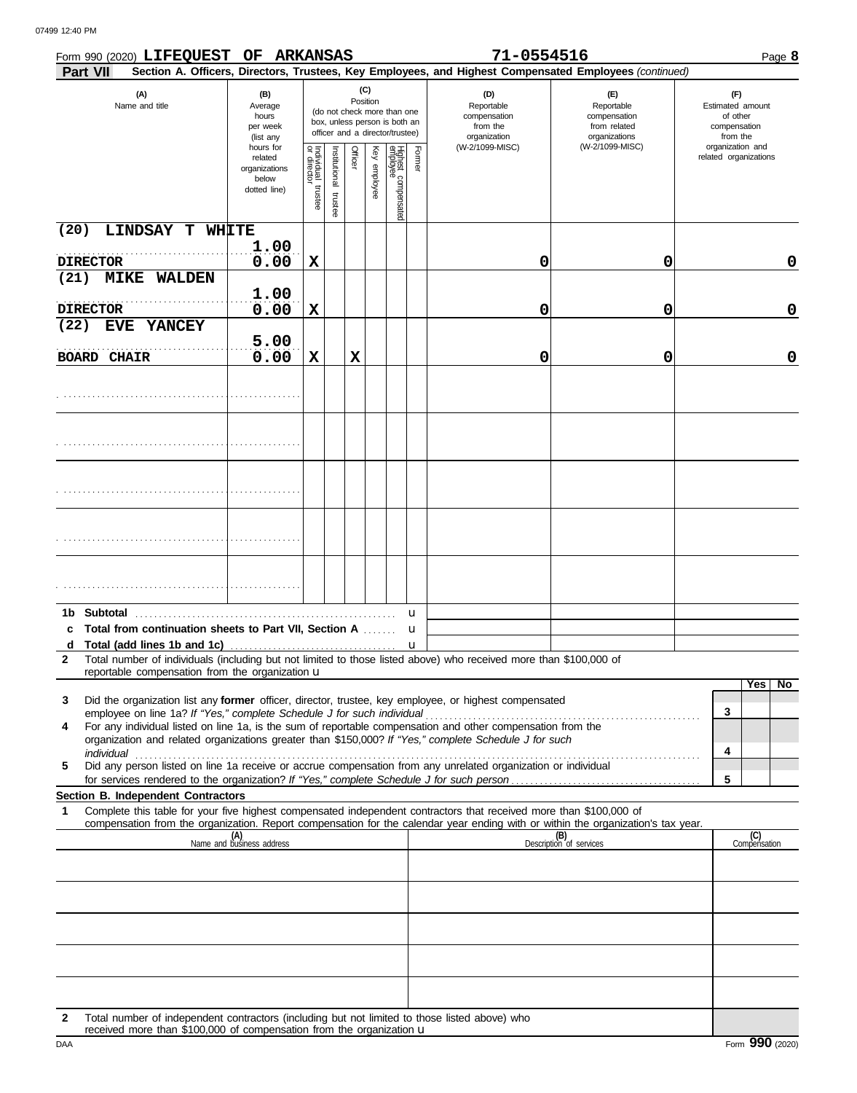|                    | Form 990 (2020) LIFEQUEST OF ARKANSAS                                  |                                                                |                                   |                          |          |              |                                                                                                 |          | 71-0554516                                                                                                         |                                                                                                                                  | Page 8                                                          |
|--------------------|------------------------------------------------------------------------|----------------------------------------------------------------|-----------------------------------|--------------------------|----------|--------------|-------------------------------------------------------------------------------------------------|----------|--------------------------------------------------------------------------------------------------------------------|----------------------------------------------------------------------------------------------------------------------------------|-----------------------------------------------------------------|
| <b>Part VII</b>    |                                                                        |                                                                |                                   |                          |          |              |                                                                                                 |          |                                                                                                                    | Section A. Officers, Directors, Trustees, Key Employees, and Highest Compensated Employees (continued)                           |                                                                 |
|                    | (A)<br>Name and title                                                  | (B)<br>Average<br>hours<br>per week<br>(list any               |                                   |                          | Position | (C)          | (do not check more than one<br>box, unless person is both an<br>officer and a director/trustee) |          | (D)<br>Reportable<br>compensation<br>from the<br>organization                                                      | (E)<br>Reportable<br>compensation<br>from related<br>organizations                                                               | (F)<br>Estimated amount<br>of other<br>compensation<br>from the |
|                    |                                                                        | hours for<br>related<br>organizations<br>below<br>dotted line) | Individual trustee<br>or director | Institutional<br>trustee | Officer  | Key employee | Highest compensated<br>employee                                                                 | Former   | (W-2/1099-MISC)                                                                                                    | (W-2/1099-MISC)                                                                                                                  | organization and<br>related organizations                       |
| (20)               | LINDSAY T WHITE                                                        |                                                                |                                   |                          |          |              |                                                                                                 |          |                                                                                                                    |                                                                                                                                  |                                                                 |
| <b>DIRECTOR</b>    |                                                                        | 1.00<br>0.00                                                   | X                                 |                          |          |              |                                                                                                 |          | 0                                                                                                                  | 0                                                                                                                                | 0                                                               |
| (21)               | <b>MIKE</b><br><b>WALDEN</b>                                           |                                                                |                                   |                          |          |              |                                                                                                 |          |                                                                                                                    |                                                                                                                                  |                                                                 |
| <b>DIRECTOR</b>    |                                                                        | 1.00<br>0.00                                                   | X                                 |                          |          |              |                                                                                                 |          | 0                                                                                                                  | 0                                                                                                                                | 0                                                               |
| (22)               | EVE YANCEY                                                             | 5.00                                                           |                                   |                          |          |              |                                                                                                 |          |                                                                                                                    |                                                                                                                                  |                                                                 |
| <b>BOARD CHAIR</b> |                                                                        | 0.00                                                           | X                                 |                          | X        |              |                                                                                                 |          | 0                                                                                                                  | 0                                                                                                                                | 0                                                               |
|                    |                                                                        |                                                                |                                   |                          |          |              |                                                                                                 |          |                                                                                                                    |                                                                                                                                  |                                                                 |
|                    |                                                                        |                                                                |                                   |                          |          |              |                                                                                                 |          |                                                                                                                    |                                                                                                                                  |                                                                 |
|                    |                                                                        |                                                                |                                   |                          |          |              |                                                                                                 |          |                                                                                                                    |                                                                                                                                  |                                                                 |
|                    |                                                                        |                                                                |                                   |                          |          |              |                                                                                                 |          |                                                                                                                    |                                                                                                                                  |                                                                 |
|                    |                                                                        |                                                                |                                   |                          |          |              |                                                                                                 |          |                                                                                                                    |                                                                                                                                  |                                                                 |
| 1b Subtotal<br>c   | Total from continuation sheets to Part VII, Section A                  |                                                                |                                   |                          |          |              |                                                                                                 | u<br>u   |                                                                                                                    |                                                                                                                                  |                                                                 |
| d<br>$\mathbf{2}$  |                                                                        |                                                                |                                   |                          |          |              |                                                                                                 | <b>u</b> | Total number of individuals (including but not limited to those listed above) who received more than \$100,000 of  |                                                                                                                                  |                                                                 |
|                    | reportable compensation from the organization u                        |                                                                |                                   |                          |          |              |                                                                                                 |          |                                                                                                                    |                                                                                                                                  | Yes l<br>No                                                     |
| 3                  |                                                                        |                                                                |                                   |                          |          |              |                                                                                                 |          | Did the organization list any former officer, director, trustee, key employee, or highest compensated              |                                                                                                                                  |                                                                 |
| 4                  | employee on line 1a? If "Yes," complete Schedule J for such individual |                                                                |                                   |                          |          |              |                                                                                                 |          | For any individual listed on line 1a, is the sum of reportable compensation and other compensation from the        |                                                                                                                                  | 3                                                               |
| individual         |                                                                        |                                                                |                                   |                          |          |              |                                                                                                 |          | organization and related organizations greater than \$150,000? If "Yes," complete Schedule J for such              |                                                                                                                                  | 4                                                               |
| 5                  |                                                                        |                                                                |                                   |                          |          |              |                                                                                                 |          | Did any person listed on line 1a receive or accrue compensation from any unrelated organization or individual      |                                                                                                                                  |                                                                 |
|                    | Section B. Independent Contractors                                     |                                                                |                                   |                          |          |              |                                                                                                 |          |                                                                                                                    |                                                                                                                                  | 5                                                               |
| 1                  |                                                                        |                                                                |                                   |                          |          |              |                                                                                                 |          | Complete this table for your five highest compensated independent contractors that received more than \$100,000 of | compensation from the organization. Report compensation for the calendar year ending with or within the organization's tax year. |                                                                 |
|                    |                                                                        | (A)<br>Name and business address                               |                                   |                          |          |              |                                                                                                 |          |                                                                                                                    | (B)<br>Description of services                                                                                                   | (C)<br>Compensation                                             |
|                    |                                                                        |                                                                |                                   |                          |          |              |                                                                                                 |          |                                                                                                                    |                                                                                                                                  |                                                                 |
|                    |                                                                        |                                                                |                                   |                          |          |              |                                                                                                 |          |                                                                                                                    |                                                                                                                                  |                                                                 |
|                    |                                                                        |                                                                |                                   |                          |          |              |                                                                                                 |          |                                                                                                                    |                                                                                                                                  |                                                                 |
|                    |                                                                        |                                                                |                                   |                          |          |              |                                                                                                 |          |                                                                                                                    |                                                                                                                                  |                                                                 |
|                    |                                                                        |                                                                |                                   |                          |          |              |                                                                                                 |          |                                                                                                                    |                                                                                                                                  |                                                                 |
|                    |                                                                        |                                                                |                                   |                          |          |              |                                                                                                 |          |                                                                                                                    |                                                                                                                                  |                                                                 |

**2** Total number of independent contractors (including but not limited to those listed above) who received more than \$100,000 of compensation from the organization u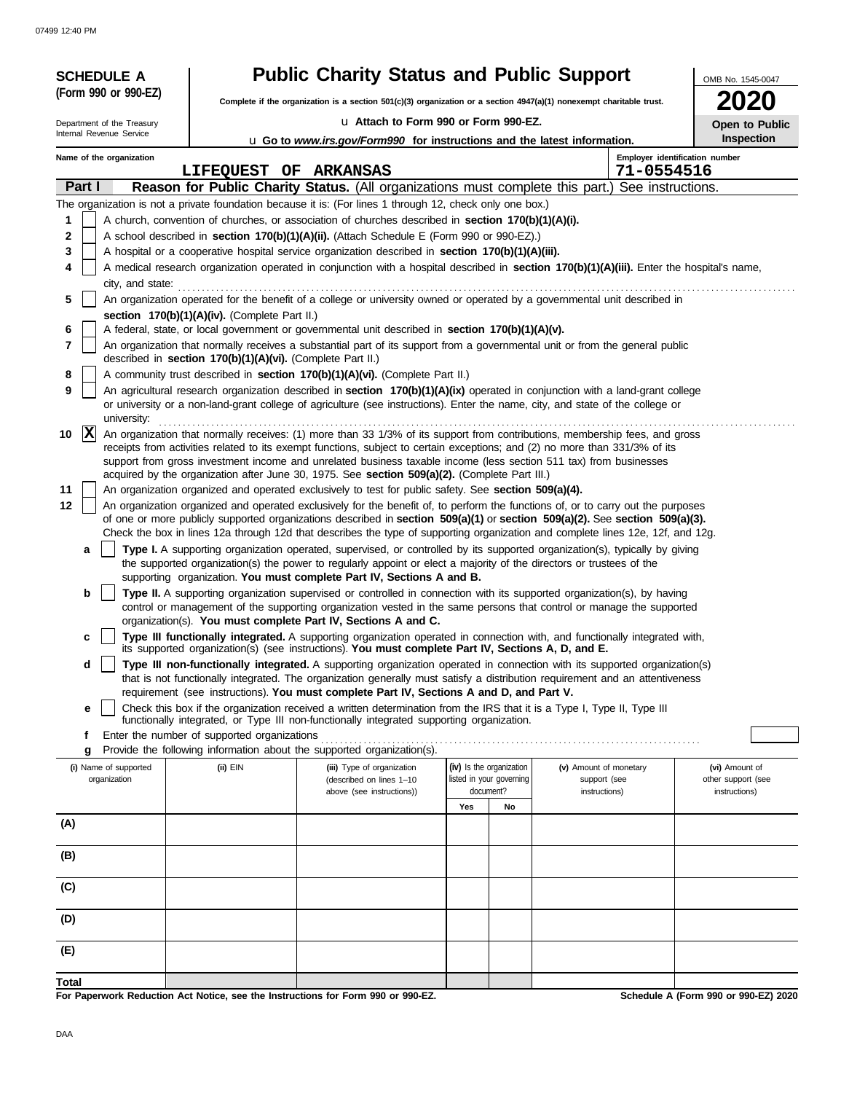07499 12:40 PM

| <b>SCHEDULE A</b>          |                                                            | <b>Public Charity Status and Public Support</b>                                                                                                                                                                                                                |                                       |                        | OMB No. 1545-0047                    |  |  |  |  |  |  |
|----------------------------|------------------------------------------------------------|----------------------------------------------------------------------------------------------------------------------------------------------------------------------------------------------------------------------------------------------------------------|---------------------------------------|------------------------|--------------------------------------|--|--|--|--|--|--|
| (Form 990 or 990-EZ)       |                                                            | Complete if the organization is a section 501(c)(3) organization or a section 4947(a)(1) nonexempt charitable trust.                                                                                                                                           |                                       |                        |                                      |  |  |  |  |  |  |
| Department of the Treasury |                                                            | u Attach to Form 990 or Form 990-EZ.                                                                                                                                                                                                                           |                                       |                        |                                      |  |  |  |  |  |  |
| Internal Revenue Service   |                                                            | u Go to www.irs.gov/Form990 for instructions and the latest information.                                                                                                                                                                                       |                                       |                        | Open to Public<br>Inspection         |  |  |  |  |  |  |
| Name of the organization   |                                                            |                                                                                                                                                                                                                                                                |                                       |                        | Employer identification number       |  |  |  |  |  |  |
|                            | LIFEQUEST OF ARKANSAS                                      |                                                                                                                                                                                                                                                                |                                       | 71-0554516             |                                      |  |  |  |  |  |  |
| Part I                     |                                                            | Reason for Public Charity Status. (All organizations must complete this part.) See instructions.                                                                                                                                                               |                                       |                        |                                      |  |  |  |  |  |  |
|                            |                                                            | The organization is not a private foundation because it is: (For lines 1 through 12, check only one box.)                                                                                                                                                      |                                       |                        |                                      |  |  |  |  |  |  |
| 1                          |                                                            | A church, convention of churches, or association of churches described in section 170(b)(1)(A)(i).                                                                                                                                                             |                                       |                        |                                      |  |  |  |  |  |  |
| 2<br>3                     |                                                            | A school described in section 170(b)(1)(A)(ii). (Attach Schedule E (Form 990 or 990-EZ).)<br>A hospital or a cooperative hospital service organization described in section 170(b)(1)(A)(iii).                                                                 |                                       |                        |                                      |  |  |  |  |  |  |
| 4                          |                                                            | A medical research organization operated in conjunction with a hospital described in section 170(b)(1)(A)(iii). Enter the hospital's name,                                                                                                                     |                                       |                        |                                      |  |  |  |  |  |  |
|                            | city, and state:                                           |                                                                                                                                                                                                                                                                |                                       |                        |                                      |  |  |  |  |  |  |
| 5                          |                                                            | An organization operated for the benefit of a college or university owned or operated by a governmental unit described in                                                                                                                                      |                                       |                        |                                      |  |  |  |  |  |  |
|                            | section 170(b)(1)(A)(iv). (Complete Part II.)              |                                                                                                                                                                                                                                                                |                                       |                        |                                      |  |  |  |  |  |  |
| 6                          |                                                            | A federal, state, or local government or governmental unit described in section 170(b)(1)(A)(v).                                                                                                                                                               |                                       |                        |                                      |  |  |  |  |  |  |
| 7                          | described in section 170(b)(1)(A)(vi). (Complete Part II.) | An organization that normally receives a substantial part of its support from a governmental unit or from the general public                                                                                                                                   |                                       |                        |                                      |  |  |  |  |  |  |
| 8                          |                                                            | A community trust described in section 170(b)(1)(A)(vi). (Complete Part II.)                                                                                                                                                                                   |                                       |                        |                                      |  |  |  |  |  |  |
| 9                          |                                                            | An agricultural research organization described in section 170(b)(1)(A)(ix) operated in conjunction with a land-grant college                                                                                                                                  |                                       |                        |                                      |  |  |  |  |  |  |
| university:                |                                                            | or university or a non-land-grant college of agriculture (see instructions). Enter the name, city, and state of the college or                                                                                                                                 |                                       |                        |                                      |  |  |  |  |  |  |
| $ {\bf x} $<br>10          |                                                            | An organization that normally receives: (1) more than 33 1/3% of its support from contributions, membership fees, and gross                                                                                                                                    |                                       |                        |                                      |  |  |  |  |  |  |
|                            |                                                            | receipts from activities related to its exempt functions, subject to certain exceptions; and (2) no more than 331/3% of its                                                                                                                                    |                                       |                        |                                      |  |  |  |  |  |  |
|                            |                                                            | support from gross investment income and unrelated business taxable income (less section 511 tax) from businesses<br>acquired by the organization after June 30, 1975. See section 509(a)(2). (Complete Part III.)                                             |                                       |                        |                                      |  |  |  |  |  |  |
| 11                         |                                                            | An organization organized and operated exclusively to test for public safety. See section 509(a)(4).                                                                                                                                                           |                                       |                        |                                      |  |  |  |  |  |  |
| 12                         |                                                            | An organization organized and operated exclusively for the benefit of, to perform the functions of, or to carry out the purposes                                                                                                                               |                                       |                        |                                      |  |  |  |  |  |  |
|                            |                                                            | of one or more publicly supported organizations described in section 509(a)(1) or section 509(a)(2). See section 509(a)(3).                                                                                                                                    |                                       |                        |                                      |  |  |  |  |  |  |
| a                          |                                                            | Check the box in lines 12a through 12d that describes the type of supporting organization and complete lines 12e, 12f, and 12g.<br>Type I. A supporting organization operated, supervised, or controlled by its supported organization(s), typically by giving |                                       |                        |                                      |  |  |  |  |  |  |
|                            |                                                            | the supported organization(s) the power to regularly appoint or elect a majority of the directors or trustees of the                                                                                                                                           |                                       |                        |                                      |  |  |  |  |  |  |
|                            |                                                            | supporting organization. You must complete Part IV, Sections A and B.                                                                                                                                                                                          |                                       |                        |                                      |  |  |  |  |  |  |
| b                          |                                                            | Type II. A supporting organization supervised or controlled in connection with its supported organization(s), by having<br>control or management of the supporting organization vested in the same persons that control or manage the supported                |                                       |                        |                                      |  |  |  |  |  |  |
|                            |                                                            | organization(s). You must complete Part IV, Sections A and C.                                                                                                                                                                                                  |                                       |                        |                                      |  |  |  |  |  |  |
| c                          |                                                            | Type III functionally integrated. A supporting organization operated in connection with, and functionally integrated with,                                                                                                                                     |                                       |                        |                                      |  |  |  |  |  |  |
|                            |                                                            | its supported organization(s) (see instructions). You must complete Part IV, Sections A, D, and E.                                                                                                                                                             |                                       |                        |                                      |  |  |  |  |  |  |
| d                          |                                                            | Type III non-functionally integrated. A supporting organization operated in connection with its supported organization(s)<br>that is not functionally integrated. The organization generally must satisfy a distribution requirement and an attentiveness      |                                       |                        |                                      |  |  |  |  |  |  |
|                            |                                                            | requirement (see instructions). You must complete Part IV, Sections A and D, and Part V.                                                                                                                                                                       |                                       |                        |                                      |  |  |  |  |  |  |
| е                          |                                                            | Check this box if the organization received a written determination from the IRS that it is a Type I, Type II, Type III                                                                                                                                        |                                       |                        |                                      |  |  |  |  |  |  |
| f                          | Enter the number of supported organizations                | functionally integrated, or Type III non-functionally integrated supporting organization.                                                                                                                                                                      |                                       |                        |                                      |  |  |  |  |  |  |
| g                          |                                                            | Provide the following information about the supported organization(s).                                                                                                                                                                                         |                                       |                        |                                      |  |  |  |  |  |  |
| (i) Name of supported      | $(ii)$ EIN                                                 | (iii) Type of organization                                                                                                                                                                                                                                     | (iv) Is the organization              | (v) Amount of monetary | (vi) Amount of                       |  |  |  |  |  |  |
| organization               |                                                            | (described on lines 1-10<br>above (see instructions))                                                                                                                                                                                                          | listed in your governing<br>document? | support (see           | other support (see                   |  |  |  |  |  |  |
|                            |                                                            |                                                                                                                                                                                                                                                                | Yes<br>No                             | instructions)          | instructions)                        |  |  |  |  |  |  |
| (A)                        |                                                            |                                                                                                                                                                                                                                                                |                                       |                        |                                      |  |  |  |  |  |  |
|                            |                                                            |                                                                                                                                                                                                                                                                |                                       |                        |                                      |  |  |  |  |  |  |
| (B)                        |                                                            |                                                                                                                                                                                                                                                                |                                       |                        |                                      |  |  |  |  |  |  |
| (C)                        |                                                            |                                                                                                                                                                                                                                                                |                                       |                        |                                      |  |  |  |  |  |  |
|                            |                                                            |                                                                                                                                                                                                                                                                |                                       |                        |                                      |  |  |  |  |  |  |
| (D)                        |                                                            |                                                                                                                                                                                                                                                                |                                       |                        |                                      |  |  |  |  |  |  |
| (E)                        |                                                            |                                                                                                                                                                                                                                                                |                                       |                        |                                      |  |  |  |  |  |  |
|                            |                                                            |                                                                                                                                                                                                                                                                |                                       |                        |                                      |  |  |  |  |  |  |
| Total                      |                                                            | For Paperwork Reduction Act Notice, see the Instructions for Form 990 or 990-EZ.                                                                                                                                                                               |                                       |                        | Schedule A (Form 990 or 990-EZ) 2020 |  |  |  |  |  |  |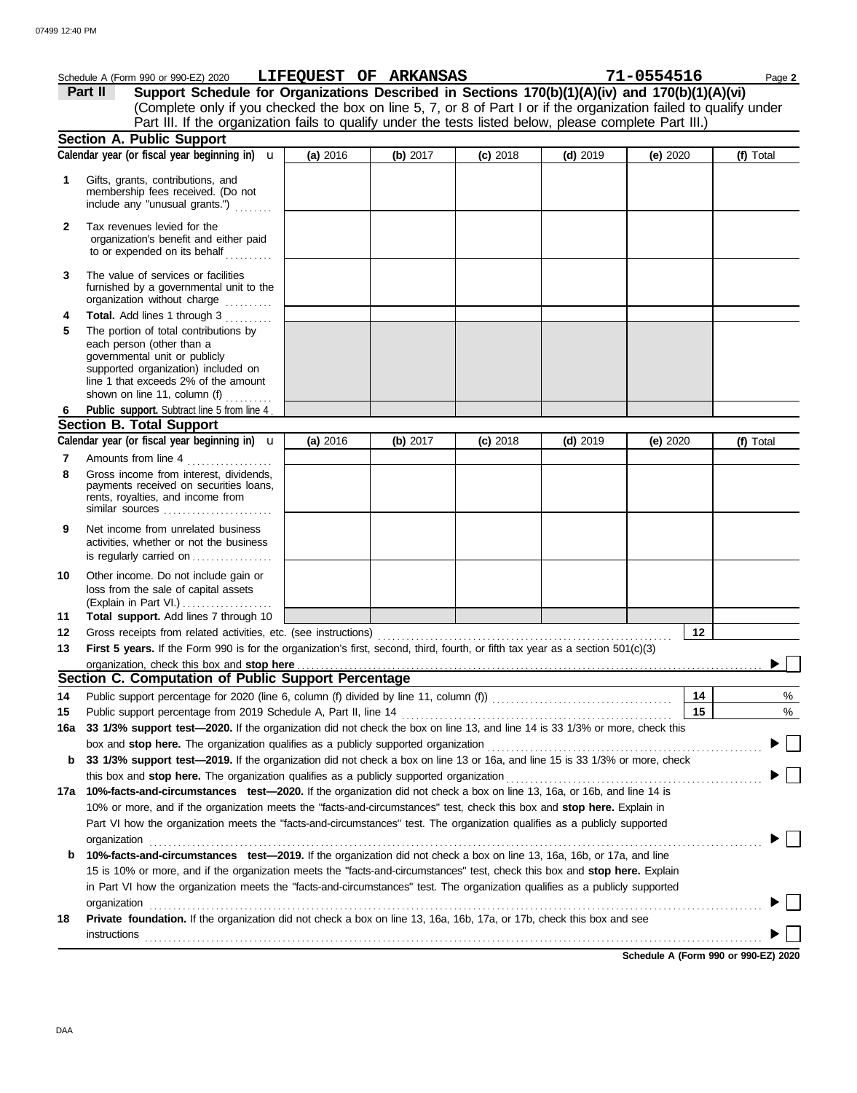|              | Schedule A (Form 990 or 990-EZ) 2020 LIFEQUEST OF ARKANSAS                                                                                                                                                                                                 |          |          |            |            | 71-0554516 |    | Page 2    |
|--------------|------------------------------------------------------------------------------------------------------------------------------------------------------------------------------------------------------------------------------------------------------------|----------|----------|------------|------------|------------|----|-----------|
|              | Support Schedule for Organizations Described in Sections 170(b)(1)(A)(iv) and 170(b)(1)(A)(vi)<br>Part II                                                                                                                                                  |          |          |            |            |            |    |           |
|              | (Complete only if you checked the box on line 5, 7, or 8 of Part I or if the organization failed to qualify under                                                                                                                                          |          |          |            |            |            |    |           |
|              | Part III. If the organization fails to qualify under the tests listed below, please complete Part III.)                                                                                                                                                    |          |          |            |            |            |    |           |
|              | <b>Section A. Public Support</b>                                                                                                                                                                                                                           |          |          |            |            |            |    |           |
|              | Calendar year (or fiscal year beginning in) $\mathbf u$                                                                                                                                                                                                    | (a) 2016 | (b) 2017 | $(c)$ 2018 | $(d)$ 2019 | (e) $2020$ |    | (f) Total |
| 1            | Gifts, grants, contributions, and<br>membership fees received. (Do not<br>include any "unusual grants.")                                                                                                                                                   |          |          |            |            |            |    |           |
| $\mathbf{2}$ | Tax revenues levied for the<br>organization's benefit and either paid<br>to or expended on its behalf                                                                                                                                                      |          |          |            |            |            |    |           |
| 3            | The value of services or facilities<br>furnished by a governmental unit to the<br>organization without charge                                                                                                                                              |          |          |            |            |            |    |           |
| 4            | Total. Add lines 1 through 3                                                                                                                                                                                                                               |          |          |            |            |            |    |           |
| 5            | The portion of total contributions by<br>each person (other than a<br>governmental unit or publicly<br>supported organization) included on<br>line 1 that exceeds 2% of the amount<br>shown on line 11, column (f) $\ldots$                                |          |          |            |            |            |    |           |
| 6            | Public support. Subtract line 5 from line 4.                                                                                                                                                                                                               |          |          |            |            |            |    |           |
|              | <b>Section B. Total Support</b>                                                                                                                                                                                                                            |          |          |            |            |            |    |           |
|              | Calendar year (or fiscal year beginning in) $\mathbf u$                                                                                                                                                                                                    | (a) 2016 | (b) 2017 | $(c)$ 2018 | $(d)$ 2019 | (e) $2020$ |    | (f) Total |
| 7<br>8       | Amounts from line 4<br>Gross income from interest, dividends,<br>payments received on securities loans,<br>rents, royalties, and income from<br>similar sources $\ldots, \ldots, \ldots, \ldots, \ldots$                                                   |          |          |            |            |            |    |           |
| 9            | Net income from unrelated business<br>activities, whether or not the business<br>is regularly carried on                                                                                                                                                   |          |          |            |            |            |    |           |
| 10<br>11     | Other income. Do not include gain or<br>loss from the sale of capital assets<br>Total support. Add lines 7 through 10                                                                                                                                      |          |          |            |            |            |    |           |
| 12           |                                                                                                                                                                                                                                                            |          |          |            |            |            | 12 |           |
| 13           | First 5 years. If the Form 990 is for the organization's first, second, third, fourth, or fifth tax year as a section 501(c)(3)                                                                                                                            |          |          |            |            |            |    |           |
|              |                                                                                                                                                                                                                                                            |          |          |            |            |            |    |           |
|              | Section C. Computation of Public Support Percentage                                                                                                                                                                                                        |          |          |            |            |            |    |           |
| 14           |                                                                                                                                                                                                                                                            |          |          |            |            |            | 14 | %         |
| 15           |                                                                                                                                                                                                                                                            |          |          |            |            |            | 15 | %         |
| 16a          | 33 1/3% support test-2020. If the organization did not check the box on line 13, and line 14 is 33 1/3% or more, check this                                                                                                                                |          |          |            |            |            |    |           |
|              |                                                                                                                                                                                                                                                            |          |          |            |            |            |    |           |
| b            | 33 1/3% support test-2019. If the organization did not check a box on line 13 or 16a, and line 15 is 33 1/3% or more, check                                                                                                                                |          |          |            |            |            |    |           |
|              | this box and stop here. The organization qualifies as a publicly supported organization                                                                                                                                                                    |          |          |            |            |            |    |           |
| 17a          | 10%-facts-and-circumstances test-2020. If the organization did not check a box on line 13, 16a, or 16b, and line 14 is                                                                                                                                     |          |          |            |            |            |    |           |
|              | 10% or more, and if the organization meets the "facts-and-circumstances" test, check this box and stop here. Explain in                                                                                                                                    |          |          |            |            |            |    |           |
|              | Part VI how the organization meets the "facts-and-circumstances" test. The organization qualifies as a publicly supported                                                                                                                                  |          |          |            |            |            |    |           |
|              | organization                                                                                                                                                                                                                                               |          |          |            |            |            |    |           |
| b            | 10%-facts-and-circumstances test-2019. If the organization did not check a box on line 13, 16a, 16b, or 17a, and line                                                                                                                                      |          |          |            |            |            |    |           |
|              | 15 is 10% or more, and if the organization meets the "facts-and-circumstances" test, check this box and stop here. Explain<br>in Part VI how the organization meets the "facts-and-circumstances" test. The organization qualifies as a publicly supported |          |          |            |            |            |    |           |
|              | organization                                                                                                                                                                                                                                               |          |          |            |            |            |    |           |
| 18           | Private foundation. If the organization did not check a box on line 13, 16a, 16b, 17a, or 17b, check this box and see                                                                                                                                      |          |          |            |            |            |    |           |
|              | instructions                                                                                                                                                                                                                                               |          |          |            |            |            |    |           |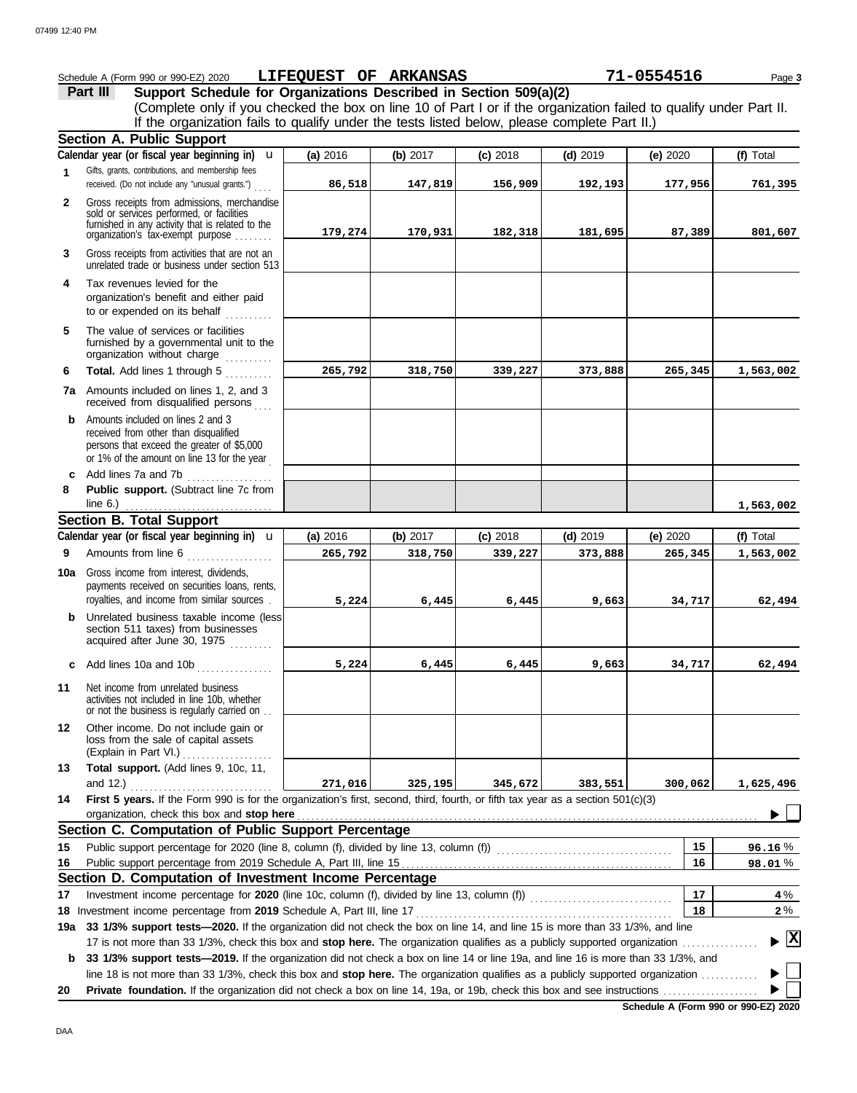|              | Schedule A (Form 990 or 990-EZ) 2020                                                                                                                                                                                                                            | <b>LIFEQUEST OF ARKANSAS</b> |          |            |            | 71-0554516 | Page 3                             |
|--------------|-----------------------------------------------------------------------------------------------------------------------------------------------------------------------------------------------------------------------------------------------------------------|------------------------------|----------|------------|------------|------------|------------------------------------|
|              | Support Schedule for Organizations Described in Section 509(a)(2)<br>Part III                                                                                                                                                                                   |                              |          |            |            |            |                                    |
|              | (Complete only if you checked the box on line 10 of Part I or if the organization failed to qualify under Part II.                                                                                                                                              |                              |          |            |            |            |                                    |
|              | If the organization fails to qualify under the tests listed below, please complete Part II.)                                                                                                                                                                    |                              |          |            |            |            |                                    |
|              | <b>Section A. Public Support</b>                                                                                                                                                                                                                                |                              |          |            |            |            |                                    |
|              | Calendar year (or fiscal year beginning in)<br>$\mathbf{u}$                                                                                                                                                                                                     | (a) 2016                     | (b) 2017 | $(c)$ 2018 | $(d)$ 2019 | (e) 2020   | (f) Total                          |
| 1            | Gifts, grants, contributions, and membership fees<br>received. (Do not include any "unusual grants.")                                                                                                                                                           | 86,518                       | 147,819  | 156,909    | 192,193    | 177,956    | 761,395                            |
| $\mathbf{2}$ | Gross receipts from admissions, merchandise                                                                                                                                                                                                                     |                              |          |            |            |            |                                    |
|              | sold or services performed, or facilities<br>furnished in any activity that is related to the<br>organization's fax-exempt purpose                                                                                                                              | 179,274                      | 170,931  | 182,318    | 181,695    | 87,389     | 801,607                            |
| 3            | Gross receipts from activities that are not an<br>unrelated trade or business under section 513                                                                                                                                                                 |                              |          |            |            |            |                                    |
| 4            | Tax revenues levied for the<br>organization's benefit and either paid<br>to or expended on its behalf                                                                                                                                                           |                              |          |            |            |            |                                    |
| 5            | The value of services or facilities<br>furnished by a governmental unit to the<br>organization without charge                                                                                                                                                   |                              |          |            |            |            |                                    |
| 6            | Total. Add lines 1 through 5                                                                                                                                                                                                                                    | 265,792                      | 318,750  | 339,227    | 373,888    | 265,345    | 1,563,002                          |
|              | <b>7a</b> Amounts included on lines 1, 2, and 3<br>received from disqualified persons                                                                                                                                                                           |                              |          |            |            |            |                                    |
| b            | Amounts included on lines 2 and 3<br>received from other than disqualified<br>persons that exceed the greater of \$5,000<br>or 1% of the amount on line 13 for the year                                                                                         |                              |          |            |            |            |                                    |
| c            | Add lines 7a and 7b                                                                                                                                                                                                                                             |                              |          |            |            |            |                                    |
| 8            | Public support. (Subtract line 7c from<br>line $6.$ )                                                                                                                                                                                                           |                              |          |            |            |            | 1,563,002                          |
|              | <b>Section B. Total Support</b>                                                                                                                                                                                                                                 |                              |          |            |            |            |                                    |
|              | Calendar year (or fiscal year beginning in) $\mathbf u$                                                                                                                                                                                                         | (a) 2016                     | (b) 2017 | $(c)$ 2018 | $(d)$ 2019 | (e) 2020   | (f) Total                          |
| 9            | Amounts from line 6                                                                                                                                                                                                                                             | 265,792                      | 318,750  | 339,227    | 373,888    | 265,345    | 1,563,002                          |
|              | <b>10a</b> Gross income from interest, dividends,<br>payments received on securities loans, rents,<br>royalties, and income from similar sources.                                                                                                               | 5,224                        | 6,445    | 6,445      | 9,663      | 34,717     | 62,494                             |
| b            | Unrelated business taxable income (less<br>section 511 taxes) from businesses<br>acquired after June 30, 1975                                                                                                                                                   |                              |          |            |            |            |                                    |
| c            | Add lines 10a and 10b                                                                                                                                                                                                                                           | 5,224                        | 6,445    | 6,445      | 9,663      | 34,717     | 62,494                             |
| 11           | Net income from unrelated business<br>activities not included in line 10b, whether<br>or not the business is regularly carried on                                                                                                                               |                              |          |            |            |            |                                    |
| 12           | Other income. Do not include gain or<br>loss from the sale of capital assets<br>(Explain in Part VI.)                                                                                                                                                           |                              |          |            |            |            |                                    |
| 13           | Total support. (Add lines 9, 10c, 11,<br>and 12.) $\ldots$                                                                                                                                                                                                      | 271,016                      | 325,195  | 345,672    | 383,551    | 300,062    | 1,625,496                          |
| 14           | First 5 years. If the Form 990 is for the organization's first, second, third, fourth, or fifth tax year as a section 501(c)(3)                                                                                                                                 |                              |          |            |            |            |                                    |
|              | organization, check this box and stop here<br>Section C. Computation of Public Support Percentage                                                                                                                                                               |                              |          |            |            |            |                                    |
|              |                                                                                                                                                                                                                                                                 |                              |          |            |            |            |                                    |
| 15           |                                                                                                                                                                                                                                                                 |                              |          |            |            | 15         | 96.16%                             |
| 16           |                                                                                                                                                                                                                                                                 |                              |          |            |            | 16         | 98.01%                             |
|              | Section D. Computation of Investment Income Percentage                                                                                                                                                                                                          |                              |          |            |            | 17         |                                    |
| 17           |                                                                                                                                                                                                                                                                 |                              |          |            |            |            | 4 %                                |
|              |                                                                                                                                                                                                                                                                 |                              |          |            |            | 18         | $2\%$                              |
| 19а          | 33 1/3% support tests-2020. If the organization did not check the box on line 14, and line 15 is more than 33 1/3%, and line                                                                                                                                    |                              |          |            |            |            | $\blacktriangleright$ $\mathbf{X}$ |
| b            | 17 is not more than 33 1/3%, check this box and stop here. The organization qualifies as a publicly supported organization<br>33 1/3% support tests—2019. If the organization did not check a box on line 14 or line 19a, and line 16 is more than 33 1/3%, and |                              |          |            |            |            |                                    |
|              | line 18 is not more than 33 1/3%, check this box and stop here. The organization qualifies as a publicly supported organization                                                                                                                                 |                              |          |            |            |            |                                    |
| 20           |                                                                                                                                                                                                                                                                 |                              |          |            |            |            |                                    |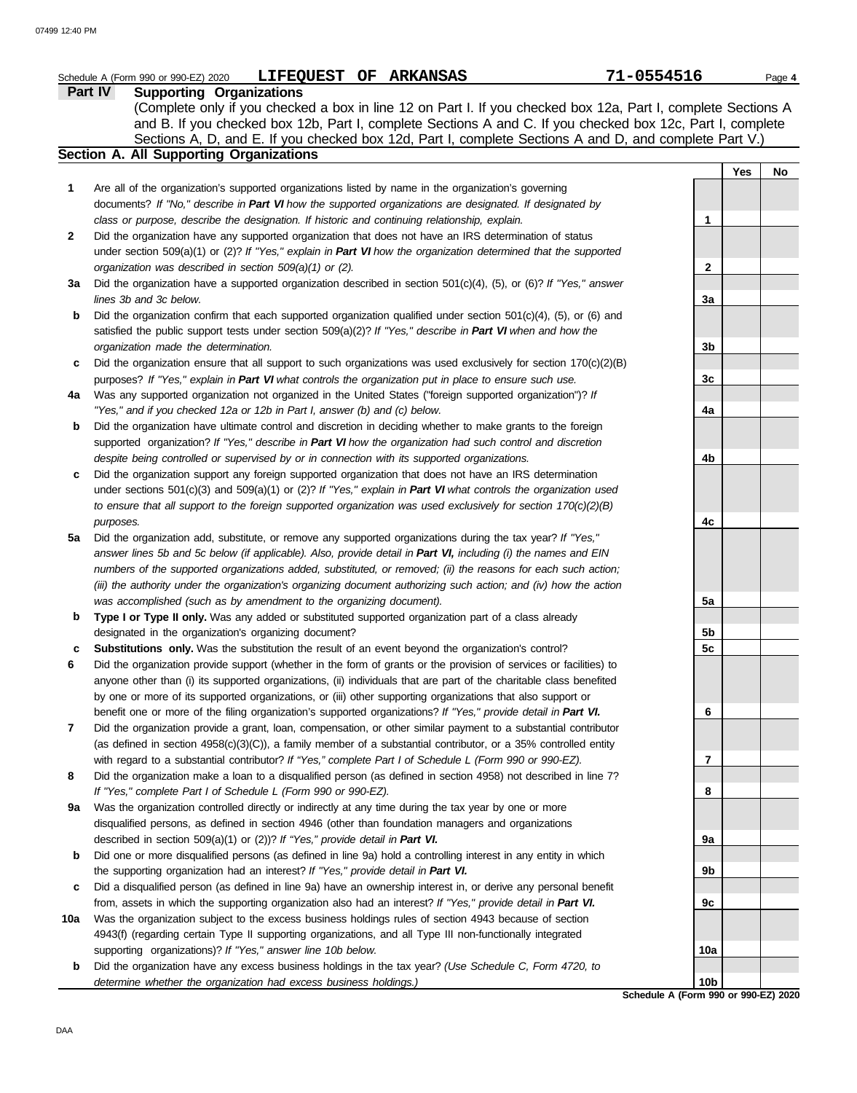|     | LIFEQUEST OF ARKANSAS<br>Schedule A (Form 990 or 990-EZ) 2020                                                                                                                                        | 71-0554516      |            | Page 4 |
|-----|------------------------------------------------------------------------------------------------------------------------------------------------------------------------------------------------------|-----------------|------------|--------|
|     | <b>Supporting Organizations</b><br><b>Part IV</b>                                                                                                                                                    |                 |            |        |
|     | (Complete only if you checked a box in line 12 on Part I. If you checked box 12a, Part I, complete Sections A                                                                                        |                 |            |        |
|     | and B. If you checked box 12b, Part I, complete Sections A and C. If you checked box 12c, Part I, complete                                                                                           |                 |            |        |
|     | Sections A, D, and E. If you checked box 12d, Part I, complete Sections A and D, and complete Part V.)<br>Section A. All Supporting Organizations                                                    |                 |            |        |
|     |                                                                                                                                                                                                      |                 | <b>Yes</b> | No     |
| 1   | Are all of the organization's supported organizations listed by name in the organization's governing                                                                                                 |                 |            |        |
|     | documents? If "No," describe in Part VI how the supported organizations are designated. If designated by                                                                                             |                 |            |        |
|     | class or purpose, describe the designation. If historic and continuing relationship, explain.                                                                                                        | 1               |            |        |
| 2   | Did the organization have any supported organization that does not have an IRS determination of status                                                                                               |                 |            |        |
|     | under section $509(a)(1)$ or (2)? If "Yes," explain in Part VI how the organization determined that the supported                                                                                    |                 |            |        |
|     | organization was described in section 509(a)(1) or (2).                                                                                                                                              | 2               |            |        |
| За  | Did the organization have a supported organization described in section 501(c)(4), (5), or (6)? If "Yes," answer                                                                                     |                 |            |        |
|     | lines 3b and 3c below.                                                                                                                                                                               | За              |            |        |
| b   | Did the organization confirm that each supported organization qualified under section $501(c)(4)$ , $(5)$ , or $(6)$ and                                                                             |                 |            |        |
|     | satisfied the public support tests under section 509(a)(2)? If "Yes," describe in Part VI when and how the                                                                                           |                 |            |        |
|     | organization made the determination.                                                                                                                                                                 | 3b              |            |        |
| c   | Did the organization ensure that all support to such organizations was used exclusively for section $170(c)(2)(B)$                                                                                   |                 |            |        |
|     | purposes? If "Yes," explain in Part VI what controls the organization put in place to ensure such use.                                                                                               | 3c              |            |        |
| 4a  | Was any supported organization not organized in the United States ("foreign supported organization")? If                                                                                             |                 |            |        |
|     | "Yes," and if you checked 12a or 12b in Part I, answer (b) and (c) below.                                                                                                                            | 4a              |            |        |
| b   | Did the organization have ultimate control and discretion in deciding whether to make grants to the foreign                                                                                          |                 |            |        |
|     | supported organization? If "Yes," describe in Part VI how the organization had such control and discretion                                                                                           |                 |            |        |
|     | despite being controlled or supervised by or in connection with its supported organizations.                                                                                                         | 4b              |            |        |
| c   | Did the organization support any foreign supported organization that does not have an IRS determination                                                                                              |                 |            |        |
|     | under sections $501(c)(3)$ and $509(a)(1)$ or (2)? If "Yes," explain in Part VI what controls the organization used                                                                                  |                 |            |        |
|     | to ensure that all support to the foreign supported organization was used exclusively for section $170(c)(2)(B)$                                                                                     |                 |            |        |
| 5a  | purposes.<br>Did the organization add, substitute, or remove any supported organizations during the tax year? If "Yes,"                                                                              | 4c              |            |        |
|     | answer lines 5b and 5c below (if applicable). Also, provide detail in Part VI, including (i) the names and EIN                                                                                       |                 |            |        |
|     | numbers of the supported organizations added, substituted, or removed; (ii) the reasons for each such action;                                                                                        |                 |            |        |
|     | (iii) the authority under the organization's organizing document authorizing such action; and (iv) how the action                                                                                    |                 |            |        |
|     | was accomplished (such as by amendment to the organizing document).                                                                                                                                  | 5a              |            |        |
| b   | Type I or Type II only. Was any added or substituted supported organization part of a class already                                                                                                  |                 |            |        |
|     | designated in the organization's organizing document?                                                                                                                                                | 5b              |            |        |
| c   | Substitutions only. Was the substitution the result of an event beyond the organization's control?                                                                                                   | 5c              |            |        |
| 6   | Did the organization provide support (whether in the form of grants or the provision of services or facilities) to                                                                                   |                 |            |        |
|     | anyone other than (i) its supported organizations, (ii) individuals that are part of the charitable class benefited                                                                                  |                 |            |        |
|     | by one or more of its supported organizations, or (iii) other supporting organizations that also support or                                                                                          |                 |            |        |
|     | benefit one or more of the filing organization's supported organizations? If "Yes," provide detail in Part VI.                                                                                       | 6               |            |        |
| 7   | Did the organization provide a grant, loan, compensation, or other similar payment to a substantial contributor                                                                                      |                 |            |        |
|     | (as defined in section 4958(c)(3)(C)), a family member of a substantial contributor, or a 35% controlled entity                                                                                      |                 |            |        |
|     | with regard to a substantial contributor? If "Yes," complete Part I of Schedule L (Form 990 or 990-EZ).                                                                                              | 7               |            |        |
| 8   | Did the organization make a loan to a disqualified person (as defined in section 4958) not described in line 7?                                                                                      |                 |            |        |
|     | If "Yes," complete Part I of Schedule L (Form 990 or 990-EZ).                                                                                                                                        | 8               |            |        |
| 9a  | Was the organization controlled directly or indirectly at any time during the tax year by one or more                                                                                                |                 |            |        |
|     | disqualified persons, as defined in section 4946 (other than foundation managers and organizations                                                                                                   |                 |            |        |
|     | described in section 509(a)(1) or (2))? If "Yes," provide detail in Part VI.                                                                                                                         | 9а              |            |        |
| b   | Did one or more disqualified persons (as defined in line 9a) hold a controlling interest in any entity in which                                                                                      | 9b              |            |        |
| c   | the supporting organization had an interest? If "Yes," provide detail in Part VI.<br>Did a disqualified person (as defined in line 9a) have an ownership interest in, or derive any personal benefit |                 |            |        |
|     | from, assets in which the supporting organization also had an interest? If "Yes," provide detail in Part VI.                                                                                         | 9c              |            |        |
| 10a | Was the organization subject to the excess business holdings rules of section 4943 because of section                                                                                                |                 |            |        |
|     | 4943(f) (regarding certain Type II supporting organizations, and all Type III non-functionally integrated                                                                                            |                 |            |        |
|     | supporting organizations)? If "Yes," answer line 10b below.                                                                                                                                          | 10a             |            |        |
| b   | Did the organization have any excess business holdings in the tax year? (Use Schedule C, Form 4720, to                                                                                               |                 |            |        |
|     | determine whether the organization had excess business holdings.)                                                                                                                                    | 10 <sub>b</sub> |            |        |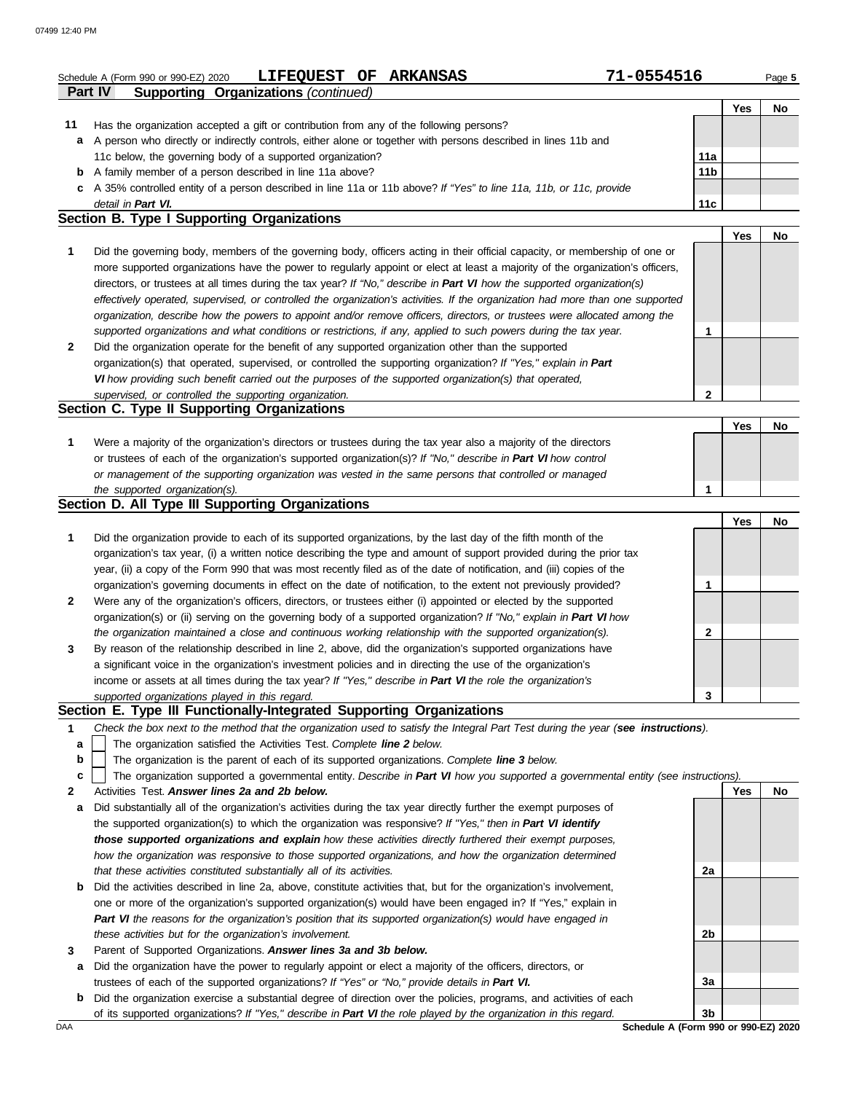|    | 71-0554516<br>LIFEQUEST OF ARKANSAS<br>Schedule A (Form 990 or 990-EZ) 2020                                                       |                 |     | Page 5 |
|----|-----------------------------------------------------------------------------------------------------------------------------------|-----------------|-----|--------|
|    | <b>Supporting Organizations (continued)</b><br>Part IV                                                                            |                 |     |        |
|    |                                                                                                                                   |                 | Yes | No     |
| 11 | Has the organization accepted a gift or contribution from any of the following persons?                                           |                 |     |        |
| a  | A person who directly or indirectly controls, either alone or together with persons described in lines 11b and                    |                 |     |        |
|    | 11c below, the governing body of a supported organization?                                                                        | 11a             |     |        |
| b  | A family member of a person described in line 11a above?                                                                          | 11 <sub>b</sub> |     |        |
| c  | A 35% controlled entity of a person described in line 11a or 11b above? If "Yes" to line 11a, 11b, or 11c, provide                |                 |     |        |
|    | detail in Part VI.<br>Section B. Type I Supporting Organizations                                                                  | 11c             |     |        |
|    |                                                                                                                                   |                 | Yes | No     |
| 1  | Did the governing body, members of the governing body, officers acting in their official capacity, or membership of one or        |                 |     |        |
|    | more supported organizations have the power to regularly appoint or elect at least a majority of the organization's officers,     |                 |     |        |
|    | directors, or trustees at all times during the tax year? If "No," describe in Part VI how the supported organization(s)           |                 |     |        |
|    | effectively operated, supervised, or controlled the organization's activities. If the organization had more than one supported    |                 |     |        |
|    | organization, describe how the powers to appoint and/or remove officers, directors, or trustees were allocated among the          |                 |     |        |
|    | supported organizations and what conditions or restrictions, if any, applied to such powers during the tax year.                  | 1               |     |        |
| 2  | Did the organization operate for the benefit of any supported organization other than the supported                               |                 |     |        |
|    | organization(s) that operated, supervised, or controlled the supporting organization? If "Yes," explain in Part                   |                 |     |        |
|    | VI how providing such benefit carried out the purposes of the supported organization(s) that operated,                            |                 |     |        |
|    |                                                                                                                                   | 2               |     |        |
|    | supervised, or controlled the supporting organization.<br>Section C. Type II Supporting Organizations                             |                 |     |        |
|    |                                                                                                                                   |                 | Yes | No     |
| 1  | Were a majority of the organization's directors or trustees during the tax year also a majority of the directors                  |                 |     |        |
|    | or trustees of each of the organization's supported organization(s)? If "No," describe in Part VI how control                     |                 |     |        |
|    | or management of the supporting organization was vested in the same persons that controlled or managed                            |                 |     |        |
|    | the supported organization(s).                                                                                                    | 1               |     |        |
|    | Section D. All Type III Supporting Organizations                                                                                  |                 |     |        |
|    |                                                                                                                                   |                 | Yes | No     |
| 1  | Did the organization provide to each of its supported organizations, by the last day of the fifth month of the                    |                 |     |        |
|    | organization's tax year, (i) a written notice describing the type and amount of support provided during the prior tax             |                 |     |        |
|    | year, (ii) a copy of the Form 990 that was most recently filed as of the date of notification, and (iii) copies of the            |                 |     |        |
|    | organization's governing documents in effect on the date of notification, to the extent not previously provided?                  | 1               |     |        |
|    | Were any of the organization's officers, directors, or trustees either (i) appointed or elected by the supported                  |                 |     |        |
| 2  |                                                                                                                                   |                 |     |        |
|    | organization(s) or (ii) serving on the governing body of a supported organization? If "No," explain in Part VI how                | 2               |     |        |
|    | the organization maintained a close and continuous working relationship with the supported organization(s).                       |                 |     |        |
| 3  | By reason of the relationship described in line 2, above, did the organization's supported organizations have                     |                 |     |        |
|    | a significant voice in the organization's investment policies and in directing the use of the organization's                      |                 |     |        |
|    | income or assets at all times during the tax year? If "Yes," describe in Part VI the role the organization's                      |                 |     |        |
|    | supported organizations played in this regard.<br>Section E. Type III Functionally-Integrated Supporting Organizations            | 3               |     |        |
|    |                                                                                                                                   |                 |     |        |
| 1  | Check the box next to the method that the organization used to satisfy the Integral Part Test during the year (see instructions). |                 |     |        |
| a  | The organization satisfied the Activities Test. Complete line 2 below.                                                            |                 |     |        |
| b  | The organization is the parent of each of its supported organizations. Complete line 3 below.                                     |                 |     |        |
| c  | The organization supported a governmental entity. Describe in Part VI how you supported a governmental entity (see instructions). |                 |     |        |
| 2  | Activities Test, Answer lines 2a and 2b below.                                                                                    |                 | Yes | No     |
| а  | Did substantially all of the organization's activities during the tax year directly further the exempt purposes of                |                 |     |        |
|    | the supported organization(s) to which the organization was responsive? If "Yes," then in Part VI identify                        |                 |     |        |
|    | those supported organizations and explain how these activities directly furthered their exempt purposes,                          |                 |     |        |
|    | how the organization was responsive to those supported organizations, and how the organization determined                         |                 |     |        |
|    | that these activities constituted substantially all of its activities.                                                            | 2a              |     |        |
| b  | Did the activities described in line 2a, above, constitute activities that, but for the organization's involvement,               |                 |     |        |
|    | one or more of the organization's supported organization(s) would have been engaged in? If "Yes," explain in                      |                 |     |        |
|    | Part VI the reasons for the organization's position that its supported organization(s) would have engaged in                      |                 |     |        |
|    | these activities but for the organization's involvement.                                                                          | 2b              |     |        |
|    | Parent of Supported Organizations. Answer lines 3a and 3b below.                                                                  |                 |     |        |

- **a** Did the organization have the power to regularly appoint or elect a majority of the officers, directors, or trustees of each of the supported organizations? *If "Yes" or "No," provide details in Part VI.*
- **b** Did the organization exercise a substantial degree of direction over the policies, programs, and activities of each of its supported organizations? *If "Yes," describe in Part VI the role played by the organization in this regard.*

DAA **Schedule A (Form 990 or 990-EZ) 2020 3b**

**3a**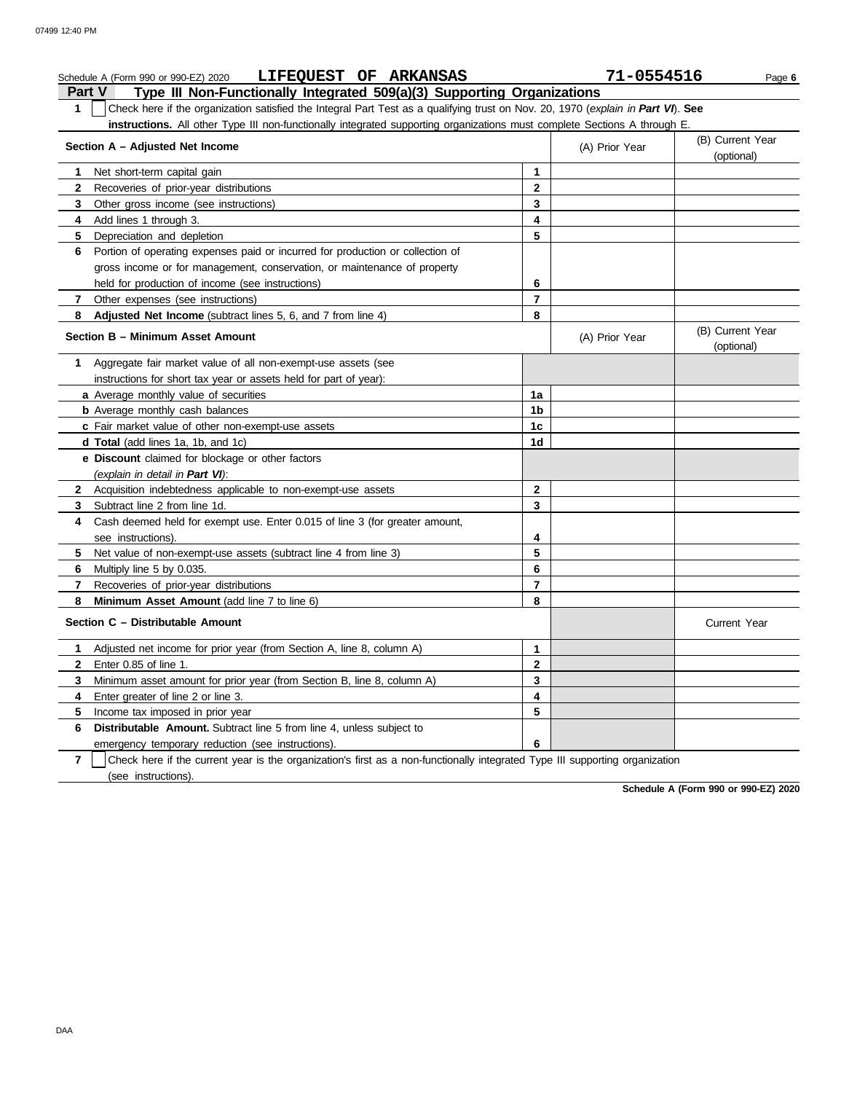| LIFEQUEST OF ARKANSAS<br>Schedule A (Form 990 or 990-EZ) 2020                                                                         |                | 71-0554516     | Page 6                         |
|---------------------------------------------------------------------------------------------------------------------------------------|----------------|----------------|--------------------------------|
| Type III Non-Functionally Integrated 509(a)(3) Supporting Organizations<br><b>Part V</b>                                              |                |                |                                |
| Check here if the organization satisfied the Integral Part Test as a qualifying trust on Nov. 20, 1970 (explain in Part VI). See<br>1 |                |                |                                |
| instructions. All other Type III non-functionally integrated supporting organizations must complete Sections A through E.             |                |                |                                |
| Section A - Adjusted Net Income                                                                                                       |                | (A) Prior Year | (B) Current Year<br>(optional) |
| Net short-term capital gain                                                                                                           | 1              |                |                                |
| $\mathbf{2}$<br>Recoveries of prior-year distributions                                                                                | $\mathbf 2$    |                |                                |
| 3<br>Other gross income (see instructions)                                                                                            | 3              |                |                                |
| Add lines 1 through 3.<br>4                                                                                                           | 4              |                |                                |
| Depreciation and depletion<br>5.                                                                                                      | 5              |                |                                |
| Portion of operating expenses paid or incurred for production or collection of<br>6                                                   |                |                |                                |
| gross income or for management, conservation, or maintenance of property                                                              |                |                |                                |
| held for production of income (see instructions)                                                                                      | 6              |                |                                |
| 7 Other expenses (see instructions)                                                                                                   | 7              |                |                                |
| Adjusted Net Income (subtract lines 5, 6, and 7 from line 4)<br>8                                                                     | 8              |                |                                |
| Section B - Minimum Asset Amount                                                                                                      |                | (A) Prior Year | (B) Current Year<br>(optional) |
| Aggregate fair market value of all non-exempt-use assets (see<br>1.                                                                   |                |                |                                |
| instructions for short tax year or assets held for part of year):                                                                     |                |                |                                |
| a Average monthly value of securities                                                                                                 | 1a             |                |                                |
| <b>b</b> Average monthly cash balances                                                                                                | 1 <sub>b</sub> |                |                                |
| c Fair market value of other non-exempt-use assets                                                                                    | 1 <sub>c</sub> |                |                                |
| d Total (add lines 1a, 1b, and 1c)                                                                                                    | 1d             |                |                                |
| e Discount claimed for blockage or other factors                                                                                      |                |                |                                |
| (explain in detail in Part VI):                                                                                                       |                |                |                                |
| 2 Acquisition indebtedness applicable to non-exempt-use assets                                                                        | $\mathbf{2}$   |                |                                |
| Subtract line 2 from line 1d.<br>3                                                                                                    | 3              |                |                                |
| Cash deemed held for exempt use. Enter 0.015 of line 3 (for greater amount,<br>4                                                      |                |                |                                |
| see instructions).                                                                                                                    | 4              |                |                                |
| Net value of non-exempt-use assets (subtract line 4 from line 3)<br>5.                                                                | 5              |                |                                |
| Multiply line 5 by 0.035.<br>6                                                                                                        | 6              |                |                                |
| Recoveries of prior-year distributions<br>7                                                                                           | $\overline{7}$ |                |                                |
| Minimum Asset Amount (add line 7 to line 6)<br>8                                                                                      | 8              |                |                                |
| Section C - Distributable Amount                                                                                                      |                |                | <b>Current Year</b>            |
| 1 Adjusted net income for prior year (from Section A, line 8, column A)                                                               | 1              |                |                                |
| $\mathbf{2}$<br>Enter 0.85 of line 1.                                                                                                 | $\mathbf 2$    |                |                                |
| Minimum asset amount for prior year (from Section B, line 8, column A)<br>3                                                           | 3              |                |                                |
| Enter greater of line 2 or line 3.<br>4                                                                                               | 4              |                |                                |
| Income tax imposed in prior year<br>5.                                                                                                | 5              |                |                                |
| 6<br><b>Distributable Amount.</b> Subtract line 5 from line 4, unless subject to                                                      |                |                |                                |
| emergency temporary reduction (see instructions).                                                                                     | 6              |                |                                |

**7** (see instructions). Check here if the current year is the organization's first as a non-functionally integrated Type III supporting organization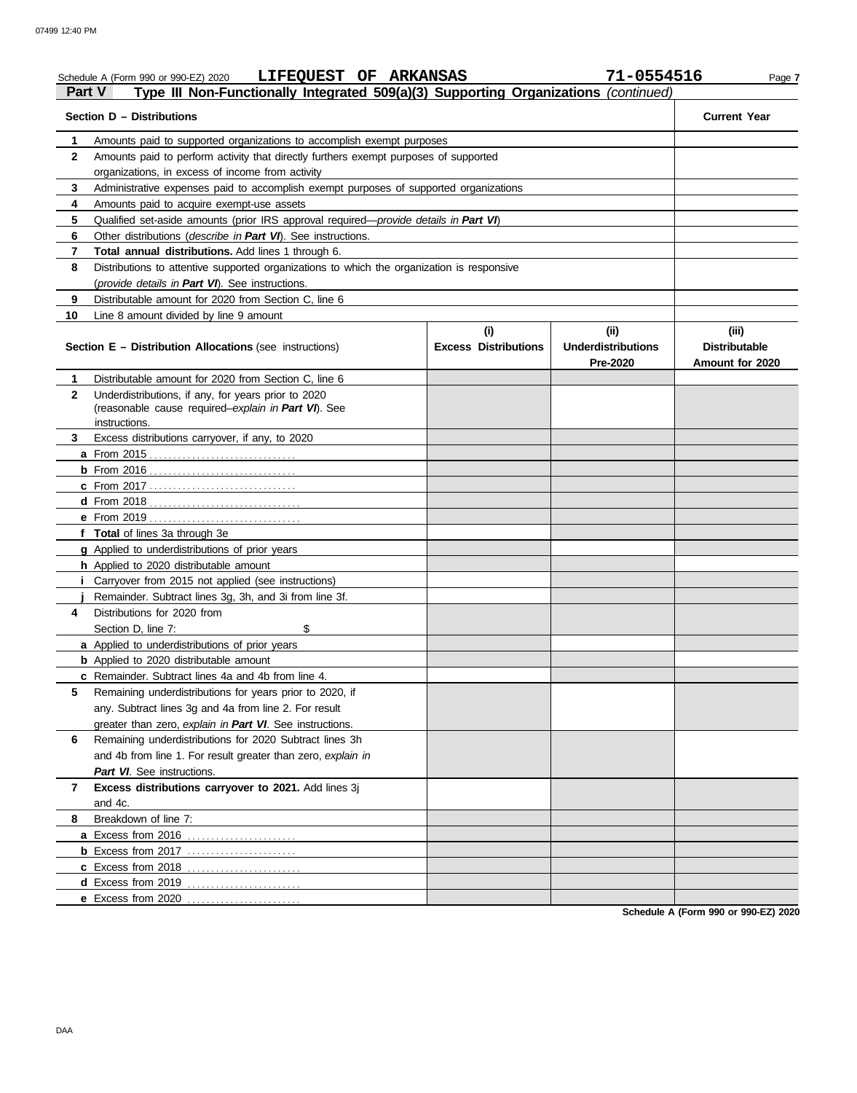### Schedule A (Form 990 or 990-EZ) 2020 **LIFEQUEST OF ARKANSAS 71-0554516** Page 7 **Part V Type III Non-Functionally Integrated 509(a)(3) Supporting Organizations** *(continued)* **Section D – Distributions Current Year 1 2 3 4 5** Qualified set-aside amounts (prior IRS approval required—*provide details in Part VI*) **6** Other distributions (*describe in Part VI*). See instructions. **7 8 9 10** Amounts paid to supported organizations to accomplish exempt purposes Amounts paid to perform activity that directly furthers exempt purposes of supported organizations, in excess of income from activity Administrative expenses paid to accomplish exempt purposes of supported organizations Amounts paid to acquire exempt-use assets **Total annual distributions.** Add lines 1 through 6. Distributions to attentive supported organizations to which the organization is responsive (*provide details in Part VI*). See instructions. Distributable amount for 2020 from Section C, line 6 Line 8 amount divided by line 9 amount **Section E – Distribution Allocations** (see instructions) **Excess Distributions (i) (ii) Underdistributions Pre-2020 (iii) Distributable Amount for 2020 8** Breakdown of line 7: **7 6** Remaining underdistributions for 2020 Subtract lines 3h **5** Remaining underdistributions for years prior to 2020, if **4** Distributions for 2020 from **3** Excess distributions carryover, if any, to 2020 **2 1 a** From 2015 . . . . . . . . . . . . . . . . . . . . . . . . . . . . . . . **b** From 2016 . . . . . . . . . . . . . . . . . . . . . . . . . . . . . . . **c** From 2017 . . . . . . . . . . . . . . . . . . . . . . . . . . . . . . . **d** From 2018 . . . . . . . . . . . . . . . . . . . . . . . . . . . . . . . . **e** From 2019 . . . . . . . . . . . . . . . . . . . . . . . . . . . . . . . . **f Total** of lines 3a through 3e **g** Applied to underdistributions of prior years **h** Applied to 2020 distributable amount **i** Carryover from 2015 not applied (see instructions) **j a** Applied to underdistributions of prior years **b** Applied to 2020 distributable amount **c** Remainder. Subtract lines 4a and 4b from line 4. **a** Excess from 2016 . . . . . . . . . . . . . . . . . . . . . . . **b** Excess from 2017 . . . . . . . . . . . . . . . . . . . . . . . **c** Excess from 2018 . . . . . . . . . . . . . . . . . . . . . . . . **d** Excess from 2019 . . . . . . . . . . . . . . . . . . . . . . . . **e** Excess from 2020 . . . . . . . . . . . . . . . . . . . . . . . . Distributable amount for 2020 from Section C, line 6 Underdistributions, if any, for years prior to 2020 (reasonable cause required–*explain in Part VI*). See Remainder. Subtract lines 3g, 3h, and 3i from line 3f. Section D, line 7: \$ any. Subtract lines 3g and 4a from line 2. For result greater than zero, *explain in Part VI*. See instructions. and 4b from line 1. For result greater than zero, *explain in Part VI*. See instructions. **Excess distributions carryover to 2021.** Add lines 3j and 4c. instructions.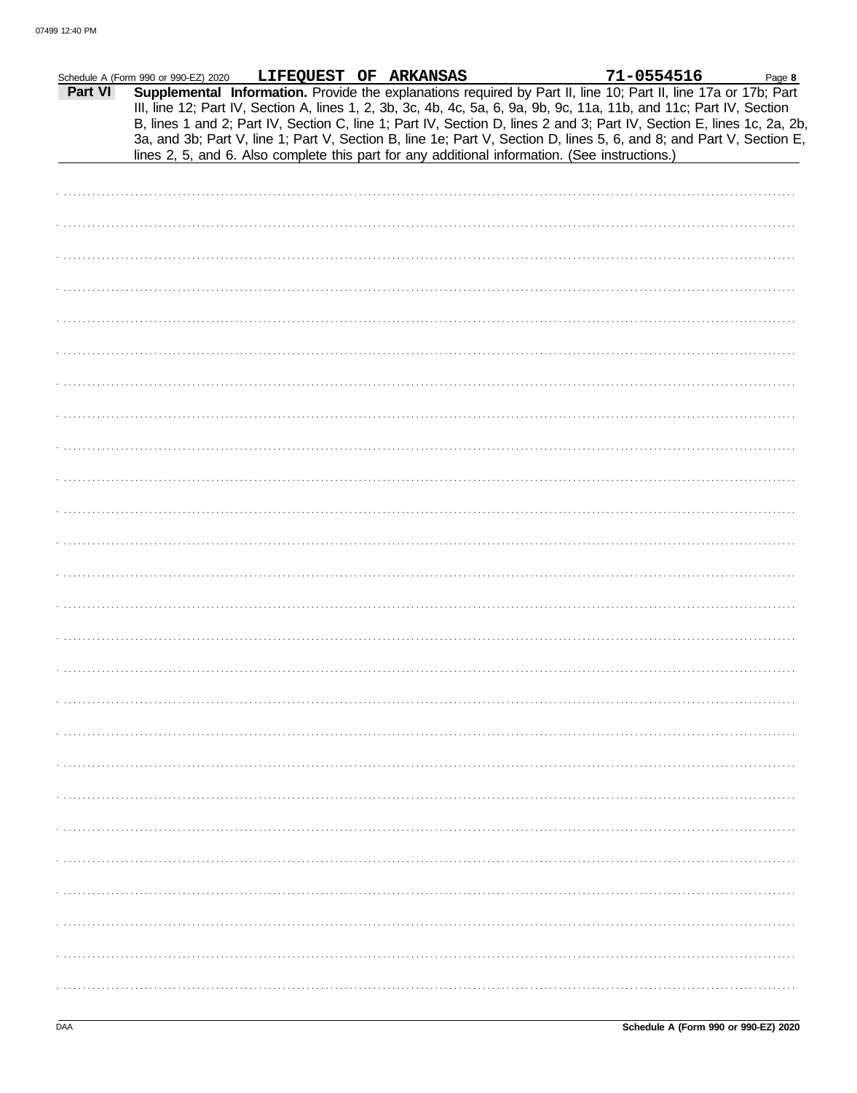|         | Schedule A (Form 990 or 990-EZ) 2020 | LIFEQUEST OF ARKANSAS                                                                                                                                                                                                                                                                                                                                                                                                                                                                     |  | 71-0554516 | Page 8 |
|---------|--------------------------------------|-------------------------------------------------------------------------------------------------------------------------------------------------------------------------------------------------------------------------------------------------------------------------------------------------------------------------------------------------------------------------------------------------------------------------------------------------------------------------------------------|--|------------|--------|
| Part VI |                                      | Supplemental Information. Provide the explanations required by Part II, line 10; Part II, line 17a or 17b; Part<br>III, line 12; Part IV, Section A, lines 1, 2, 3b, 3c, 4b, 4c, 5a, 6, 9a, 9b, 9c, 11a, 11b, and 11c; Part IV, Section<br>B, lines 1 and 2; Part IV, Section C, line 1; Part IV, Section D, lines 2 and 3; Part IV, Section E, lines 1c, 2a, 2b,<br>3a, and 3b; Part V, line 1; Part V, Section B, line 1e; Part V, Section D, lines 5, 6, and 8; and Part V, Section E, |  |            |        |
|         |                                      | lines 2, 5, and 6. Also complete this part for any additional information. (See instructions.)                                                                                                                                                                                                                                                                                                                                                                                            |  |            |        |
|         |                                      |                                                                                                                                                                                                                                                                                                                                                                                                                                                                                           |  |            |        |
|         |                                      |                                                                                                                                                                                                                                                                                                                                                                                                                                                                                           |  |            |        |
|         |                                      |                                                                                                                                                                                                                                                                                                                                                                                                                                                                                           |  |            |        |
|         |                                      |                                                                                                                                                                                                                                                                                                                                                                                                                                                                                           |  |            |        |
|         |                                      |                                                                                                                                                                                                                                                                                                                                                                                                                                                                                           |  |            |        |
|         |                                      |                                                                                                                                                                                                                                                                                                                                                                                                                                                                                           |  |            |        |
|         |                                      |                                                                                                                                                                                                                                                                                                                                                                                                                                                                                           |  |            |        |
|         |                                      |                                                                                                                                                                                                                                                                                                                                                                                                                                                                                           |  |            |        |
|         |                                      |                                                                                                                                                                                                                                                                                                                                                                                                                                                                                           |  |            |        |
|         |                                      |                                                                                                                                                                                                                                                                                                                                                                                                                                                                                           |  |            |        |
|         |                                      |                                                                                                                                                                                                                                                                                                                                                                                                                                                                                           |  |            |        |
|         |                                      |                                                                                                                                                                                                                                                                                                                                                                                                                                                                                           |  |            |        |
|         |                                      |                                                                                                                                                                                                                                                                                                                                                                                                                                                                                           |  |            |        |
|         |                                      |                                                                                                                                                                                                                                                                                                                                                                                                                                                                                           |  |            |        |
|         |                                      |                                                                                                                                                                                                                                                                                                                                                                                                                                                                                           |  |            |        |
|         |                                      |                                                                                                                                                                                                                                                                                                                                                                                                                                                                                           |  |            |        |
|         |                                      |                                                                                                                                                                                                                                                                                                                                                                                                                                                                                           |  |            |        |
|         |                                      |                                                                                                                                                                                                                                                                                                                                                                                                                                                                                           |  |            |        |
|         |                                      |                                                                                                                                                                                                                                                                                                                                                                                                                                                                                           |  |            |        |
|         |                                      |                                                                                                                                                                                                                                                                                                                                                                                                                                                                                           |  |            |        |
|         |                                      |                                                                                                                                                                                                                                                                                                                                                                                                                                                                                           |  |            |        |
|         |                                      |                                                                                                                                                                                                                                                                                                                                                                                                                                                                                           |  |            |        |
|         |                                      |                                                                                                                                                                                                                                                                                                                                                                                                                                                                                           |  |            |        |
|         |                                      |                                                                                                                                                                                                                                                                                                                                                                                                                                                                                           |  |            |        |
|         |                                      |                                                                                                                                                                                                                                                                                                                                                                                                                                                                                           |  |            |        |
|         |                                      |                                                                                                                                                                                                                                                                                                                                                                                                                                                                                           |  |            |        |
|         |                                      |                                                                                                                                                                                                                                                                                                                                                                                                                                                                                           |  |            |        |
|         |                                      |                                                                                                                                                                                                                                                                                                                                                                                                                                                                                           |  |            |        |
|         |                                      |                                                                                                                                                                                                                                                                                                                                                                                                                                                                                           |  |            |        |
|         |                                      |                                                                                                                                                                                                                                                                                                                                                                                                                                                                                           |  |            |        |
|         |                                      |                                                                                                                                                                                                                                                                                                                                                                                                                                                                                           |  |            |        |
|         |                                      |                                                                                                                                                                                                                                                                                                                                                                                                                                                                                           |  |            |        |
|         |                                      |                                                                                                                                                                                                                                                                                                                                                                                                                                                                                           |  |            |        |
|         |                                      |                                                                                                                                                                                                                                                                                                                                                                                                                                                                                           |  |            |        |
|         |                                      |                                                                                                                                                                                                                                                                                                                                                                                                                                                                                           |  |            |        |
|         |                                      |                                                                                                                                                                                                                                                                                                                                                                                                                                                                                           |  |            |        |
|         |                                      |                                                                                                                                                                                                                                                                                                                                                                                                                                                                                           |  |            |        |
|         |                                      |                                                                                                                                                                                                                                                                                                                                                                                                                                                                                           |  |            |        |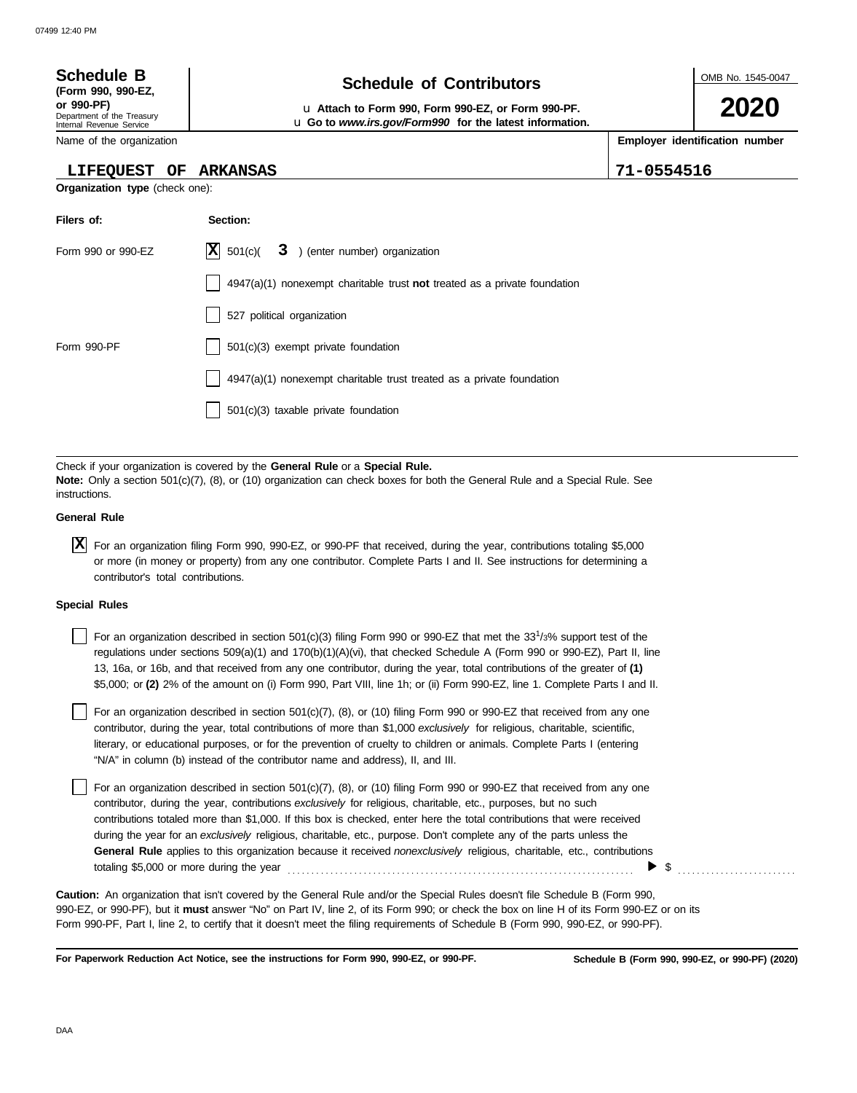| <b>Schedule B</b><br>(Form 990, 990-EZ,                              | <b>Schedule of Contributors</b>                                                                               | OMB No. 1545-0047              |
|----------------------------------------------------------------------|---------------------------------------------------------------------------------------------------------------|--------------------------------|
| or 990-PF)<br>Department of the Treasury<br>Internal Revenue Service | u Attach to Form 990, Form 990-EZ, or Form 990-PF.<br>u Go to www.irs.gov/Form990 for the latest information. | 2020                           |
| Name of the organization                                             |                                                                                                               | Employer identification number |
| <b>LIFEQUEST</b><br>OF                                               | ARKANSAS                                                                                                      | 71-0554516                     |
| <b>Organization type</b> (check one):                                |                                                                                                               |                                |
| Filers of:                                                           | Section:                                                                                                      |                                |
| Form 990 or 990-EZ                                                   | <b>X</b><br>501(c)(<br>3 ) (enter number) organization                                                        |                                |
|                                                                      | $4947(a)(1)$ nonexempt charitable trust not treated as a private foundation                                   |                                |
|                                                                      | 527 political organization                                                                                    |                                |
| Form 990-PF                                                          | 501(c)(3) exempt private foundation                                                                           |                                |
|                                                                      | $4947(a)(1)$ nonexempt charitable trust treated as a private foundation                                       |                                |
|                                                                      | $501(c)(3)$ taxable private foundation                                                                        |                                |

Check if your organization is covered by the **General Rule** or a **Special Rule. Note:** Only a section 501(c)(7), (8), or (10) organization can check boxes for both the General Rule and a Special Rule. See instructions.

## **General Rule**

For an organization filing Form 990, 990-EZ, or 990-PF that received, during the year, contributions totaling \$5,000 **X** or more (in money or property) from any one contributor. Complete Parts I and II. See instructions for determining a contributor's total contributions.

### **Special Rules**

For an organization described in section 501(c)(3) filing Form 990 or 990-EZ that met the 33<sup>1</sup>/3% support test of the regulations under sections 509(a)(1) and 170(b)(1)(A)(vi), that checked Schedule A (Form 990 or 990-EZ), Part II, line 13, 16a, or 16b, and that received from any one contributor, during the year, total contributions of the greater of **(1)** \$5,000; or **(2)** 2% of the amount on (i) Form 990, Part VIII, line 1h; or (ii) Form 990-EZ, line 1. Complete Parts I and II.

literary, or educational purposes, or for the prevention of cruelty to children or animals. Complete Parts I (entering For an organization described in section  $501(c)(7)$ , (8), or (10) filing Form 990 or 990-EZ that received from any one contributor, during the year, total contributions of more than \$1,000 *exclusively* for religious, charitable, scientific, "N/A" in column (b) instead of the contributor name and address), II, and III.

For an organization described in section 501(c)(7), (8), or (10) filing Form 990 or 990-EZ that received from any one contributor, during the year, contributions *exclusively* for religious, charitable, etc., purposes, but no such contributions totaled more than \$1,000. If this box is checked, enter here the total contributions that were received during the year for an *exclusively* religious, charitable, etc., purpose. Don't complete any of the parts unless the **General Rule** applies to this organization because it received *nonexclusively* religious, charitable, etc., contributions totaling \$5,000 or more during the year . . . . . . . . . . . . . . . . . . . . . . . . . . . . . . . . . . . . . . . . . . . . . . . . . . . . . . . . . . . . . . . . . . . . . . . . .  $\triangleright$  \$

990-EZ, or 990-PF), but it **must** answer "No" on Part IV, line 2, of its Form 990; or check the box on line H of its Form 990-EZ or on its Form 990-PF, Part I, line 2, to certify that it doesn't meet the filing requirements of Schedule B (Form 990, 990-EZ, or 990-PF). **Caution:** An organization that isn't covered by the General Rule and/or the Special Rules doesn't file Schedule B (Form 990,

**For Paperwork Reduction Act Notice, see the instructions for Form 990, 990-EZ, or 990-PF.**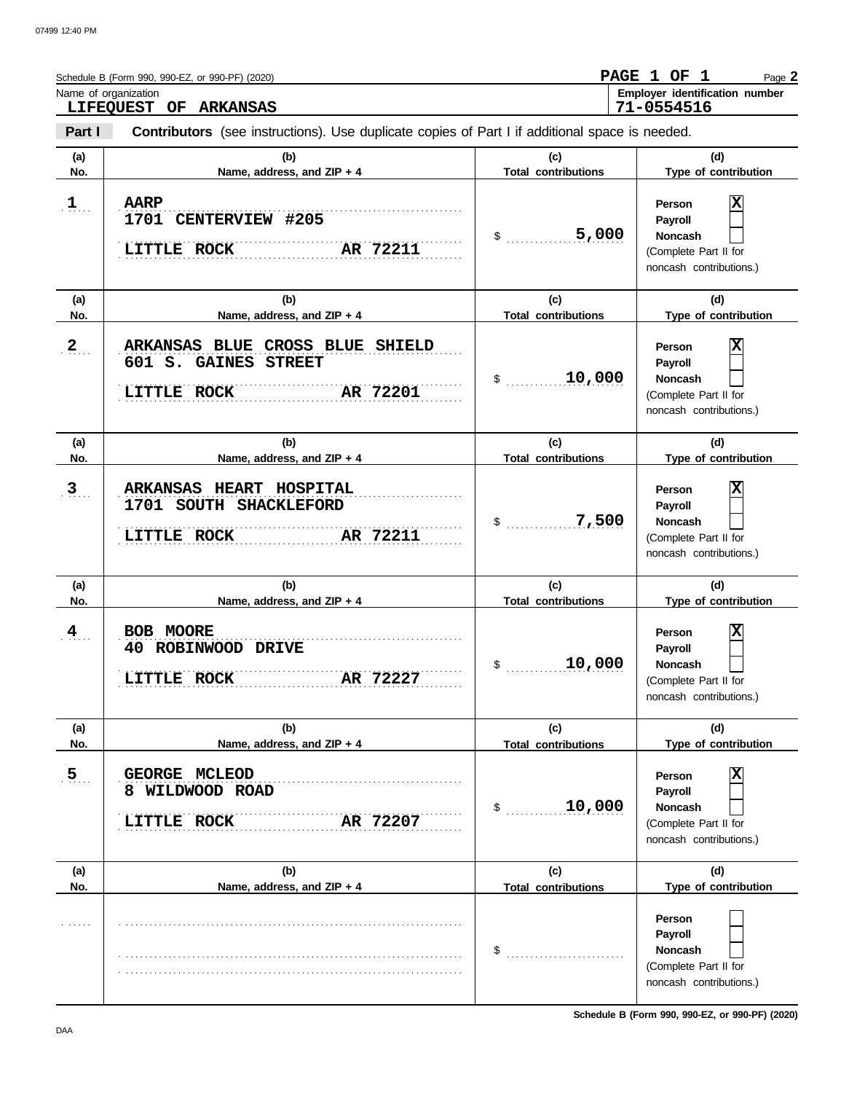| Name of organization | Schedule B (Form 990, 990-EZ, or 990-PF) (2020)                                                                                |                                   | PAGE 1 OF 1<br>Page 2<br>Employer identification number                                                                   |
|----------------------|--------------------------------------------------------------------------------------------------------------------------------|-----------------------------------|---------------------------------------------------------------------------------------------------------------------------|
| Part I               | LIFEQUEST OF ARKANSAS<br><b>Contributors</b> (see instructions). Use duplicate copies of Part I if additional space is needed. |                                   | 71-0554516                                                                                                                |
| (a)<br>No.           | (b)<br>Name, address, and ZIP + 4                                                                                              | (c)<br><b>Total contributions</b> | (d)<br>Type of contribution                                                                                               |
| $\mathbf{1}$         | <b>AARP</b><br>.<br>1701 CENTERVIEW #205<br>AR 72211<br>LITTLE ROCK                                                            | 5,000<br>$\$\quad$                | $\overline{\mathbf{x}}$<br>Person<br>Payroll<br><b>Noncash</b><br>(Complete Part II for<br>noncash contributions.)        |
| (a)<br>No.           | (b)<br>Name, address, and ZIP + 4                                                                                              | (c)<br><b>Total contributions</b> | (d)<br>Type of contribution                                                                                               |
| $2_{\ldots}$         | ARKANSAS BLUE CROSS BLUE SHIELD<br>601 S. GAINES STREET<br>LITTLE ROCK<br>AR 72201                                             | 10,000<br>$\mathsf{\$}$           | $\overline{\mathbf{x}}$<br>Person<br>Payroll<br><b>Noncash</b><br>(Complete Part II for<br>noncash contributions.)        |
| (a)<br>No.           | (b)<br>Name, address, and ZIP + 4                                                                                              | (c)<br><b>Total contributions</b> | (d)<br>Type of contribution                                                                                               |
| $3_{\ldots}$         | ARKANSAS HEART HOSPITAL<br>1701 SOUTH SHACKLEFORD<br>LITTLE ROCK<br>AR 72211                                                   | 7,500<br>$\$\quad$                | $\overline{\mathbf{x}}$<br>Person<br>Payroll<br><b>Noncash</b><br>(Complete Part II for<br>noncash contributions.)        |
| (a)<br>No.           | (b)<br>Name, address, and ZIP + 4                                                                                              | (c)<br><b>Total contributions</b> | (d)<br>Type of contribution                                                                                               |
| $4_{\ldots}$         | BOB MOORE<br>40<br><b>ROBINWOOD</b><br><b>DRIVE</b><br>AR 72227<br><b>LITTLE ROCK</b>                                          | 10,000<br>\$                      | $\overline{\mathbf{x}}$<br>Person<br><b>Pavroll</b><br><b>Noncash</b><br>(Complete Part II for<br>noncash contributions.) |
| (a)<br>No.           | (b)<br>Name, address, and ZIP + 4                                                                                              | (c)<br><b>Total contributions</b> | (d)<br>Type of contribution                                                                                               |
| 5 <sub>1</sub>       | GEORGE MCLEOD<br>WILDWOOD ROAD<br>8<br><b>LITTLE ROCK</b><br>AR 72207                                                          | 10,000<br>\$                      | Person<br>Payroll<br><b>Noncash</b><br>(Complete Part II for<br>noncash contributions.)                                   |
| (a)<br>No.           | (b)<br>Name, address, and ZIP + 4                                                                                              | (c)<br><b>Total contributions</b> | (d)<br>Type of contribution                                                                                               |
|                      |                                                                                                                                | \$                                | Person<br>Payroll<br><b>Noncash</b><br>(Complete Part II for<br>noncash contributions.)                                   |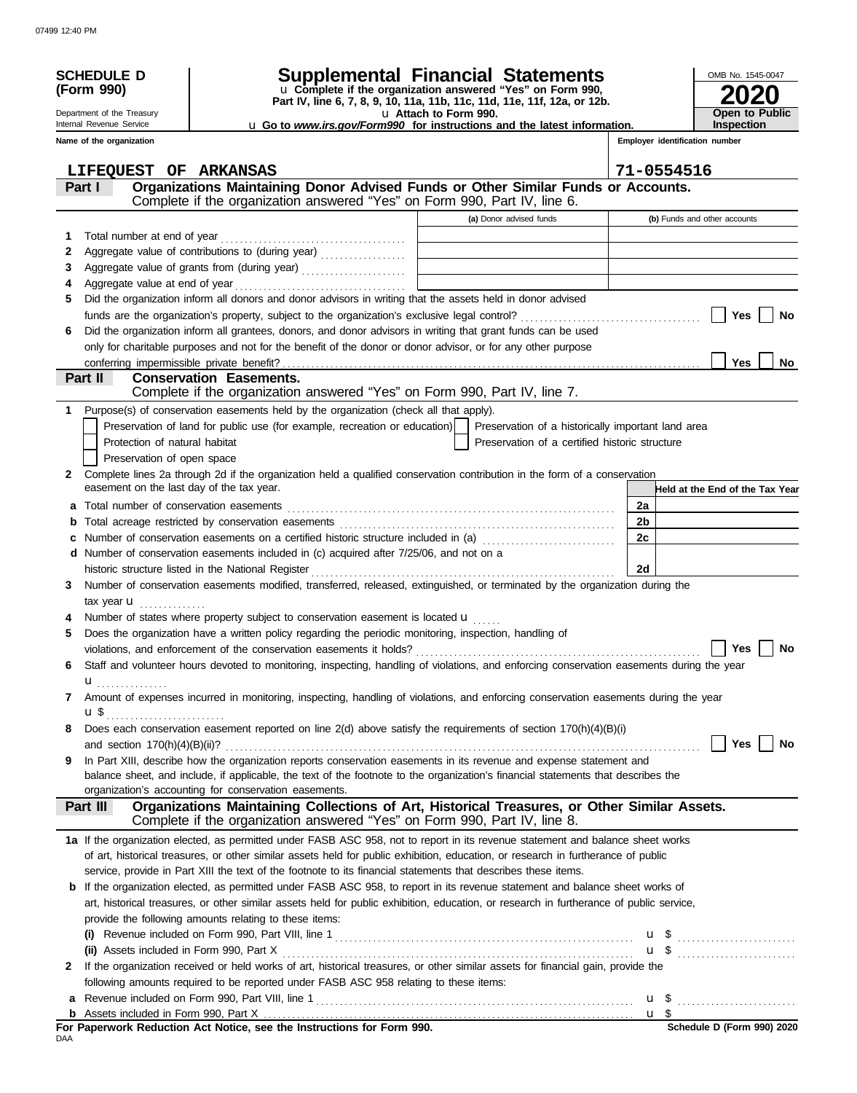| u Complete if the organization answered "Yes" on Form 990,<br>(Form 990)<br>Part IV, line 6, 7, 8, 9, 10, 11a, 11b, 11c, 11d, 11e, 11f, 12a, or 12b.<br>u Attach to Form 990.<br><b>Open to Public</b><br>Department of the Treasury<br>Internal Revenue Service<br><b>Inspection</b><br>u Go to www.irs.gov/Form990 for instructions and the latest information.<br>Employer identification number<br>Name of the organization<br>71-0554516<br>LIFEQUEST OF ARKANSAS<br>Organizations Maintaining Donor Advised Funds or Other Similar Funds or Accounts.<br>Part I<br>Complete if the organization answered "Yes" on Form 990, Part IV, line 6.<br>(a) Donor advised funds<br>(b) Funds and other accounts<br>1<br>2<br>Aggregate value of grants from (during year)<br>3<br>4<br>Did the organization inform all donors and donor advisors in writing that the assets held in donor advised<br>5<br>Yes<br>No<br>Did the organization inform all grantees, donors, and donor advisors in writing that grant funds can be used<br>6<br>only for charitable purposes and not for the benefit of the donor or donor advisor, or for any other purpose<br><b>Yes</b><br>No.<br><b>Conservation Easements.</b><br><b>Part II</b><br>Complete if the organization answered "Yes" on Form 990, Part IV, line 7.<br>Purpose(s) of conservation easements held by the organization (check all that apply).<br>1.<br>Preservation of land for public use (for example, recreation or education)<br>Preservation of a historically important land area<br>Preservation of a certified historic structure<br>Protection of natural habitat<br>Preservation of open space<br>Complete lines 2a through 2d if the organization held a qualified conservation contribution in the form of a conservation<br>2<br>easement on the last day of the tax year.<br>Held at the End of the Tax Year<br>2a<br>a<br>2b<br>b<br>2c<br>Number of conservation easements on a certified historic structure included in (a) [[[[[[[[[[[[[[[[[[[[[[[[[]]]]]]]<br>d Number of conservation easements included in (c) acquired after 7/25/06, and not on a<br>historic structure listed in the National Register<br>2d<br>Number of conservation easements modified, transferred, released, extinguished, or terminated by the organization during the<br>3<br>tax year $\mathbf u$<br>Number of states where property subject to conservation easement is located u<br>Does the organization have a written policy regarding the periodic monitoring, inspection, handling of<br>5<br>Yes<br>No<br>Staff and volunteer hours devoted to monitoring, inspecting, handling of violations, and enforcing conservation easements during the year<br>6<br>$\mathbf{u}$ <sub></sub><br>Amount of expenses incurred in monitoring, inspecting, handling of violations, and enforcing conservation easements during the year<br>7<br><b>u</b> \$<br>Does each conservation easement reported on line $2(d)$ above satisfy the requirements of section $170(h)(4)(B)(i)$<br>8<br><b>Yes</b><br>No<br>In Part XIII, describe how the organization reports conservation easements in its revenue and expense statement and<br>9<br>balance sheet, and include, if applicable, the text of the footnote to the organization's financial statements that describes the<br>organization's accounting for conservation easements.<br>Organizations Maintaining Collections of Art, Historical Treasures, or Other Similar Assets.<br>Part III<br>Complete if the organization answered "Yes" on Form 990, Part IV, line 8.<br>1a If the organization elected, as permitted under FASB ASC 958, not to report in its revenue statement and balance sheet works<br>of art, historical treasures, or other similar assets held for public exhibition, education, or research in furtherance of public<br>service, provide in Part XIII the text of the footnote to its financial statements that describes these items.<br><b>b</b> If the organization elected, as permitted under FASB ASC 958, to report in its revenue statement and balance sheet works of<br>art, historical treasures, or other similar assets held for public exhibition, education, or research in furtherance of public service,<br>provide the following amounts relating to these items:<br>(i)<br><b>u</b> \$<br>If the organization received or held works of art, historical treasures, or other similar assets for financial gain, provide the<br>2<br>following amounts required to be reported under FASB ASC 958 relating to these items:<br>a<br>For Paperwork Reduction Act Notice, see the Instructions for Form 990.<br>Schedule D (Form 990) 2020 | <b>SCHEDULE D</b> | Supplemental Financial Statements |  |  | OMB No. 1545-0047 |
|------------------------------------------------------------------------------------------------------------------------------------------------------------------------------------------------------------------------------------------------------------------------------------------------------------------------------------------------------------------------------------------------------------------------------------------------------------------------------------------------------------------------------------------------------------------------------------------------------------------------------------------------------------------------------------------------------------------------------------------------------------------------------------------------------------------------------------------------------------------------------------------------------------------------------------------------------------------------------------------------------------------------------------------------------------------------------------------------------------------------------------------------------------------------------------------------------------------------------------------------------------------------------------------------------------------------------------------------------------------------------------------------------------------------------------------------------------------------------------------------------------------------------------------------------------------------------------------------------------------------------------------------------------------------------------------------------------------------------------------------------------------------------------------------------------------------------------------------------------------------------------------------------------------------------------------------------------------------------------------------------------------------------------------------------------------------------------------------------------------------------------------------------------------------------------------------------------------------------------------------------------------------------------------------------------------------------------------------------------------------------------------------------------------------------------------------------------------------------------------------------------------------------------------------------------------------------------------------------------------------------------------------------------------------------------------------------------------------------------------------------------------------------------------------------------------------------------------------------------------------------------------------------------------------------------------------------------------------------------------------------------------------------------------------------------------------------------------------------------------------------------------------------------------------------------------------------------------------------------------------------------------------------------------------------------------------------------------------------------------------------------------------------------------------------------------------------------------------------------------------------------------------------------------------------------------------------------------------------------------------------------------------------------------------------------------------------------------------------------------------------------------------------------------------------------------------------------------------------------------------------------------------------------------------------------------------------------------------------------------------------------------------------------------------------------------------------------------------------------------------------------------------------------------------------------------------------------------------------------------------------------------------------------------------------------------------------------------------------------------------------------------------------------------------------------------------------------------------------------------------------------------------------------------------------------------------------------------------------------------------------------------------------------------------------------------------|-------------------|-----------------------------------|--|--|-------------------|
|                                                                                                                                                                                                                                                                                                                                                                                                                                                                                                                                                                                                                                                                                                                                                                                                                                                                                                                                                                                                                                                                                                                                                                                                                                                                                                                                                                                                                                                                                                                                                                                                                                                                                                                                                                                                                                                                                                                                                                                                                                                                                                                                                                                                                                                                                                                                                                                                                                                                                                                                                                                                                                                                                                                                                                                                                                                                                                                                                                                                                                                                                                                                                                                                                                                                                                                                                                                                                                                                                                                                                                                                                                                                                                                                                                                                                                                                                                                                                                                                                                                                                                                                                                                                                                                                                                                                                                                                                                                                                                                                                                                                                                                                                                |                   |                                   |  |  |                   |
|                                                                                                                                                                                                                                                                                                                                                                                                                                                                                                                                                                                                                                                                                                                                                                                                                                                                                                                                                                                                                                                                                                                                                                                                                                                                                                                                                                                                                                                                                                                                                                                                                                                                                                                                                                                                                                                                                                                                                                                                                                                                                                                                                                                                                                                                                                                                                                                                                                                                                                                                                                                                                                                                                                                                                                                                                                                                                                                                                                                                                                                                                                                                                                                                                                                                                                                                                                                                                                                                                                                                                                                                                                                                                                                                                                                                                                                                                                                                                                                                                                                                                                                                                                                                                                                                                                                                                                                                                                                                                                                                                                                                                                                                                                |                   |                                   |  |  |                   |
|                                                                                                                                                                                                                                                                                                                                                                                                                                                                                                                                                                                                                                                                                                                                                                                                                                                                                                                                                                                                                                                                                                                                                                                                                                                                                                                                                                                                                                                                                                                                                                                                                                                                                                                                                                                                                                                                                                                                                                                                                                                                                                                                                                                                                                                                                                                                                                                                                                                                                                                                                                                                                                                                                                                                                                                                                                                                                                                                                                                                                                                                                                                                                                                                                                                                                                                                                                                                                                                                                                                                                                                                                                                                                                                                                                                                                                                                                                                                                                                                                                                                                                                                                                                                                                                                                                                                                                                                                                                                                                                                                                                                                                                                                                |                   |                                   |  |  |                   |
|                                                                                                                                                                                                                                                                                                                                                                                                                                                                                                                                                                                                                                                                                                                                                                                                                                                                                                                                                                                                                                                                                                                                                                                                                                                                                                                                                                                                                                                                                                                                                                                                                                                                                                                                                                                                                                                                                                                                                                                                                                                                                                                                                                                                                                                                                                                                                                                                                                                                                                                                                                                                                                                                                                                                                                                                                                                                                                                                                                                                                                                                                                                                                                                                                                                                                                                                                                                                                                                                                                                                                                                                                                                                                                                                                                                                                                                                                                                                                                                                                                                                                                                                                                                                                                                                                                                                                                                                                                                                                                                                                                                                                                                                                                |                   |                                   |  |  |                   |
|                                                                                                                                                                                                                                                                                                                                                                                                                                                                                                                                                                                                                                                                                                                                                                                                                                                                                                                                                                                                                                                                                                                                                                                                                                                                                                                                                                                                                                                                                                                                                                                                                                                                                                                                                                                                                                                                                                                                                                                                                                                                                                                                                                                                                                                                                                                                                                                                                                                                                                                                                                                                                                                                                                                                                                                                                                                                                                                                                                                                                                                                                                                                                                                                                                                                                                                                                                                                                                                                                                                                                                                                                                                                                                                                                                                                                                                                                                                                                                                                                                                                                                                                                                                                                                                                                                                                                                                                                                                                                                                                                                                                                                                                                                |                   |                                   |  |  |                   |
|                                                                                                                                                                                                                                                                                                                                                                                                                                                                                                                                                                                                                                                                                                                                                                                                                                                                                                                                                                                                                                                                                                                                                                                                                                                                                                                                                                                                                                                                                                                                                                                                                                                                                                                                                                                                                                                                                                                                                                                                                                                                                                                                                                                                                                                                                                                                                                                                                                                                                                                                                                                                                                                                                                                                                                                                                                                                                                                                                                                                                                                                                                                                                                                                                                                                                                                                                                                                                                                                                                                                                                                                                                                                                                                                                                                                                                                                                                                                                                                                                                                                                                                                                                                                                                                                                                                                                                                                                                                                                                                                                                                                                                                                                                |                   |                                   |  |  |                   |
|                                                                                                                                                                                                                                                                                                                                                                                                                                                                                                                                                                                                                                                                                                                                                                                                                                                                                                                                                                                                                                                                                                                                                                                                                                                                                                                                                                                                                                                                                                                                                                                                                                                                                                                                                                                                                                                                                                                                                                                                                                                                                                                                                                                                                                                                                                                                                                                                                                                                                                                                                                                                                                                                                                                                                                                                                                                                                                                                                                                                                                                                                                                                                                                                                                                                                                                                                                                                                                                                                                                                                                                                                                                                                                                                                                                                                                                                                                                                                                                                                                                                                                                                                                                                                                                                                                                                                                                                                                                                                                                                                                                                                                                                                                |                   |                                   |  |  |                   |
|                                                                                                                                                                                                                                                                                                                                                                                                                                                                                                                                                                                                                                                                                                                                                                                                                                                                                                                                                                                                                                                                                                                                                                                                                                                                                                                                                                                                                                                                                                                                                                                                                                                                                                                                                                                                                                                                                                                                                                                                                                                                                                                                                                                                                                                                                                                                                                                                                                                                                                                                                                                                                                                                                                                                                                                                                                                                                                                                                                                                                                                                                                                                                                                                                                                                                                                                                                                                                                                                                                                                                                                                                                                                                                                                                                                                                                                                                                                                                                                                                                                                                                                                                                                                                                                                                                                                                                                                                                                                                                                                                                                                                                                                                                |                   |                                   |  |  |                   |
|                                                                                                                                                                                                                                                                                                                                                                                                                                                                                                                                                                                                                                                                                                                                                                                                                                                                                                                                                                                                                                                                                                                                                                                                                                                                                                                                                                                                                                                                                                                                                                                                                                                                                                                                                                                                                                                                                                                                                                                                                                                                                                                                                                                                                                                                                                                                                                                                                                                                                                                                                                                                                                                                                                                                                                                                                                                                                                                                                                                                                                                                                                                                                                                                                                                                                                                                                                                                                                                                                                                                                                                                                                                                                                                                                                                                                                                                                                                                                                                                                                                                                                                                                                                                                                                                                                                                                                                                                                                                                                                                                                                                                                                                                                |                   |                                   |  |  |                   |
|                                                                                                                                                                                                                                                                                                                                                                                                                                                                                                                                                                                                                                                                                                                                                                                                                                                                                                                                                                                                                                                                                                                                                                                                                                                                                                                                                                                                                                                                                                                                                                                                                                                                                                                                                                                                                                                                                                                                                                                                                                                                                                                                                                                                                                                                                                                                                                                                                                                                                                                                                                                                                                                                                                                                                                                                                                                                                                                                                                                                                                                                                                                                                                                                                                                                                                                                                                                                                                                                                                                                                                                                                                                                                                                                                                                                                                                                                                                                                                                                                                                                                                                                                                                                                                                                                                                                                                                                                                                                                                                                                                                                                                                                                                |                   |                                   |  |  |                   |
|                                                                                                                                                                                                                                                                                                                                                                                                                                                                                                                                                                                                                                                                                                                                                                                                                                                                                                                                                                                                                                                                                                                                                                                                                                                                                                                                                                                                                                                                                                                                                                                                                                                                                                                                                                                                                                                                                                                                                                                                                                                                                                                                                                                                                                                                                                                                                                                                                                                                                                                                                                                                                                                                                                                                                                                                                                                                                                                                                                                                                                                                                                                                                                                                                                                                                                                                                                                                                                                                                                                                                                                                                                                                                                                                                                                                                                                                                                                                                                                                                                                                                                                                                                                                                                                                                                                                                                                                                                                                                                                                                                                                                                                                                                |                   |                                   |  |  |                   |
|                                                                                                                                                                                                                                                                                                                                                                                                                                                                                                                                                                                                                                                                                                                                                                                                                                                                                                                                                                                                                                                                                                                                                                                                                                                                                                                                                                                                                                                                                                                                                                                                                                                                                                                                                                                                                                                                                                                                                                                                                                                                                                                                                                                                                                                                                                                                                                                                                                                                                                                                                                                                                                                                                                                                                                                                                                                                                                                                                                                                                                                                                                                                                                                                                                                                                                                                                                                                                                                                                                                                                                                                                                                                                                                                                                                                                                                                                                                                                                                                                                                                                                                                                                                                                                                                                                                                                                                                                                                                                                                                                                                                                                                                                                |                   |                                   |  |  |                   |
|                                                                                                                                                                                                                                                                                                                                                                                                                                                                                                                                                                                                                                                                                                                                                                                                                                                                                                                                                                                                                                                                                                                                                                                                                                                                                                                                                                                                                                                                                                                                                                                                                                                                                                                                                                                                                                                                                                                                                                                                                                                                                                                                                                                                                                                                                                                                                                                                                                                                                                                                                                                                                                                                                                                                                                                                                                                                                                                                                                                                                                                                                                                                                                                                                                                                                                                                                                                                                                                                                                                                                                                                                                                                                                                                                                                                                                                                                                                                                                                                                                                                                                                                                                                                                                                                                                                                                                                                                                                                                                                                                                                                                                                                                                |                   |                                   |  |  |                   |
|                                                                                                                                                                                                                                                                                                                                                                                                                                                                                                                                                                                                                                                                                                                                                                                                                                                                                                                                                                                                                                                                                                                                                                                                                                                                                                                                                                                                                                                                                                                                                                                                                                                                                                                                                                                                                                                                                                                                                                                                                                                                                                                                                                                                                                                                                                                                                                                                                                                                                                                                                                                                                                                                                                                                                                                                                                                                                                                                                                                                                                                                                                                                                                                                                                                                                                                                                                                                                                                                                                                                                                                                                                                                                                                                                                                                                                                                                                                                                                                                                                                                                                                                                                                                                                                                                                                                                                                                                                                                                                                                                                                                                                                                                                |                   |                                   |  |  |                   |
|                                                                                                                                                                                                                                                                                                                                                                                                                                                                                                                                                                                                                                                                                                                                                                                                                                                                                                                                                                                                                                                                                                                                                                                                                                                                                                                                                                                                                                                                                                                                                                                                                                                                                                                                                                                                                                                                                                                                                                                                                                                                                                                                                                                                                                                                                                                                                                                                                                                                                                                                                                                                                                                                                                                                                                                                                                                                                                                                                                                                                                                                                                                                                                                                                                                                                                                                                                                                                                                                                                                                                                                                                                                                                                                                                                                                                                                                                                                                                                                                                                                                                                                                                                                                                                                                                                                                                                                                                                                                                                                                                                                                                                                                                                |                   |                                   |  |  |                   |
|                                                                                                                                                                                                                                                                                                                                                                                                                                                                                                                                                                                                                                                                                                                                                                                                                                                                                                                                                                                                                                                                                                                                                                                                                                                                                                                                                                                                                                                                                                                                                                                                                                                                                                                                                                                                                                                                                                                                                                                                                                                                                                                                                                                                                                                                                                                                                                                                                                                                                                                                                                                                                                                                                                                                                                                                                                                                                                                                                                                                                                                                                                                                                                                                                                                                                                                                                                                                                                                                                                                                                                                                                                                                                                                                                                                                                                                                                                                                                                                                                                                                                                                                                                                                                                                                                                                                                                                                                                                                                                                                                                                                                                                                                                |                   |                                   |  |  |                   |
|                                                                                                                                                                                                                                                                                                                                                                                                                                                                                                                                                                                                                                                                                                                                                                                                                                                                                                                                                                                                                                                                                                                                                                                                                                                                                                                                                                                                                                                                                                                                                                                                                                                                                                                                                                                                                                                                                                                                                                                                                                                                                                                                                                                                                                                                                                                                                                                                                                                                                                                                                                                                                                                                                                                                                                                                                                                                                                                                                                                                                                                                                                                                                                                                                                                                                                                                                                                                                                                                                                                                                                                                                                                                                                                                                                                                                                                                                                                                                                                                                                                                                                                                                                                                                                                                                                                                                                                                                                                                                                                                                                                                                                                                                                |                   |                                   |  |  |                   |
|                                                                                                                                                                                                                                                                                                                                                                                                                                                                                                                                                                                                                                                                                                                                                                                                                                                                                                                                                                                                                                                                                                                                                                                                                                                                                                                                                                                                                                                                                                                                                                                                                                                                                                                                                                                                                                                                                                                                                                                                                                                                                                                                                                                                                                                                                                                                                                                                                                                                                                                                                                                                                                                                                                                                                                                                                                                                                                                                                                                                                                                                                                                                                                                                                                                                                                                                                                                                                                                                                                                                                                                                                                                                                                                                                                                                                                                                                                                                                                                                                                                                                                                                                                                                                                                                                                                                                                                                                                                                                                                                                                                                                                                                                                |                   |                                   |  |  |                   |
|                                                                                                                                                                                                                                                                                                                                                                                                                                                                                                                                                                                                                                                                                                                                                                                                                                                                                                                                                                                                                                                                                                                                                                                                                                                                                                                                                                                                                                                                                                                                                                                                                                                                                                                                                                                                                                                                                                                                                                                                                                                                                                                                                                                                                                                                                                                                                                                                                                                                                                                                                                                                                                                                                                                                                                                                                                                                                                                                                                                                                                                                                                                                                                                                                                                                                                                                                                                                                                                                                                                                                                                                                                                                                                                                                                                                                                                                                                                                                                                                                                                                                                                                                                                                                                                                                                                                                                                                                                                                                                                                                                                                                                                                                                |                   |                                   |  |  |                   |
|                                                                                                                                                                                                                                                                                                                                                                                                                                                                                                                                                                                                                                                                                                                                                                                                                                                                                                                                                                                                                                                                                                                                                                                                                                                                                                                                                                                                                                                                                                                                                                                                                                                                                                                                                                                                                                                                                                                                                                                                                                                                                                                                                                                                                                                                                                                                                                                                                                                                                                                                                                                                                                                                                                                                                                                                                                                                                                                                                                                                                                                                                                                                                                                                                                                                                                                                                                                                                                                                                                                                                                                                                                                                                                                                                                                                                                                                                                                                                                                                                                                                                                                                                                                                                                                                                                                                                                                                                                                                                                                                                                                                                                                                                                |                   |                                   |  |  |                   |
|                                                                                                                                                                                                                                                                                                                                                                                                                                                                                                                                                                                                                                                                                                                                                                                                                                                                                                                                                                                                                                                                                                                                                                                                                                                                                                                                                                                                                                                                                                                                                                                                                                                                                                                                                                                                                                                                                                                                                                                                                                                                                                                                                                                                                                                                                                                                                                                                                                                                                                                                                                                                                                                                                                                                                                                                                                                                                                                                                                                                                                                                                                                                                                                                                                                                                                                                                                                                                                                                                                                                                                                                                                                                                                                                                                                                                                                                                                                                                                                                                                                                                                                                                                                                                                                                                                                                                                                                                                                                                                                                                                                                                                                                                                |                   |                                   |  |  |                   |
|                                                                                                                                                                                                                                                                                                                                                                                                                                                                                                                                                                                                                                                                                                                                                                                                                                                                                                                                                                                                                                                                                                                                                                                                                                                                                                                                                                                                                                                                                                                                                                                                                                                                                                                                                                                                                                                                                                                                                                                                                                                                                                                                                                                                                                                                                                                                                                                                                                                                                                                                                                                                                                                                                                                                                                                                                                                                                                                                                                                                                                                                                                                                                                                                                                                                                                                                                                                                                                                                                                                                                                                                                                                                                                                                                                                                                                                                                                                                                                                                                                                                                                                                                                                                                                                                                                                                                                                                                                                                                                                                                                                                                                                                                                |                   |                                   |  |  |                   |
|                                                                                                                                                                                                                                                                                                                                                                                                                                                                                                                                                                                                                                                                                                                                                                                                                                                                                                                                                                                                                                                                                                                                                                                                                                                                                                                                                                                                                                                                                                                                                                                                                                                                                                                                                                                                                                                                                                                                                                                                                                                                                                                                                                                                                                                                                                                                                                                                                                                                                                                                                                                                                                                                                                                                                                                                                                                                                                                                                                                                                                                                                                                                                                                                                                                                                                                                                                                                                                                                                                                                                                                                                                                                                                                                                                                                                                                                                                                                                                                                                                                                                                                                                                                                                                                                                                                                                                                                                                                                                                                                                                                                                                                                                                |                   |                                   |  |  |                   |
|                                                                                                                                                                                                                                                                                                                                                                                                                                                                                                                                                                                                                                                                                                                                                                                                                                                                                                                                                                                                                                                                                                                                                                                                                                                                                                                                                                                                                                                                                                                                                                                                                                                                                                                                                                                                                                                                                                                                                                                                                                                                                                                                                                                                                                                                                                                                                                                                                                                                                                                                                                                                                                                                                                                                                                                                                                                                                                                                                                                                                                                                                                                                                                                                                                                                                                                                                                                                                                                                                                                                                                                                                                                                                                                                                                                                                                                                                                                                                                                                                                                                                                                                                                                                                                                                                                                                                                                                                                                                                                                                                                                                                                                                                                |                   |                                   |  |  |                   |
|                                                                                                                                                                                                                                                                                                                                                                                                                                                                                                                                                                                                                                                                                                                                                                                                                                                                                                                                                                                                                                                                                                                                                                                                                                                                                                                                                                                                                                                                                                                                                                                                                                                                                                                                                                                                                                                                                                                                                                                                                                                                                                                                                                                                                                                                                                                                                                                                                                                                                                                                                                                                                                                                                                                                                                                                                                                                                                                                                                                                                                                                                                                                                                                                                                                                                                                                                                                                                                                                                                                                                                                                                                                                                                                                                                                                                                                                                                                                                                                                                                                                                                                                                                                                                                                                                                                                                                                                                                                                                                                                                                                                                                                                                                |                   |                                   |  |  |                   |
|                                                                                                                                                                                                                                                                                                                                                                                                                                                                                                                                                                                                                                                                                                                                                                                                                                                                                                                                                                                                                                                                                                                                                                                                                                                                                                                                                                                                                                                                                                                                                                                                                                                                                                                                                                                                                                                                                                                                                                                                                                                                                                                                                                                                                                                                                                                                                                                                                                                                                                                                                                                                                                                                                                                                                                                                                                                                                                                                                                                                                                                                                                                                                                                                                                                                                                                                                                                                                                                                                                                                                                                                                                                                                                                                                                                                                                                                                                                                                                                                                                                                                                                                                                                                                                                                                                                                                                                                                                                                                                                                                                                                                                                                                                |                   |                                   |  |  |                   |
|                                                                                                                                                                                                                                                                                                                                                                                                                                                                                                                                                                                                                                                                                                                                                                                                                                                                                                                                                                                                                                                                                                                                                                                                                                                                                                                                                                                                                                                                                                                                                                                                                                                                                                                                                                                                                                                                                                                                                                                                                                                                                                                                                                                                                                                                                                                                                                                                                                                                                                                                                                                                                                                                                                                                                                                                                                                                                                                                                                                                                                                                                                                                                                                                                                                                                                                                                                                                                                                                                                                                                                                                                                                                                                                                                                                                                                                                                                                                                                                                                                                                                                                                                                                                                                                                                                                                                                                                                                                                                                                                                                                                                                                                                                |                   |                                   |  |  |                   |
|                                                                                                                                                                                                                                                                                                                                                                                                                                                                                                                                                                                                                                                                                                                                                                                                                                                                                                                                                                                                                                                                                                                                                                                                                                                                                                                                                                                                                                                                                                                                                                                                                                                                                                                                                                                                                                                                                                                                                                                                                                                                                                                                                                                                                                                                                                                                                                                                                                                                                                                                                                                                                                                                                                                                                                                                                                                                                                                                                                                                                                                                                                                                                                                                                                                                                                                                                                                                                                                                                                                                                                                                                                                                                                                                                                                                                                                                                                                                                                                                                                                                                                                                                                                                                                                                                                                                                                                                                                                                                                                                                                                                                                                                                                |                   |                                   |  |  |                   |
|                                                                                                                                                                                                                                                                                                                                                                                                                                                                                                                                                                                                                                                                                                                                                                                                                                                                                                                                                                                                                                                                                                                                                                                                                                                                                                                                                                                                                                                                                                                                                                                                                                                                                                                                                                                                                                                                                                                                                                                                                                                                                                                                                                                                                                                                                                                                                                                                                                                                                                                                                                                                                                                                                                                                                                                                                                                                                                                                                                                                                                                                                                                                                                                                                                                                                                                                                                                                                                                                                                                                                                                                                                                                                                                                                                                                                                                                                                                                                                                                                                                                                                                                                                                                                                                                                                                                                                                                                                                                                                                                                                                                                                                                                                |                   |                                   |  |  |                   |
|                                                                                                                                                                                                                                                                                                                                                                                                                                                                                                                                                                                                                                                                                                                                                                                                                                                                                                                                                                                                                                                                                                                                                                                                                                                                                                                                                                                                                                                                                                                                                                                                                                                                                                                                                                                                                                                                                                                                                                                                                                                                                                                                                                                                                                                                                                                                                                                                                                                                                                                                                                                                                                                                                                                                                                                                                                                                                                                                                                                                                                                                                                                                                                                                                                                                                                                                                                                                                                                                                                                                                                                                                                                                                                                                                                                                                                                                                                                                                                                                                                                                                                                                                                                                                                                                                                                                                                                                                                                                                                                                                                                                                                                                                                |                   |                                   |  |  |                   |
|                                                                                                                                                                                                                                                                                                                                                                                                                                                                                                                                                                                                                                                                                                                                                                                                                                                                                                                                                                                                                                                                                                                                                                                                                                                                                                                                                                                                                                                                                                                                                                                                                                                                                                                                                                                                                                                                                                                                                                                                                                                                                                                                                                                                                                                                                                                                                                                                                                                                                                                                                                                                                                                                                                                                                                                                                                                                                                                                                                                                                                                                                                                                                                                                                                                                                                                                                                                                                                                                                                                                                                                                                                                                                                                                                                                                                                                                                                                                                                                                                                                                                                                                                                                                                                                                                                                                                                                                                                                                                                                                                                                                                                                                                                |                   |                                   |  |  |                   |
|                                                                                                                                                                                                                                                                                                                                                                                                                                                                                                                                                                                                                                                                                                                                                                                                                                                                                                                                                                                                                                                                                                                                                                                                                                                                                                                                                                                                                                                                                                                                                                                                                                                                                                                                                                                                                                                                                                                                                                                                                                                                                                                                                                                                                                                                                                                                                                                                                                                                                                                                                                                                                                                                                                                                                                                                                                                                                                                                                                                                                                                                                                                                                                                                                                                                                                                                                                                                                                                                                                                                                                                                                                                                                                                                                                                                                                                                                                                                                                                                                                                                                                                                                                                                                                                                                                                                                                                                                                                                                                                                                                                                                                                                                                |                   |                                   |  |  |                   |
|                                                                                                                                                                                                                                                                                                                                                                                                                                                                                                                                                                                                                                                                                                                                                                                                                                                                                                                                                                                                                                                                                                                                                                                                                                                                                                                                                                                                                                                                                                                                                                                                                                                                                                                                                                                                                                                                                                                                                                                                                                                                                                                                                                                                                                                                                                                                                                                                                                                                                                                                                                                                                                                                                                                                                                                                                                                                                                                                                                                                                                                                                                                                                                                                                                                                                                                                                                                                                                                                                                                                                                                                                                                                                                                                                                                                                                                                                                                                                                                                                                                                                                                                                                                                                                                                                                                                                                                                                                                                                                                                                                                                                                                                                                |                   |                                   |  |  |                   |
|                                                                                                                                                                                                                                                                                                                                                                                                                                                                                                                                                                                                                                                                                                                                                                                                                                                                                                                                                                                                                                                                                                                                                                                                                                                                                                                                                                                                                                                                                                                                                                                                                                                                                                                                                                                                                                                                                                                                                                                                                                                                                                                                                                                                                                                                                                                                                                                                                                                                                                                                                                                                                                                                                                                                                                                                                                                                                                                                                                                                                                                                                                                                                                                                                                                                                                                                                                                                                                                                                                                                                                                                                                                                                                                                                                                                                                                                                                                                                                                                                                                                                                                                                                                                                                                                                                                                                                                                                                                                                                                                                                                                                                                                                                |                   |                                   |  |  |                   |
|                                                                                                                                                                                                                                                                                                                                                                                                                                                                                                                                                                                                                                                                                                                                                                                                                                                                                                                                                                                                                                                                                                                                                                                                                                                                                                                                                                                                                                                                                                                                                                                                                                                                                                                                                                                                                                                                                                                                                                                                                                                                                                                                                                                                                                                                                                                                                                                                                                                                                                                                                                                                                                                                                                                                                                                                                                                                                                                                                                                                                                                                                                                                                                                                                                                                                                                                                                                                                                                                                                                                                                                                                                                                                                                                                                                                                                                                                                                                                                                                                                                                                                                                                                                                                                                                                                                                                                                                                                                                                                                                                                                                                                                                                                |                   |                                   |  |  |                   |
|                                                                                                                                                                                                                                                                                                                                                                                                                                                                                                                                                                                                                                                                                                                                                                                                                                                                                                                                                                                                                                                                                                                                                                                                                                                                                                                                                                                                                                                                                                                                                                                                                                                                                                                                                                                                                                                                                                                                                                                                                                                                                                                                                                                                                                                                                                                                                                                                                                                                                                                                                                                                                                                                                                                                                                                                                                                                                                                                                                                                                                                                                                                                                                                                                                                                                                                                                                                                                                                                                                                                                                                                                                                                                                                                                                                                                                                                                                                                                                                                                                                                                                                                                                                                                                                                                                                                                                                                                                                                                                                                                                                                                                                                                                |                   |                                   |  |  |                   |
|                                                                                                                                                                                                                                                                                                                                                                                                                                                                                                                                                                                                                                                                                                                                                                                                                                                                                                                                                                                                                                                                                                                                                                                                                                                                                                                                                                                                                                                                                                                                                                                                                                                                                                                                                                                                                                                                                                                                                                                                                                                                                                                                                                                                                                                                                                                                                                                                                                                                                                                                                                                                                                                                                                                                                                                                                                                                                                                                                                                                                                                                                                                                                                                                                                                                                                                                                                                                                                                                                                                                                                                                                                                                                                                                                                                                                                                                                                                                                                                                                                                                                                                                                                                                                                                                                                                                                                                                                                                                                                                                                                                                                                                                                                |                   |                                   |  |  |                   |
|                                                                                                                                                                                                                                                                                                                                                                                                                                                                                                                                                                                                                                                                                                                                                                                                                                                                                                                                                                                                                                                                                                                                                                                                                                                                                                                                                                                                                                                                                                                                                                                                                                                                                                                                                                                                                                                                                                                                                                                                                                                                                                                                                                                                                                                                                                                                                                                                                                                                                                                                                                                                                                                                                                                                                                                                                                                                                                                                                                                                                                                                                                                                                                                                                                                                                                                                                                                                                                                                                                                                                                                                                                                                                                                                                                                                                                                                                                                                                                                                                                                                                                                                                                                                                                                                                                                                                                                                                                                                                                                                                                                                                                                                                                |                   |                                   |  |  |                   |
|                                                                                                                                                                                                                                                                                                                                                                                                                                                                                                                                                                                                                                                                                                                                                                                                                                                                                                                                                                                                                                                                                                                                                                                                                                                                                                                                                                                                                                                                                                                                                                                                                                                                                                                                                                                                                                                                                                                                                                                                                                                                                                                                                                                                                                                                                                                                                                                                                                                                                                                                                                                                                                                                                                                                                                                                                                                                                                                                                                                                                                                                                                                                                                                                                                                                                                                                                                                                                                                                                                                                                                                                                                                                                                                                                                                                                                                                                                                                                                                                                                                                                                                                                                                                                                                                                                                                                                                                                                                                                                                                                                                                                                                                                                |                   |                                   |  |  |                   |
|                                                                                                                                                                                                                                                                                                                                                                                                                                                                                                                                                                                                                                                                                                                                                                                                                                                                                                                                                                                                                                                                                                                                                                                                                                                                                                                                                                                                                                                                                                                                                                                                                                                                                                                                                                                                                                                                                                                                                                                                                                                                                                                                                                                                                                                                                                                                                                                                                                                                                                                                                                                                                                                                                                                                                                                                                                                                                                                                                                                                                                                                                                                                                                                                                                                                                                                                                                                                                                                                                                                                                                                                                                                                                                                                                                                                                                                                                                                                                                                                                                                                                                                                                                                                                                                                                                                                                                                                                                                                                                                                                                                                                                                                                                |                   |                                   |  |  |                   |
|                                                                                                                                                                                                                                                                                                                                                                                                                                                                                                                                                                                                                                                                                                                                                                                                                                                                                                                                                                                                                                                                                                                                                                                                                                                                                                                                                                                                                                                                                                                                                                                                                                                                                                                                                                                                                                                                                                                                                                                                                                                                                                                                                                                                                                                                                                                                                                                                                                                                                                                                                                                                                                                                                                                                                                                                                                                                                                                                                                                                                                                                                                                                                                                                                                                                                                                                                                                                                                                                                                                                                                                                                                                                                                                                                                                                                                                                                                                                                                                                                                                                                                                                                                                                                                                                                                                                                                                                                                                                                                                                                                                                                                                                                                |                   |                                   |  |  |                   |
|                                                                                                                                                                                                                                                                                                                                                                                                                                                                                                                                                                                                                                                                                                                                                                                                                                                                                                                                                                                                                                                                                                                                                                                                                                                                                                                                                                                                                                                                                                                                                                                                                                                                                                                                                                                                                                                                                                                                                                                                                                                                                                                                                                                                                                                                                                                                                                                                                                                                                                                                                                                                                                                                                                                                                                                                                                                                                                                                                                                                                                                                                                                                                                                                                                                                                                                                                                                                                                                                                                                                                                                                                                                                                                                                                                                                                                                                                                                                                                                                                                                                                                                                                                                                                                                                                                                                                                                                                                                                                                                                                                                                                                                                                                |                   |                                   |  |  |                   |
|                                                                                                                                                                                                                                                                                                                                                                                                                                                                                                                                                                                                                                                                                                                                                                                                                                                                                                                                                                                                                                                                                                                                                                                                                                                                                                                                                                                                                                                                                                                                                                                                                                                                                                                                                                                                                                                                                                                                                                                                                                                                                                                                                                                                                                                                                                                                                                                                                                                                                                                                                                                                                                                                                                                                                                                                                                                                                                                                                                                                                                                                                                                                                                                                                                                                                                                                                                                                                                                                                                                                                                                                                                                                                                                                                                                                                                                                                                                                                                                                                                                                                                                                                                                                                                                                                                                                                                                                                                                                                                                                                                                                                                                                                                |                   |                                   |  |  |                   |
|                                                                                                                                                                                                                                                                                                                                                                                                                                                                                                                                                                                                                                                                                                                                                                                                                                                                                                                                                                                                                                                                                                                                                                                                                                                                                                                                                                                                                                                                                                                                                                                                                                                                                                                                                                                                                                                                                                                                                                                                                                                                                                                                                                                                                                                                                                                                                                                                                                                                                                                                                                                                                                                                                                                                                                                                                                                                                                                                                                                                                                                                                                                                                                                                                                                                                                                                                                                                                                                                                                                                                                                                                                                                                                                                                                                                                                                                                                                                                                                                                                                                                                                                                                                                                                                                                                                                                                                                                                                                                                                                                                                                                                                                                                |                   |                                   |  |  |                   |
|                                                                                                                                                                                                                                                                                                                                                                                                                                                                                                                                                                                                                                                                                                                                                                                                                                                                                                                                                                                                                                                                                                                                                                                                                                                                                                                                                                                                                                                                                                                                                                                                                                                                                                                                                                                                                                                                                                                                                                                                                                                                                                                                                                                                                                                                                                                                                                                                                                                                                                                                                                                                                                                                                                                                                                                                                                                                                                                                                                                                                                                                                                                                                                                                                                                                                                                                                                                                                                                                                                                                                                                                                                                                                                                                                                                                                                                                                                                                                                                                                                                                                                                                                                                                                                                                                                                                                                                                                                                                                                                                                                                                                                                                                                |                   |                                   |  |  |                   |
|                                                                                                                                                                                                                                                                                                                                                                                                                                                                                                                                                                                                                                                                                                                                                                                                                                                                                                                                                                                                                                                                                                                                                                                                                                                                                                                                                                                                                                                                                                                                                                                                                                                                                                                                                                                                                                                                                                                                                                                                                                                                                                                                                                                                                                                                                                                                                                                                                                                                                                                                                                                                                                                                                                                                                                                                                                                                                                                                                                                                                                                                                                                                                                                                                                                                                                                                                                                                                                                                                                                                                                                                                                                                                                                                                                                                                                                                                                                                                                                                                                                                                                                                                                                                                                                                                                                                                                                                                                                                                                                                                                                                                                                                                                |                   |                                   |  |  |                   |
|                                                                                                                                                                                                                                                                                                                                                                                                                                                                                                                                                                                                                                                                                                                                                                                                                                                                                                                                                                                                                                                                                                                                                                                                                                                                                                                                                                                                                                                                                                                                                                                                                                                                                                                                                                                                                                                                                                                                                                                                                                                                                                                                                                                                                                                                                                                                                                                                                                                                                                                                                                                                                                                                                                                                                                                                                                                                                                                                                                                                                                                                                                                                                                                                                                                                                                                                                                                                                                                                                                                                                                                                                                                                                                                                                                                                                                                                                                                                                                                                                                                                                                                                                                                                                                                                                                                                                                                                                                                                                                                                                                                                                                                                                                |                   |                                   |  |  |                   |
|                                                                                                                                                                                                                                                                                                                                                                                                                                                                                                                                                                                                                                                                                                                                                                                                                                                                                                                                                                                                                                                                                                                                                                                                                                                                                                                                                                                                                                                                                                                                                                                                                                                                                                                                                                                                                                                                                                                                                                                                                                                                                                                                                                                                                                                                                                                                                                                                                                                                                                                                                                                                                                                                                                                                                                                                                                                                                                                                                                                                                                                                                                                                                                                                                                                                                                                                                                                                                                                                                                                                                                                                                                                                                                                                                                                                                                                                                                                                                                                                                                                                                                                                                                                                                                                                                                                                                                                                                                                                                                                                                                                                                                                                                                |                   |                                   |  |  |                   |
|                                                                                                                                                                                                                                                                                                                                                                                                                                                                                                                                                                                                                                                                                                                                                                                                                                                                                                                                                                                                                                                                                                                                                                                                                                                                                                                                                                                                                                                                                                                                                                                                                                                                                                                                                                                                                                                                                                                                                                                                                                                                                                                                                                                                                                                                                                                                                                                                                                                                                                                                                                                                                                                                                                                                                                                                                                                                                                                                                                                                                                                                                                                                                                                                                                                                                                                                                                                                                                                                                                                                                                                                                                                                                                                                                                                                                                                                                                                                                                                                                                                                                                                                                                                                                                                                                                                                                                                                                                                                                                                                                                                                                                                                                                |                   |                                   |  |  |                   |
|                                                                                                                                                                                                                                                                                                                                                                                                                                                                                                                                                                                                                                                                                                                                                                                                                                                                                                                                                                                                                                                                                                                                                                                                                                                                                                                                                                                                                                                                                                                                                                                                                                                                                                                                                                                                                                                                                                                                                                                                                                                                                                                                                                                                                                                                                                                                                                                                                                                                                                                                                                                                                                                                                                                                                                                                                                                                                                                                                                                                                                                                                                                                                                                                                                                                                                                                                                                                                                                                                                                                                                                                                                                                                                                                                                                                                                                                                                                                                                                                                                                                                                                                                                                                                                                                                                                                                                                                                                                                                                                                                                                                                                                                                                |                   |                                   |  |  |                   |
|                                                                                                                                                                                                                                                                                                                                                                                                                                                                                                                                                                                                                                                                                                                                                                                                                                                                                                                                                                                                                                                                                                                                                                                                                                                                                                                                                                                                                                                                                                                                                                                                                                                                                                                                                                                                                                                                                                                                                                                                                                                                                                                                                                                                                                                                                                                                                                                                                                                                                                                                                                                                                                                                                                                                                                                                                                                                                                                                                                                                                                                                                                                                                                                                                                                                                                                                                                                                                                                                                                                                                                                                                                                                                                                                                                                                                                                                                                                                                                                                                                                                                                                                                                                                                                                                                                                                                                                                                                                                                                                                                                                                                                                                                                |                   |                                   |  |  |                   |
|                                                                                                                                                                                                                                                                                                                                                                                                                                                                                                                                                                                                                                                                                                                                                                                                                                                                                                                                                                                                                                                                                                                                                                                                                                                                                                                                                                                                                                                                                                                                                                                                                                                                                                                                                                                                                                                                                                                                                                                                                                                                                                                                                                                                                                                                                                                                                                                                                                                                                                                                                                                                                                                                                                                                                                                                                                                                                                                                                                                                                                                                                                                                                                                                                                                                                                                                                                                                                                                                                                                                                                                                                                                                                                                                                                                                                                                                                                                                                                                                                                                                                                                                                                                                                                                                                                                                                                                                                                                                                                                                                                                                                                                                                                |                   |                                   |  |  |                   |
|                                                                                                                                                                                                                                                                                                                                                                                                                                                                                                                                                                                                                                                                                                                                                                                                                                                                                                                                                                                                                                                                                                                                                                                                                                                                                                                                                                                                                                                                                                                                                                                                                                                                                                                                                                                                                                                                                                                                                                                                                                                                                                                                                                                                                                                                                                                                                                                                                                                                                                                                                                                                                                                                                                                                                                                                                                                                                                                                                                                                                                                                                                                                                                                                                                                                                                                                                                                                                                                                                                                                                                                                                                                                                                                                                                                                                                                                                                                                                                                                                                                                                                                                                                                                                                                                                                                                                                                                                                                                                                                                                                                                                                                                                                |                   |                                   |  |  |                   |
|                                                                                                                                                                                                                                                                                                                                                                                                                                                                                                                                                                                                                                                                                                                                                                                                                                                                                                                                                                                                                                                                                                                                                                                                                                                                                                                                                                                                                                                                                                                                                                                                                                                                                                                                                                                                                                                                                                                                                                                                                                                                                                                                                                                                                                                                                                                                                                                                                                                                                                                                                                                                                                                                                                                                                                                                                                                                                                                                                                                                                                                                                                                                                                                                                                                                                                                                                                                                                                                                                                                                                                                                                                                                                                                                                                                                                                                                                                                                                                                                                                                                                                                                                                                                                                                                                                                                                                                                                                                                                                                                                                                                                                                                                                |                   |                                   |  |  |                   |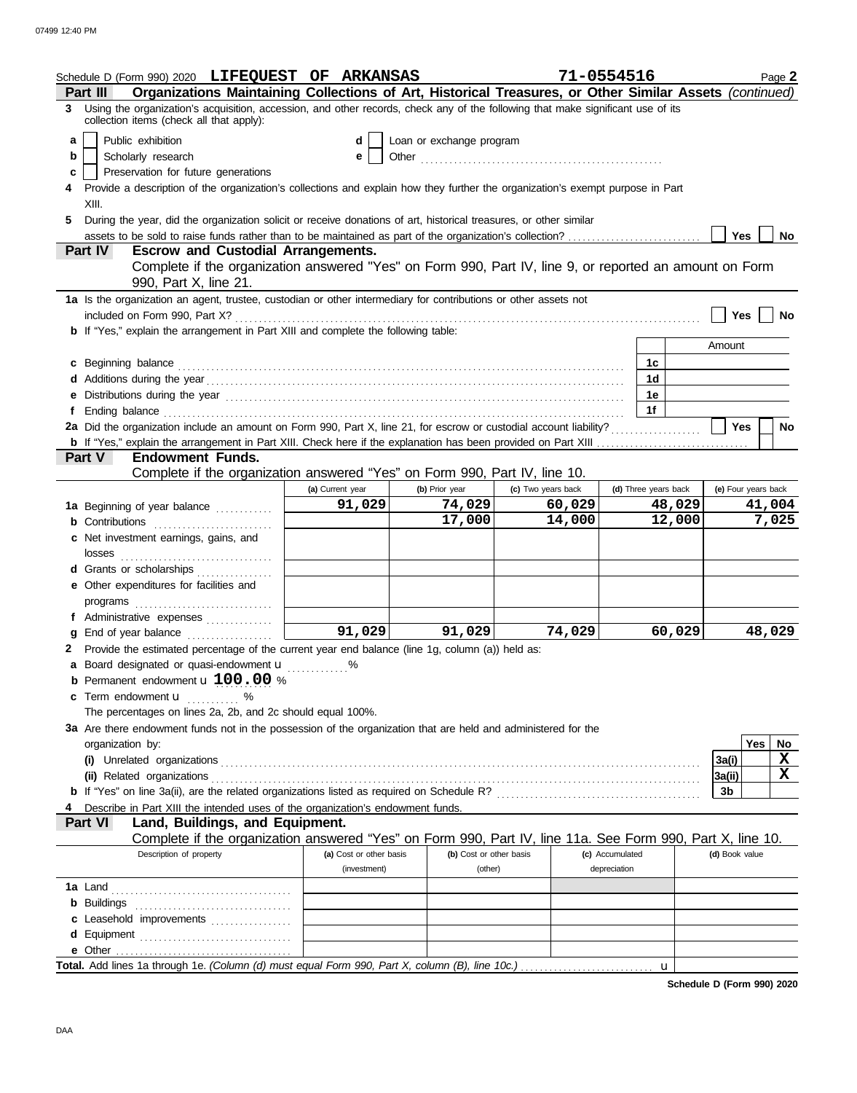|    | Schedule D (Form 990) 2020 LIFEQUEST OF ARKANSAS                                                                                                                                                                                                                   |                         |                          | 71-0554516         |                 |                      |                     |        | Page 2    |  |
|----|--------------------------------------------------------------------------------------------------------------------------------------------------------------------------------------------------------------------------------------------------------------------|-------------------------|--------------------------|--------------------|-----------------|----------------------|---------------------|--------|-----------|--|
|    | Organizations Maintaining Collections of Art, Historical Treasures, or Other Similar Assets (continued)<br><b>Part III</b><br>Using the organization's acquisition, accession, and other records, check any of the following that make significant use of its<br>3 |                         |                          |                    |                 |                      |                     |        |           |  |
|    | collection items (check all that apply):                                                                                                                                                                                                                           |                         |                          |                    |                 |                      |                     |        |           |  |
| a  | Public exhibition                                                                                                                                                                                                                                                  | d                       | Loan or exchange program |                    |                 |                      |                     |        |           |  |
| b  | Scholarly research                                                                                                                                                                                                                                                 | е                       |                          |                    |                 |                      |                     |        |           |  |
| c  | Preservation for future generations                                                                                                                                                                                                                                |                         |                          |                    |                 |                      |                     |        |           |  |
|    | Provide a description of the organization's collections and explain how they further the organization's exempt purpose in Part<br>XIII.                                                                                                                            |                         |                          |                    |                 |                      |                     |        |           |  |
| 5. | During the year, did the organization solicit or receive donations of art, historical treasures, or other similar                                                                                                                                                  |                         |                          |                    |                 |                      |                     |        |           |  |
|    | assets to be sold to raise funds rather than to be maintained as part of the organization's collection?                                                                                                                                                            |                         |                          |                    |                 |                      | Yes                 |        | No        |  |
|    | Part IV<br><b>Escrow and Custodial Arrangements.</b>                                                                                                                                                                                                               |                         |                          |                    |                 |                      |                     |        |           |  |
|    |                                                                                                                                                                                                                                                                    |                         |                          |                    |                 |                      |                     |        |           |  |
|    | Complete if the organization answered "Yes" on Form 990, Part IV, line 9, or reported an amount on Form<br>990, Part X, line 21.<br>1a Is the organization an agent, trustee, custodian or other intermediary for contributions or other assets not                |                         |                          |                    |                 |                      |                     |        |           |  |
|    |                                                                                                                                                                                                                                                                    |                         |                          |                    |                 |                      |                     |        |           |  |
|    | included on Form 990, Part X?                                                                                                                                                                                                                                      |                         |                          |                    |                 |                      | Yes                 |        | <b>No</b> |  |
|    | <b>b</b> If "Yes," explain the arrangement in Part XIII and complete the following table:                                                                                                                                                                          |                         |                          |                    |                 |                      | Amount              |        |           |  |
|    |                                                                                                                                                                                                                                                                    |                         |                          |                    |                 |                      |                     |        |           |  |
|    | c Beginning balance expressions and the contract of the contract of the contract of the contract of the contract of the contract of the contract of the contract of the contract of the contract of the contract of the contra                                     |                         |                          |                    |                 | 1c                   |                     |        |           |  |
|    |                                                                                                                                                                                                                                                                    |                         |                          |                    |                 | 1 <sub>d</sub>       |                     |        |           |  |
|    | e Distributions during the year manufactured contains and the year manufactured with the year manufactured with the state of the state of the state of the state of the state of the state of the state of the state of the st                                     |                         |                          |                    |                 | 1е                   |                     |        |           |  |
|    |                                                                                                                                                                                                                                                                    |                         |                          |                    |                 | 1f                   |                     |        |           |  |
|    | 2a Did the organization include an amount on Form 990, Part X, line 21, for escrow or custodial account liability?                                                                                                                                                 |                         |                          |                    |                 |                      | <b>Yes</b>          |        | No        |  |
|    | Part V<br><b>Endowment Funds.</b>                                                                                                                                                                                                                                  |                         |                          |                    |                 |                      |                     |        |           |  |
|    | Complete if the organization answered "Yes" on Form 990, Part IV, line 10.                                                                                                                                                                                         |                         |                          |                    |                 |                      |                     |        |           |  |
|    |                                                                                                                                                                                                                                                                    | (a) Current year        | (b) Prior year           | (c) Two years back |                 | (d) Three years back | (e) Four years back |        |           |  |
|    | 1a Beginning of year balance                                                                                                                                                                                                                                       | 91,029                  | 74,029                   | 60,029             |                 | 48,029               |                     | 41,004 |           |  |
|    |                                                                                                                                                                                                                                                                    |                         | 17,000                   | 14,000             |                 | 12,000               |                     |        | 7,025     |  |
|    | <b>b</b> Contributions <b>contributions</b><br>c Net investment earnings, gains, and                                                                                                                                                                               |                         |                          |                    |                 |                      |                     |        |           |  |
|    | losses                                                                                                                                                                                                                                                             |                         |                          |                    |                 |                      |                     |        |           |  |
|    | d Grants or scholarships                                                                                                                                                                                                                                           |                         |                          |                    |                 |                      |                     |        |           |  |
|    | e Other expenditures for facilities and                                                                                                                                                                                                                            |                         |                          |                    |                 |                      |                     |        |           |  |
|    | programs                                                                                                                                                                                                                                                           |                         |                          |                    |                 |                      |                     |        |           |  |
|    |                                                                                                                                                                                                                                                                    |                         |                          |                    |                 |                      |                     |        |           |  |
|    |                                                                                                                                                                                                                                                                    | 91,029                  | 91,029                   | 74,029             |                 | 60,029               |                     | 48,029 |           |  |
|    | 2 Provide the estimated percentage of the current year end balance (line 1g, column (a)) held as:                                                                                                                                                                  |                         |                          |                    |                 |                      |                     |        |           |  |
|    | a Board designated or quasi-endowment <b>u</b> %                                                                                                                                                                                                                   |                         |                          |                    |                 |                      |                     |        |           |  |
|    | <b>b</b> Permanent endowment $\mathbf{u}$ 100.00 %                                                                                                                                                                                                                 |                         |                          |                    |                 |                      |                     |        |           |  |
| c  | Term endowment <b>u</b> %                                                                                                                                                                                                                                          |                         |                          |                    |                 |                      |                     |        |           |  |
|    | The percentages on lines 2a, 2b, and 2c should equal 100%.                                                                                                                                                                                                         |                         |                          |                    |                 |                      |                     |        |           |  |
|    | 3a Are there endowment funds not in the possession of the organization that are held and administered for the                                                                                                                                                      |                         |                          |                    |                 |                      |                     |        |           |  |
|    | organization by:                                                                                                                                                                                                                                                   |                         |                          |                    |                 |                      |                     | Yes    | No        |  |
|    |                                                                                                                                                                                                                                                                    |                         |                          |                    |                 |                      | 3a(i)               |        | X         |  |
|    |                                                                                                                                                                                                                                                                    |                         |                          |                    |                 |                      | 3a(ii)              |        | X         |  |
|    |                                                                                                                                                                                                                                                                    |                         |                          |                    |                 |                      | 3b                  |        |           |  |
|    | Describe in Part XIII the intended uses of the organization's endowment funds.                                                                                                                                                                                     |                         |                          |                    |                 |                      |                     |        |           |  |
|    | <b>Part VI</b><br>Land, Buildings, and Equipment.                                                                                                                                                                                                                  |                         |                          |                    |                 |                      |                     |        |           |  |
|    | Complete if the organization answered "Yes" on Form 990, Part IV, line 11a. See Form 990, Part X, line 10.                                                                                                                                                         |                         |                          |                    |                 |                      |                     |        |           |  |
|    | Description of property                                                                                                                                                                                                                                            | (a) Cost or other basis | (b) Cost or other basis  |                    | (c) Accumulated |                      | (d) Book value      |        |           |  |
|    |                                                                                                                                                                                                                                                                    | (investment)            | (other)                  |                    | depreciation    |                      |                     |        |           |  |
|    |                                                                                                                                                                                                                                                                    |                         |                          |                    |                 |                      |                     |        |           |  |
|    |                                                                                                                                                                                                                                                                    |                         |                          |                    |                 |                      |                     |        |           |  |
|    | c Leasehold improvements                                                                                                                                                                                                                                           |                         |                          |                    |                 |                      |                     |        |           |  |
|    | d Equipment                                                                                                                                                                                                                                                        |                         |                          |                    |                 |                      |                     |        |           |  |
|    |                                                                                                                                                                                                                                                                    |                         |                          |                    |                 |                      |                     |        |           |  |
|    |                                                                                                                                                                                                                                                                    |                         |                          |                    |                 |                      |                     |        |           |  |

**Schedule D (Form 990) 2020**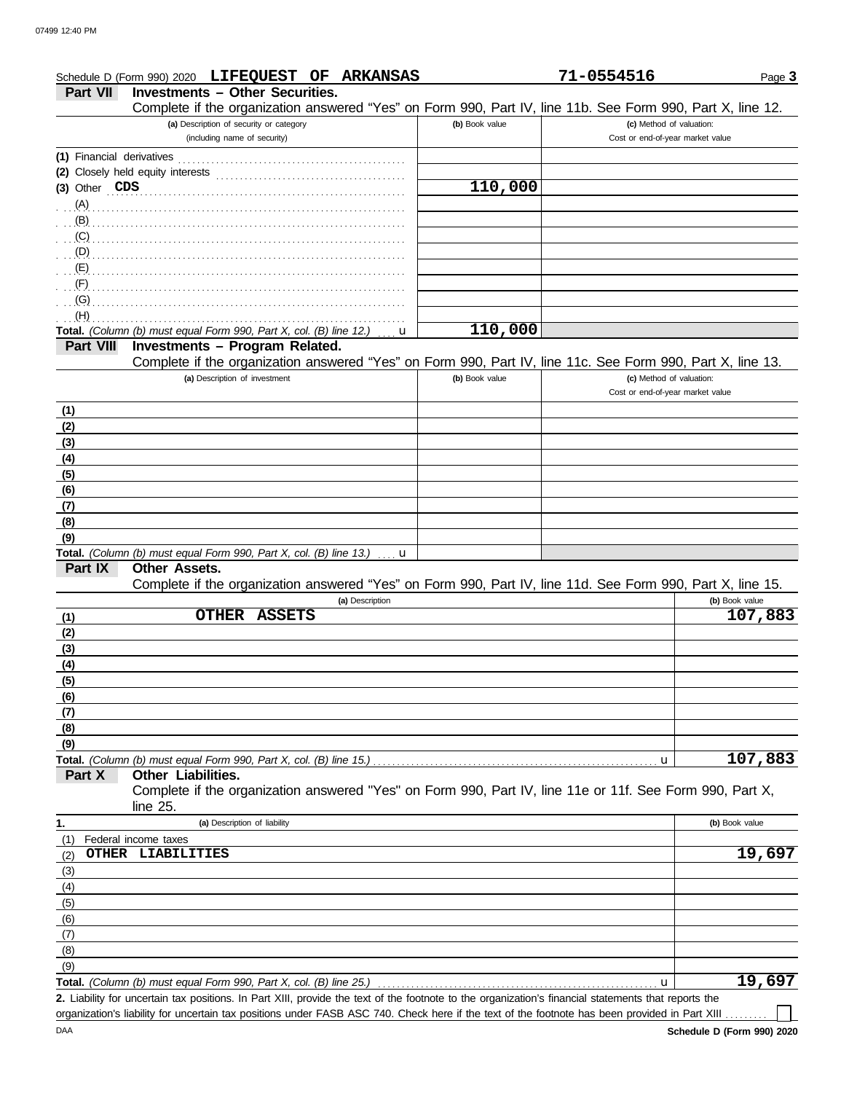|                                                             | Schedule D (Form 990) 2020 LIFEQUEST OF ARKANSAS                                                                            |                | 71-0554516                       | Page 3           |
|-------------------------------------------------------------|-----------------------------------------------------------------------------------------------------------------------------|----------------|----------------------------------|------------------|
| <b>Part VII</b>                                             | <b>Investments - Other Securities.</b>                                                                                      |                |                                  |                  |
|                                                             | Complete if the organization answered "Yes" on Form 990, Part IV, line 11b. See Form 990, Part X, line 12.                  |                |                                  |                  |
|                                                             | (a) Description of security or category                                                                                     | (b) Book value | (c) Method of valuation:         |                  |
|                                                             | (including name of security)                                                                                                |                | Cost or end-of-year market value |                  |
|                                                             |                                                                                                                             |                |                                  |                  |
|                                                             | (2) Closely held equity interests                                                                                           |                |                                  |                  |
| (3) Other CDS                                               |                                                                                                                             | 110,000        |                                  |                  |
|                                                             | (A)                                                                                                                         |                |                                  |                  |
| (B)                                                         |                                                                                                                             |                |                                  |                  |
| (C)                                                         |                                                                                                                             |                |                                  |                  |
| (D)                                                         |                                                                                                                             |                |                                  |                  |
| $\cdot$ (E)                                                 |                                                                                                                             |                |                                  |                  |
| (F)                                                         |                                                                                                                             |                |                                  |                  |
| (G)                                                         |                                                                                                                             |                |                                  |                  |
| (H)                                                         |                                                                                                                             |                |                                  |                  |
|                                                             | Total. (Column (b) must equal Form 990, Part X, col. (B) line 12.)<br>u                                                     | 110,000        |                                  |                  |
| <b>Part VIII</b>                                            | Investments - Program Related.                                                                                              |                |                                  |                  |
|                                                             | Complete if the organization answered "Yes" on Form 990, Part IV, line 11c. See Form 990, Part X, line 13.                  |                |                                  |                  |
|                                                             | (a) Description of investment                                                                                               | (b) Book value | (c) Method of valuation:         |                  |
|                                                             |                                                                                                                             |                | Cost or end-of-year market value |                  |
| (1)                                                         |                                                                                                                             |                |                                  |                  |
| (2)                                                         |                                                                                                                             |                |                                  |                  |
| (3)                                                         |                                                                                                                             |                |                                  |                  |
| (4)                                                         |                                                                                                                             |                |                                  |                  |
| (5)                                                         |                                                                                                                             |                |                                  |                  |
| (6)                                                         |                                                                                                                             |                |                                  |                  |
| (7)                                                         |                                                                                                                             |                |                                  |                  |
| (8)                                                         |                                                                                                                             |                |                                  |                  |
| (9)                                                         |                                                                                                                             |                |                                  |                  |
|                                                             | Total. (Column (b) must equal Form 990, Part X, col. (B) line 13.)<br>u                                                     |                |                                  |                  |
| Part IX                                                     | Other Assets.<br>Complete if the organization answered "Yes" on Form 990, Part IV, line 11d. See Form 990, Part X, line 15. |                |                                  |                  |
|                                                             |                                                                                                                             |                |                                  |                  |
|                                                             | (a) Description                                                                                                             |                |                                  | (b) Book value   |
|                                                             | <b>OTHER</b><br><b>ASSETS</b>                                                                                               |                |                                  |                  |
|                                                             |                                                                                                                             |                |                                  |                  |
|                                                             |                                                                                                                             |                |                                  |                  |
|                                                             |                                                                                                                             |                |                                  |                  |
|                                                             |                                                                                                                             |                |                                  |                  |
|                                                             |                                                                                                                             |                |                                  |                  |
|                                                             |                                                                                                                             |                |                                  |                  |
|                                                             |                                                                                                                             |                |                                  |                  |
|                                                             |                                                                                                                             |                |                                  |                  |
| (1)<br>(2)<br>(3)<br>(4)<br>(5)<br>(6)<br>(7)<br>(8)<br>(9) |                                                                                                                             |                | u                                | 107,883          |
|                                                             | Other Liabilities.                                                                                                          |                |                                  | 107,883          |
| Part X                                                      | Complete if the organization answered "Yes" on Form 990, Part IV, line 11e or 11f. See Form 990, Part X,                    |                |                                  |                  |
|                                                             | line $25$ .<br>(a) Description of liability                                                                                 |                |                                  | (b) Book value   |
| 1.                                                          |                                                                                                                             |                |                                  |                  |
|                                                             | Federal income taxes<br>OTHER LIABILITIES                                                                                   |                |                                  |                  |
|                                                             |                                                                                                                             |                |                                  |                  |
|                                                             |                                                                                                                             |                |                                  |                  |
|                                                             |                                                                                                                             |                |                                  |                  |
| (1)<br>(2)<br>(3)<br>(4)<br>(5)                             |                                                                                                                             |                |                                  |                  |
|                                                             |                                                                                                                             |                |                                  |                  |
|                                                             |                                                                                                                             |                |                                  |                  |
|                                                             |                                                                                                                             |                |                                  |                  |
| (6)<br>(7)<br>(8)<br>(9)                                    | Total. (Column (b) must equal Form 990, Part X, col. (B) line 25.)                                                          |                | u                                | 19,697<br>19,697 |

DAA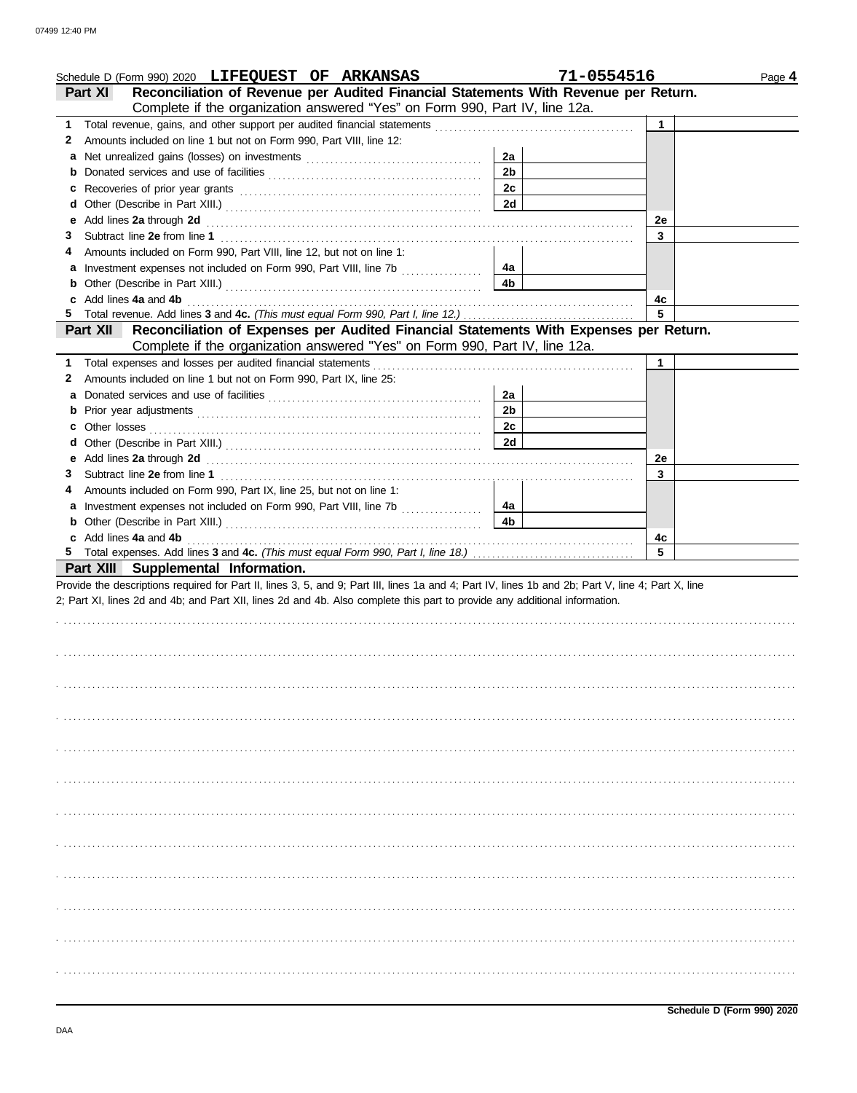|   | Schedule D (Form 990) 2020 LIFEQUEST OF ARKANSAS                                                                                                                                                                                     |                | 71-0554516   | Page 4 |
|---|--------------------------------------------------------------------------------------------------------------------------------------------------------------------------------------------------------------------------------------|----------------|--------------|--------|
|   | Reconciliation of Revenue per Audited Financial Statements With Revenue per Return.<br>Part XI                                                                                                                                       |                |              |        |
|   | Complete if the organization answered "Yes" on Form 990, Part IV, line 12a.                                                                                                                                                          |                |              |        |
|   |                                                                                                                                                                                                                                      |                | $\mathbf{1}$ |        |
| 2 | Amounts included on line 1 but not on Form 990, Part VIII, line 12:                                                                                                                                                                  |                |              |        |
| а |                                                                                                                                                                                                                                      | 2a             |              |        |
| b |                                                                                                                                                                                                                                      | 2 <sub>b</sub> |              |        |
| c |                                                                                                                                                                                                                                      | 2c             |              |        |
| d |                                                                                                                                                                                                                                      | 2d             |              |        |
| е |                                                                                                                                                                                                                                      |                | 2e           |        |
| З |                                                                                                                                                                                                                                      |                | 3            |        |
|   | Amounts included on Form 990, Part VIII, line 12, but not on line 1:                                                                                                                                                                 |                |              |        |
| a |                                                                                                                                                                                                                                      | 4а             |              |        |
| b |                                                                                                                                                                                                                                      | 4b             |              |        |
| C | Add lines 4a and 4b                                                                                                                                                                                                                  |                | 4c           |        |
|   |                                                                                                                                                                                                                                      |                | 5            |        |
|   | Reconciliation of Expenses per Audited Financial Statements With Expenses per Return.<br><b>Part XII</b>                                                                                                                             |                |              |        |
|   | Complete if the organization answered "Yes" on Form 990, Part IV, line 12a.                                                                                                                                                          |                |              |        |
|   |                                                                                                                                                                                                                                      |                | $\mathbf 1$  |        |
| 2 | Amounts included on line 1 but not on Form 990, Part IX, line 25:                                                                                                                                                                    |                |              |        |
| а |                                                                                                                                                                                                                                      | 2a             |              |        |
| b |                                                                                                                                                                                                                                      | 2 <sub>b</sub> |              |        |
| c |                                                                                                                                                                                                                                      | 2c             |              |        |
| d |                                                                                                                                                                                                                                      | 2d             |              |        |
| е | Add lines 2a through 2d <b>contained a contained a contained a contained a contained a contained a contained a contained a contained a contained a contained a contained a contained a contained a contained a contained a conta</b> |                | 2e           |        |
| 3 |                                                                                                                                                                                                                                      |                | 3            |        |
| 4 | Amounts included on Form 990, Part IX, line 25, but not on line 1:                                                                                                                                                                   |                |              |        |
| a | Investment expenses not included on Form 990, Part VIII, line 7b [                                                                                                                                                                   | 4a             |              |        |
|   |                                                                                                                                                                                                                                      | 4b             |              |        |
|   | c Add lines 4a and 4b                                                                                                                                                                                                                |                | 4с           |        |
|   |                                                                                                                                                                                                                                      |                | 5            |        |
|   | Part XIII Supplemental Information.                                                                                                                                                                                                  |                |              |        |
|   | Provide the descriptions required for Part II, lines 3, 5, and 9; Part III, lines 1a and 4; Part IV, lines 1b and 2b; Part V, line 4; Part X, line                                                                                   |                |              |        |
|   | 2; Part XI, lines 2d and 4b; and Part XII, lines 2d and 4b. Also complete this part to provide any additional information.                                                                                                           |                |              |        |
|   |                                                                                                                                                                                                                                      |                |              |        |
|   |                                                                                                                                                                                                                                      |                |              |        |
|   |                                                                                                                                                                                                                                      |                |              |        |
|   |                                                                                                                                                                                                                                      |                |              |        |
|   |                                                                                                                                                                                                                                      |                |              |        |
|   |                                                                                                                                                                                                                                      |                |              |        |
|   |                                                                                                                                                                                                                                      |                |              |        |
|   |                                                                                                                                                                                                                                      |                |              |        |
|   |                                                                                                                                                                                                                                      |                |              |        |
|   |                                                                                                                                                                                                                                      |                |              |        |
|   |                                                                                                                                                                                                                                      |                |              |        |
|   |                                                                                                                                                                                                                                      |                |              |        |
|   |                                                                                                                                                                                                                                      |                |              |        |
|   |                                                                                                                                                                                                                                      |                |              |        |
|   |                                                                                                                                                                                                                                      |                |              |        |
|   |                                                                                                                                                                                                                                      |                |              |        |
|   |                                                                                                                                                                                                                                      |                |              |        |
|   |                                                                                                                                                                                                                                      |                |              |        |
|   |                                                                                                                                                                                                                                      |                |              |        |
|   |                                                                                                                                                                                                                                      |                |              |        |
|   |                                                                                                                                                                                                                                      |                |              |        |
|   |                                                                                                                                                                                                                                      |                |              |        |
|   |                                                                                                                                                                                                                                      |                |              |        |
|   |                                                                                                                                                                                                                                      |                |              |        |
|   |                                                                                                                                                                                                                                      |                |              |        |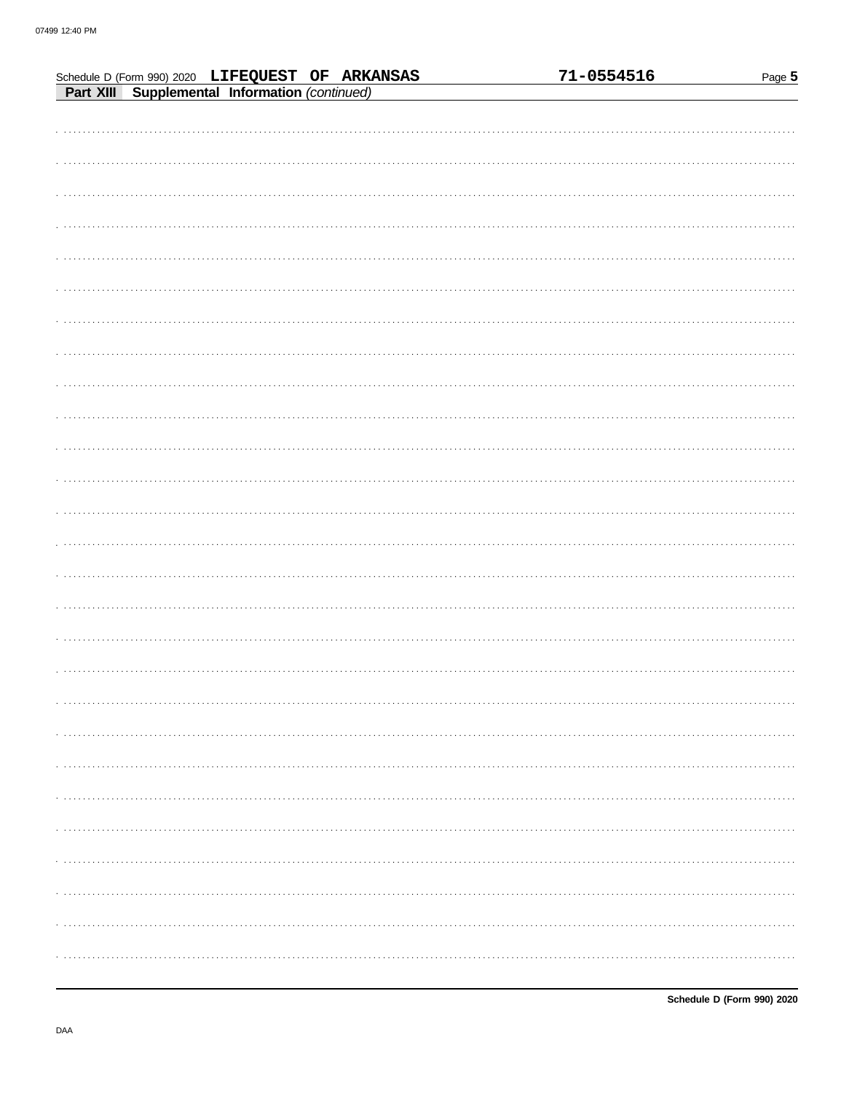|                                                                                                    |  |  | 71-0554516 | Page 5 |
|----------------------------------------------------------------------------------------------------|--|--|------------|--------|
| Schedule D (Form 990) 2020 LIFEQUEST OF ARKANSAS<br>Part XIII Supplemental Information (continued) |  |  |            |        |
|                                                                                                    |  |  |            |        |
|                                                                                                    |  |  |            |        |
|                                                                                                    |  |  |            |        |
|                                                                                                    |  |  |            |        |
|                                                                                                    |  |  |            |        |
|                                                                                                    |  |  |            |        |
|                                                                                                    |  |  |            |        |
|                                                                                                    |  |  |            |        |
|                                                                                                    |  |  |            |        |
|                                                                                                    |  |  |            |        |
|                                                                                                    |  |  |            |        |
|                                                                                                    |  |  |            |        |
|                                                                                                    |  |  |            |        |
|                                                                                                    |  |  |            |        |
|                                                                                                    |  |  |            |        |
|                                                                                                    |  |  |            |        |
|                                                                                                    |  |  |            |        |
|                                                                                                    |  |  |            |        |
|                                                                                                    |  |  |            |        |
|                                                                                                    |  |  |            |        |
|                                                                                                    |  |  |            |        |
|                                                                                                    |  |  |            |        |
|                                                                                                    |  |  |            |        |
|                                                                                                    |  |  |            |        |
|                                                                                                    |  |  |            |        |
|                                                                                                    |  |  |            |        |
|                                                                                                    |  |  |            |        |
|                                                                                                    |  |  |            |        |
|                                                                                                    |  |  |            |        |
|                                                                                                    |  |  |            |        |
|                                                                                                    |  |  |            |        |
|                                                                                                    |  |  |            |        |
|                                                                                                    |  |  |            |        |
|                                                                                                    |  |  |            |        |
|                                                                                                    |  |  |            |        |
|                                                                                                    |  |  |            |        |
|                                                                                                    |  |  |            |        |
|                                                                                                    |  |  |            |        |
|                                                                                                    |  |  |            |        |
|                                                                                                    |  |  |            |        |
|                                                                                                    |  |  |            |        |
|                                                                                                    |  |  |            |        |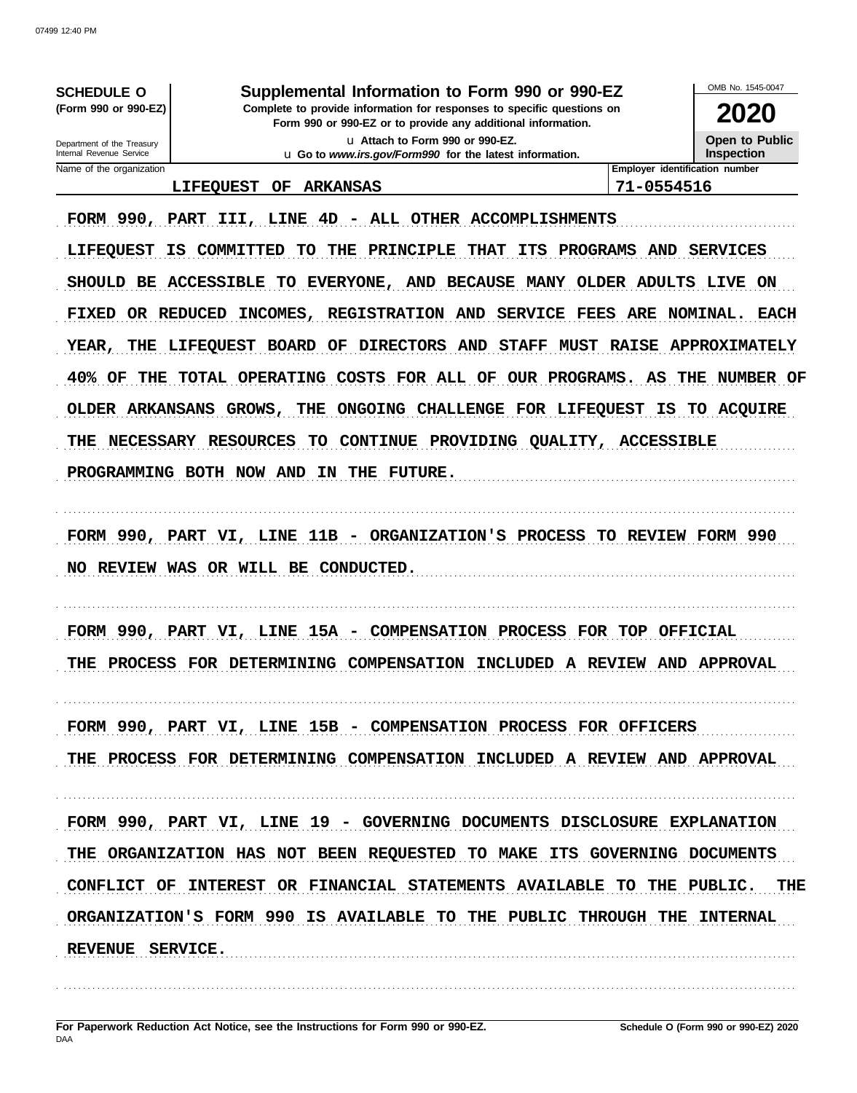| <b>SCHEDULE O</b><br>(Form 990 or 990-EZ)<br>Department of the Treasury                                                                                                                     | Supplemental Information to Form 990 or 990-EZ<br>Complete to provide information for responses to specific questions on<br>Form 990 or 990-EZ or to provide any additional information.<br>u Attach to Form 990 or 990-EZ.                                                                                                                                                                                                                                                                             |                                                                            | OMB No. 1545-0047<br>2020<br><b>Open to Public</b>                                      |
|---------------------------------------------------------------------------------------------------------------------------------------------------------------------------------------------|---------------------------------------------------------------------------------------------------------------------------------------------------------------------------------------------------------------------------------------------------------------------------------------------------------------------------------------------------------------------------------------------------------------------------------------------------------------------------------------------------------|----------------------------------------------------------------------------|-----------------------------------------------------------------------------------------|
| Internal Revenue Service<br>Name of the organization                                                                                                                                        | u Go to www.irs.gov/Form990 for the latest information.                                                                                                                                                                                                                                                                                                                                                                                                                                                 |                                                                            | <b>Inspection</b><br>Employer identification number                                     |
|                                                                                                                                                                                             | <b>LIFEQUEST</b><br>OF<br><b>ARKANSAS</b>                                                                                                                                                                                                                                                                                                                                                                                                                                                               | 71-0554516                                                                 |                                                                                         |
| FORM 990, PART<br><b>LIFEQUEST</b><br>IS<br>BE<br><b>SHOULD</b><br>OR REDUCED<br>FIXED<br>THE<br><b>YEAR,</b><br>40% OF<br>THE<br>OLDER ARKANSANS GROWS,<br>THE<br>PROGRAMMING BOTH NOW AND | ALL OTHER ACCOMPLISHMENTS<br>LINE<br>4D<br>III.<br>COMMITTED<br>THE<br><b>PRINCIPLE</b><br>TO.<br><b>THAT</b><br>ITS<br><b>ACCESSIBLE</b><br>TO EVERYONE, AND BECAUSE MANY OLDER ADULTS LIVE ON<br>REGISTRATION AND<br>INCOMES,<br><b>SERVICE</b><br>OF DIRECTORS AND STAFF<br><b>LIFEOUEST</b><br>BOARD<br>TOTAL OPERATING COSTS FOR ALL OF OUR PROGRAMS.<br>ONGOING CHALLENGE FOR LIFEQUEST<br>THE<br>CONTINUE PROVIDING QUALITY, ACCESSIBLE<br>NECESSARY RESOURCES<br><b>TO</b><br>IN<br>THE FUTURE. | PROGRAMS AND<br><b>FEES</b><br><b>MUST RAISE APPROXIMATELY</b><br>AS<br>IS | <b>SERVICES</b><br>ARE NOMINAL.<br><b>EACH</b><br>THE<br>NUMBER OF<br><b>TO ACQUIRE</b> |
| FORM 990, PART VI, LINE<br>NO.<br>FORM 990, PART VI,                                                                                                                                        | 11B<br>- ORGANIZATION'S PROCESS<br>REVIEW WAS OR WILL BE CONDUCTED.<br>15A<br><b>COMPENSATION PROCESS</b><br>LINE                                                                                                                                                                                                                                                                                                                                                                                       | FOR TOP OFFICIAL                                                           | <b>TO REVIEW FORM 990</b>                                                               |
|                                                                                                                                                                                             | THE PROCESS FOR DETERMINING COMPENSATION INCLUDED A REVIEW AND APPROVAL                                                                                                                                                                                                                                                                                                                                                                                                                                 |                                                                            |                                                                                         |
|                                                                                                                                                                                             | FORM 990, PART VI, LINE 15B - COMPENSATION PROCESS FOR OFFICERS<br>THE PROCESS FOR DETERMINING COMPENSATION INCLUDED A REVIEW AND APPROVAL                                                                                                                                                                                                                                                                                                                                                              |                                                                            |                                                                                         |
| REVENUE SERVICE.                                                                                                                                                                            | FORM 990, PART VI, LINE 19 - GOVERNING DOCUMENTS DISCLOSURE EXPLANATION<br>THE ORGANIZATION HAS NOT BEEN REQUESTED TO MAKE ITS GOVERNING DOCUMENTS<br>CONFLICT OF INTEREST OR FINANCIAL STATEMENTS AVAILABLE TO THE PUBLIC. THE<br>ORGANIZATION'S FORM 990 IS AVAILABLE TO THE PUBLIC THROUGH THE INTERNAL                                                                                                                                                                                              |                                                                            |                                                                                         |
|                                                                                                                                                                                             |                                                                                                                                                                                                                                                                                                                                                                                                                                                                                                         |                                                                            |                                                                                         |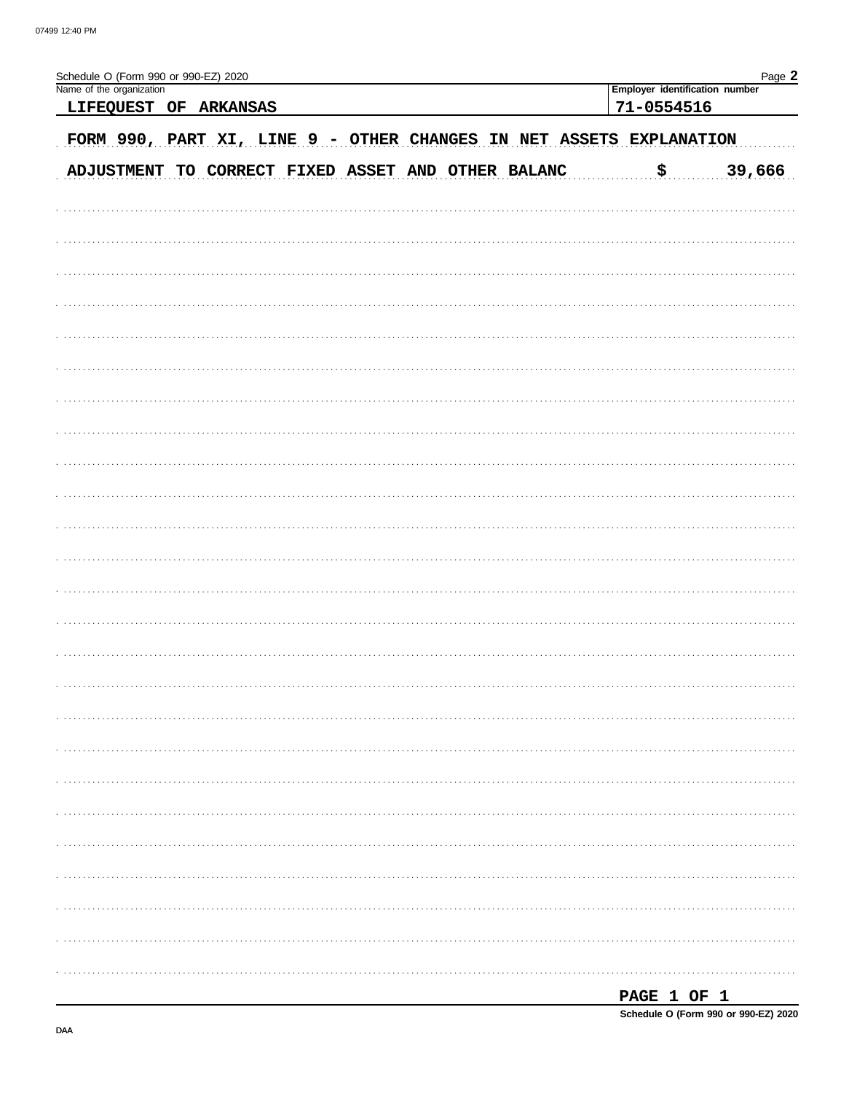| Schedule O (Form 990 or 990-EZ) 2020<br>Name of the organization<br>LIFEQUEST OF ARKANSAS | Page 2<br>Employer identification number<br>71-0554516 |
|-------------------------------------------------------------------------------------------|--------------------------------------------------------|
| FORM 990, PART XI, LINE 9 - OTHER CHANGES IN NET ASSETS EXPLANATION                       |                                                        |
| ADJUSTMENT TO CORRECT FIXED ASSET AND OTHER BALANC                                        | 39,666<br><u>ុ\$</u>                                   |
|                                                                                           |                                                        |
|                                                                                           |                                                        |
|                                                                                           |                                                        |
|                                                                                           |                                                        |
|                                                                                           |                                                        |
|                                                                                           |                                                        |
|                                                                                           |                                                        |
|                                                                                           |                                                        |
|                                                                                           |                                                        |
|                                                                                           |                                                        |
|                                                                                           |                                                        |
|                                                                                           |                                                        |
|                                                                                           |                                                        |
|                                                                                           |                                                        |
|                                                                                           |                                                        |
|                                                                                           |                                                        |
|                                                                                           |                                                        |
|                                                                                           |                                                        |
|                                                                                           |                                                        |
|                                                                                           |                                                        |
|                                                                                           |                                                        |
|                                                                                           |                                                        |
|                                                                                           |                                                        |
|                                                                                           | PAGE 1 OF 1                                            |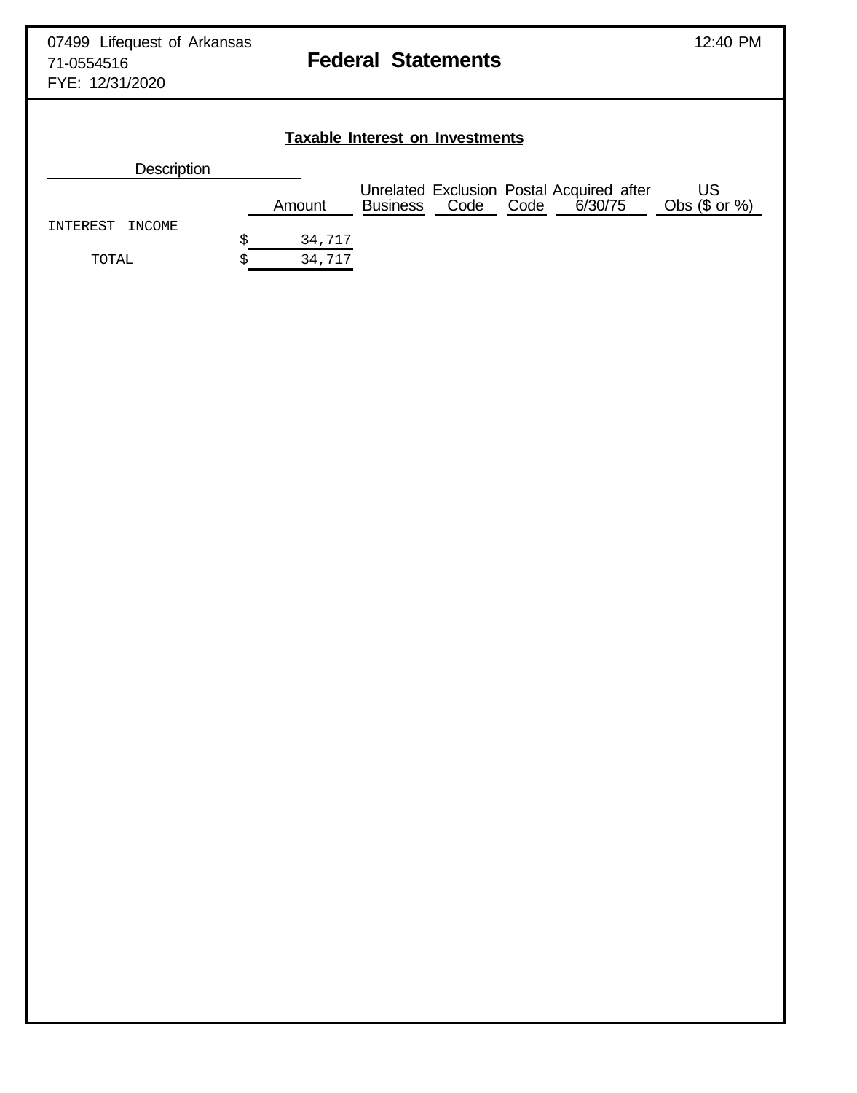# **Taxable Interest on Investments**

| <b>Description</b> |        |                 |      |      |                                                      |                        |
|--------------------|--------|-----------------|------|------|------------------------------------------------------|------------------------|
|                    | Amount | <b>Business</b> | Code | Code | Unrelated Exclusion Postal Acquired after<br>6/30/75 | US<br>Obs $(\$$ or $%$ |
| INTEREST INCOME    |        |                 |      |      |                                                      |                        |
|                    | 34,717 |                 |      |      |                                                      |                        |
| TOTAL              | 34,717 |                 |      |      |                                                      |                        |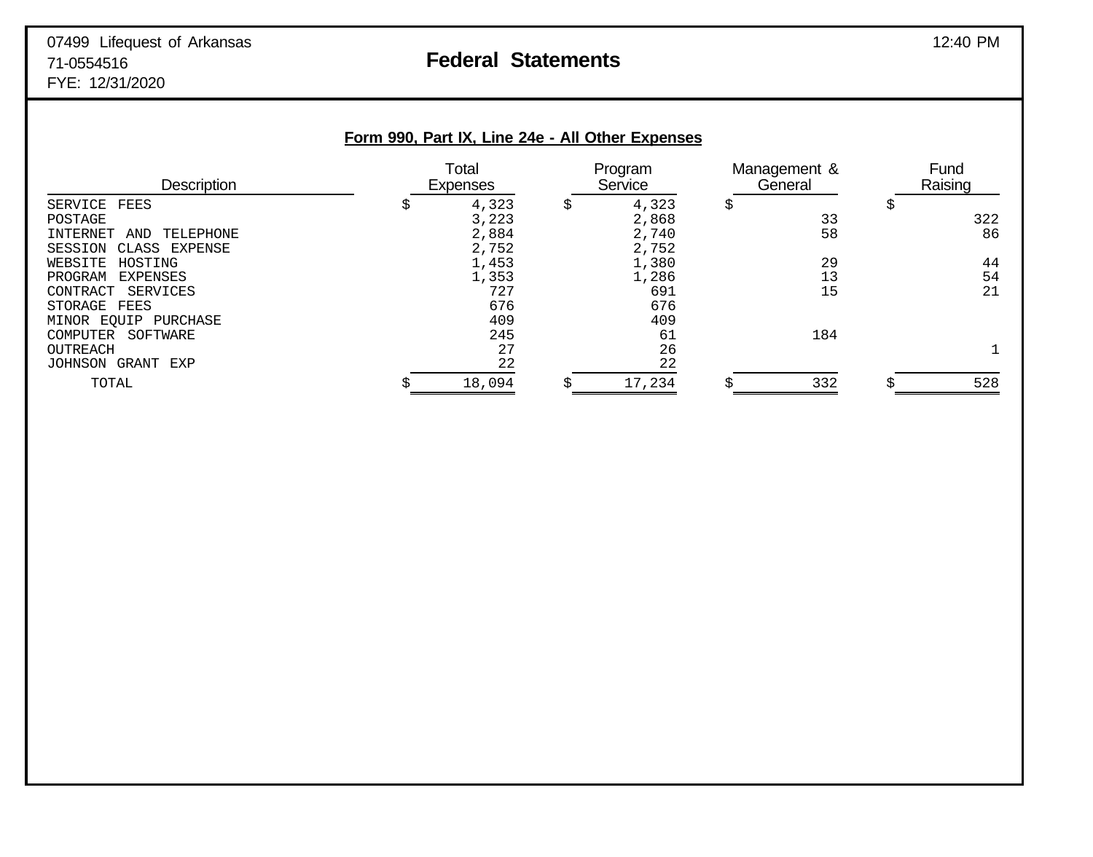| Form 990, Part IX, Line 24e - All Other Expenses |                   |       |                    |       |                         |     |                 |     |
|--------------------------------------------------|-------------------|-------|--------------------|-------|-------------------------|-----|-----------------|-----|
| <b>Description</b>                               | Total<br>Expenses |       | Program<br>Service |       | Management &<br>General |     | Fund<br>Raising |     |
| SERVICE FEES                                     | \$                | 4,323 | \$                 | 4,323 | \$                      |     | Ş               |     |
| POSTAGE                                          |                   | 3,223 |                    | 2,868 |                         | 33  |                 | 322 |
| TELEPHONE<br>INTERNET<br>AND                     |                   | 2,884 |                    | 2,740 |                         | 58  |                 | 86  |
| SESSION CLASS EXPENSE                            |                   | 2,752 |                    | 2,752 |                         |     |                 |     |
| WEBSITE<br>HOSTING                               |                   | 1,453 |                    | 1,380 |                         | 29  |                 | 44  |
| PROGRAM<br>EXPENSES                              |                   | 1,353 |                    | 1,286 |                         | 13  |                 | 54  |
| SERVICES<br>CONTRACT                             |                   | 727   |                    | 691   |                         | 15  |                 | 21  |
| STORAGE FEES                                     |                   | 676   |                    | 676   |                         |     |                 |     |
| MINOR EQUIP PURCHASE                             |                   | 409   |                    | 409   |                         |     |                 |     |
| SOFTWARE<br><b>COMPUTER</b>                      |                   | 245   |                    | 61    |                         | 184 |                 |     |
| <b>OUTREACH</b>                                  |                   | 27    |                    | 26    |                         |     |                 |     |
| GRANT<br>JOHNSON<br>EXP                          |                   | 22    |                    | 22    |                         |     |                 |     |

TOTAL  $\sin \frac{\pi}{3}$   $\sin \frac{\pi}{3}$   $\sin \frac{\pi}{3}$   $\sin \frac{\pi}{3}$   $\sin \frac{\pi}{3}$   $\sin \frac{\pi}{3}$   $\sin \frac{\pi}{3}$   $\sin \frac{\pi}{3}$   $\sin \frac{\pi}{3}$   $\sin \frac{\pi}{3}$   $\sin \frac{\pi}{3}$   $\sin \frac{\pi}{3}$   $\sin \frac{\pi}{3}$   $\sin \frac{\pi}{3}$   $\sin \frac{\pi}{3}$   $\sin \frac{\pi}{3}$   $\sin \frac{\pi}{3}$   $\sin \frac{\pi}{3}$